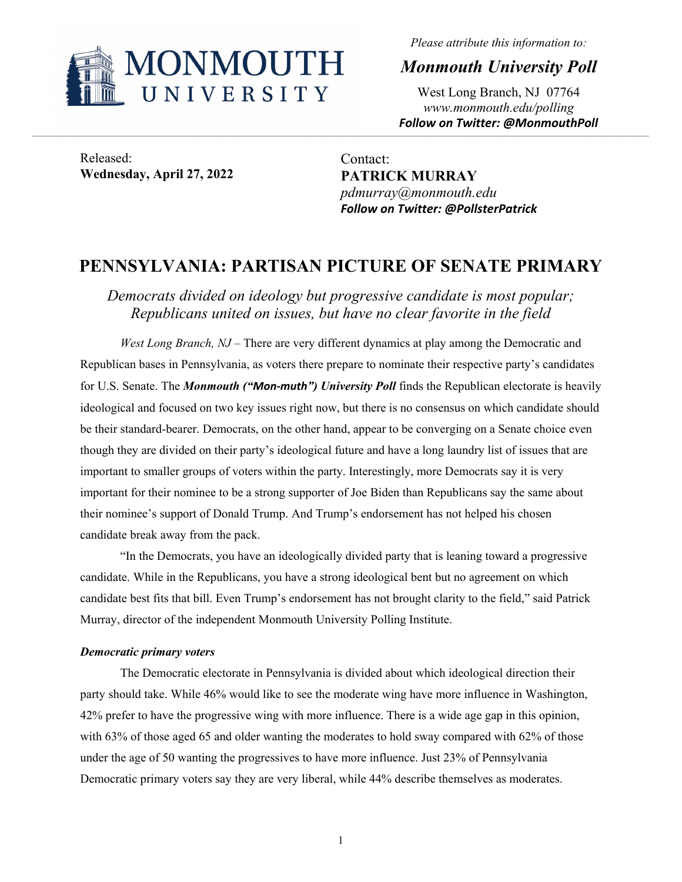

*Please attribute this information to:* 

*Monmouth University Poll* 

West Long Branch, NJ 07764 *www.monmouth.edu/polling Follow on Twitter: @MonmouthPoll* 

Released: **Wednesday, April 27, 2022** 

Contact: **PATRICK MURRAY**  *pdmurray@monmouth.edu Follow on Twitter: @PollsterPatrick* 

## **PENNSYLVANIA: PARTISAN PICTURE OF SENATE PRIMARY**

,我们也不能在这里的,我们也不能在这里的时候,我们也不能不能不能不能不能不能不能不能不能不能不能不能不能不能不能不能。""我们,我们也不能不能不能不能不能不能不能

*Democrats divided on ideology but progressive candidate is most popular; Republicans united on issues, but have no clear favorite in the field* 

*West Long Branch, NJ* – There are very different dynamics at play among the Democratic and Republican bases in Pennsylvania, as voters there prepare to nominate their respective party's candidates for U.S. Senate. The *Monmouth ("Mon‐muth") University Poll* finds the Republican electorate is heavily ideological and focused on two key issues right now, but there is no consensus on which candidate should be their standard-bearer. Democrats, on the other hand, appear to be converging on a Senate choice even though they are divided on their party's ideological future and have a long laundry list of issues that are important to smaller groups of voters within the party. Interestingly, more Democrats say it is very important for their nominee to be a strong supporter of Joe Biden than Republicans say the same about their nominee's support of Donald Trump. And Trump's endorsement has not helped his chosen candidate break away from the pack.

"In the Democrats, you have an ideologically divided party that is leaning toward a progressive candidate. While in the Republicans, you have a strong ideological bent but no agreement on which candidate best fits that bill. Even Trump's endorsement has not brought clarity to the field," said Patrick Murray, director of the independent Monmouth University Polling Institute.

#### *Democratic primary voters*

 The Democratic electorate in Pennsylvania is divided about which ideological direction their party should take. While 46% would like to see the moderate wing have more influence in Washington, 42% prefer to have the progressive wing with more influence. There is a wide age gap in this opinion, with 63% of those aged 65 and older wanting the moderates to hold sway compared with 62% of those under the age of 50 wanting the progressives to have more influence. Just 23% of Pennsylvania Democratic primary voters say they are very liberal, while 44% describe themselves as moderates.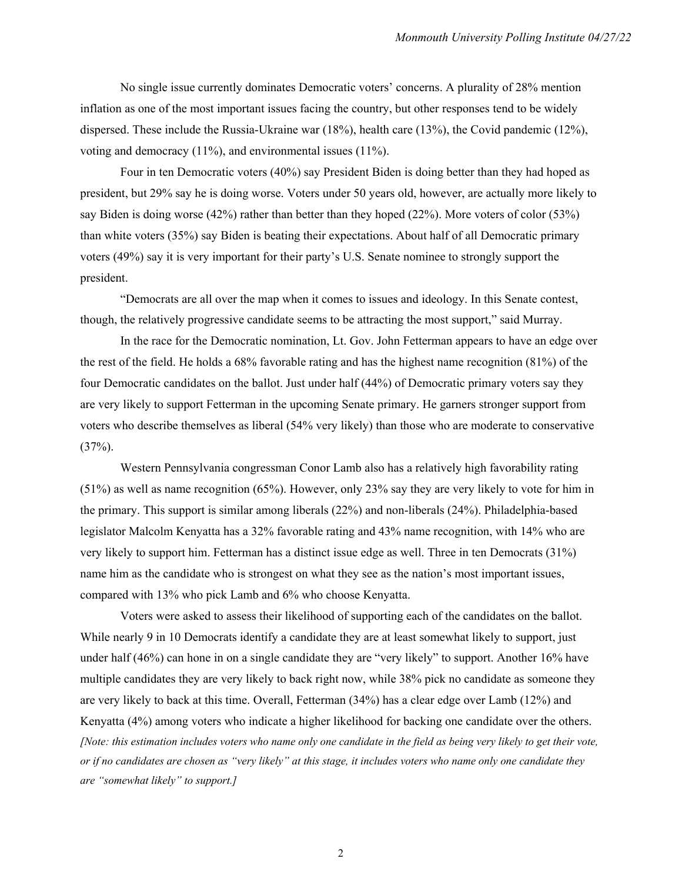No single issue currently dominates Democratic voters' concerns. A plurality of 28% mention inflation as one of the most important issues facing the country, but other responses tend to be widely dispersed. These include the Russia-Ukraine war (18%), health care (13%), the Covid pandemic (12%), voting and democracy (11%), and environmental issues (11%).

Four in ten Democratic voters (40%) say President Biden is doing better than they had hoped as president, but 29% say he is doing worse. Voters under 50 years old, however, are actually more likely to say Biden is doing worse (42%) rather than better than they hoped (22%). More voters of color (53%) than white voters (35%) say Biden is beating their expectations. About half of all Democratic primary voters (49%) say it is very important for their party's U.S. Senate nominee to strongly support the president.

"Democrats are all over the map when it comes to issues and ideology. In this Senate contest, though, the relatively progressive candidate seems to be attracting the most support," said Murray.

 In the race for the Democratic nomination, Lt. Gov. John Fetterman appears to have an edge over the rest of the field. He holds a 68% favorable rating and has the highest name recognition (81%) of the four Democratic candidates on the ballot. Just under half (44%) of Democratic primary voters say they are very likely to support Fetterman in the upcoming Senate primary. He garners stronger support from voters who describe themselves as liberal (54% very likely) than those who are moderate to conservative  $(37\%)$ .

 Western Pennsylvania congressman Conor Lamb also has a relatively high favorability rating (51%) as well as name recognition (65%). However, only 23% say they are very likely to vote for him in the primary. This support is similar among liberals (22%) and non-liberals (24%). Philadelphia-based legislator Malcolm Kenyatta has a 32% favorable rating and 43% name recognition, with 14% who are very likely to support him. Fetterman has a distinct issue edge as well. Three in ten Democrats (31%) name him as the candidate who is strongest on what they see as the nation's most important issues, compared with 13% who pick Lamb and 6% who choose Kenyatta.

 Voters were asked to assess their likelihood of supporting each of the candidates on the ballot. While nearly 9 in 10 Democrats identify a candidate they are at least somewhat likely to support, just under half (46%) can hone in on a single candidate they are "very likely" to support. Another 16% have multiple candidates they are very likely to back right now, while 38% pick no candidate as someone they are very likely to back at this time. Overall, Fetterman (34%) has a clear edge over Lamb (12%) and Kenyatta (4%) among voters who indicate a higher likelihood for backing one candidate over the others. *[Note: this estimation includes voters who name only one candidate in the field as being very likely to get their vote, or if no candidates are chosen as "very likely" at this stage, it includes voters who name only one candidate they are "somewhat likely" to support.]*

2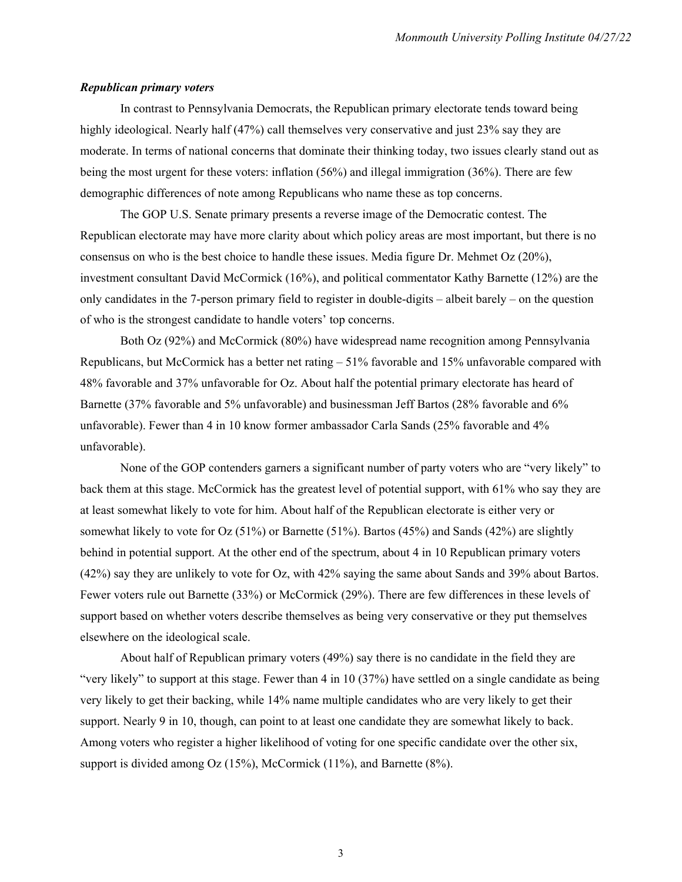#### *Republican primary voters*

In contrast to Pennsylvania Democrats, the Republican primary electorate tends toward being highly ideological. Nearly half (47%) call themselves very conservative and just 23% say they are moderate. In terms of national concerns that dominate their thinking today, two issues clearly stand out as being the most urgent for these voters: inflation (56%) and illegal immigration (36%). There are few demographic differences of note among Republicans who name these as top concerns.

 The GOP U.S. Senate primary presents a reverse image of the Democratic contest. The Republican electorate may have more clarity about which policy areas are most important, but there is no consensus on who is the best choice to handle these issues. Media figure Dr. Mehmet Oz (20%), investment consultant David McCormick (16%), and political commentator Kathy Barnette (12%) are the only candidates in the 7-person primary field to register in double-digits – albeit barely – on the question of who is the strongest candidate to handle voters' top concerns.

 Both Oz (92%) and McCormick (80%) have widespread name recognition among Pennsylvania Republicans, but McCormick has a better net rating  $-51\%$  favorable and 15% unfavorable compared with 48% favorable and 37% unfavorable for Oz. About half the potential primary electorate has heard of Barnette (37% favorable and 5% unfavorable) and businessman Jeff Bartos (28% favorable and 6% unfavorable). Fewer than 4 in 10 know former ambassador Carla Sands (25% favorable and 4% unfavorable).

 None of the GOP contenders garners a significant number of party voters who are "very likely" to back them at this stage. McCormick has the greatest level of potential support, with 61% who say they are at least somewhat likely to vote for him. About half of the Republican electorate is either very or somewhat likely to vote for Oz  $(51\%)$  or Barnette  $(51\%)$ . Bartos  $(45\%)$  and Sands  $(42\%)$  are slightly behind in potential support. At the other end of the spectrum, about 4 in 10 Republican primary voters (42%) say they are unlikely to vote for Oz, with 42% saying the same about Sands and 39% about Bartos. Fewer voters rule out Barnette (33%) or McCormick (29%). There are few differences in these levels of support based on whether voters describe themselves as being very conservative or they put themselves elsewhere on the ideological scale.

 About half of Republican primary voters (49%) say there is no candidate in the field they are "very likely" to support at this stage. Fewer than 4 in 10 (37%) have settled on a single candidate as being very likely to get their backing, while 14% name multiple candidates who are very likely to get their support. Nearly 9 in 10, though, can point to at least one candidate they are somewhat likely to back. Among voters who register a higher likelihood of voting for one specific candidate over the other six, support is divided among Oz (15%), McCormick (11%), and Barnette (8%).

3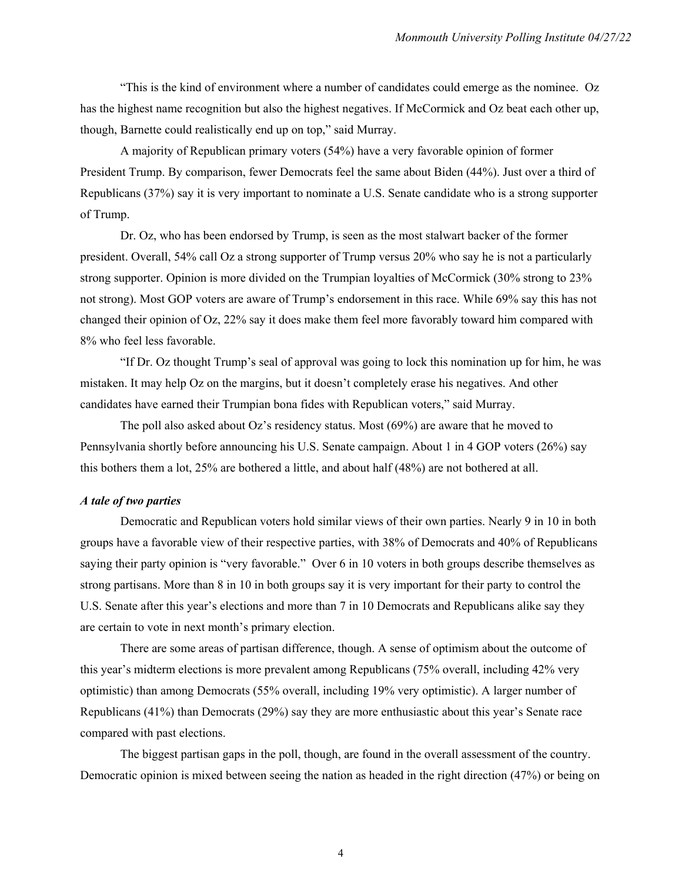"This is the kind of environment where a number of candidates could emerge as the nominee. Oz has the highest name recognition but also the highest negatives. If McCormick and Oz beat each other up, though, Barnette could realistically end up on top," said Murray.

 A majority of Republican primary voters (54%) have a very favorable opinion of former President Trump. By comparison, fewer Democrats feel the same about Biden (44%). Just over a third of Republicans (37%) say it is very important to nominate a U.S. Senate candidate who is a strong supporter of Trump.

 Dr. Oz, who has been endorsed by Trump, is seen as the most stalwart backer of the former president. Overall, 54% call Oz a strong supporter of Trump versus 20% who say he is not a particularly strong supporter. Opinion is more divided on the Trumpian loyalties of McCormick (30% strong to 23% not strong). Most GOP voters are aware of Trump's endorsement in this race. While 69% say this has not changed their opinion of Oz, 22% say it does make them feel more favorably toward him compared with 8% who feel less favorable.

 "If Dr. Oz thought Trump's seal of approval was going to lock this nomination up for him, he was mistaken. It may help Oz on the margins, but it doesn't completely erase his negatives. And other candidates have earned their Trumpian bona fides with Republican voters," said Murray.

The poll also asked about  $Oz$ 's residency status. Most  $(69%)$  are aware that he moved to Pennsylvania shortly before announcing his U.S. Senate campaign. About 1 in 4 GOP voters (26%) say this bothers them a lot, 25% are bothered a little, and about half (48%) are not bothered at all.

#### *A tale of two parties*

 Democratic and Republican voters hold similar views of their own parties. Nearly 9 in 10 in both groups have a favorable view of their respective parties, with 38% of Democrats and 40% of Republicans saying their party opinion is "very favorable." Over 6 in 10 voters in both groups describe themselves as strong partisans. More than 8 in 10 in both groups say it is very important for their party to control the U.S. Senate after this year's elections and more than 7 in 10 Democrats and Republicans alike say they are certain to vote in next month's primary election.

 There are some areas of partisan difference, though. A sense of optimism about the outcome of this year's midterm elections is more prevalent among Republicans (75% overall, including 42% very optimistic) than among Democrats (55% overall, including 19% very optimistic). A larger number of Republicans (41%) than Democrats (29%) say they are more enthusiastic about this year's Senate race compared with past elections.

 The biggest partisan gaps in the poll, though, are found in the overall assessment of the country. Democratic opinion is mixed between seeing the nation as headed in the right direction (47%) or being on

4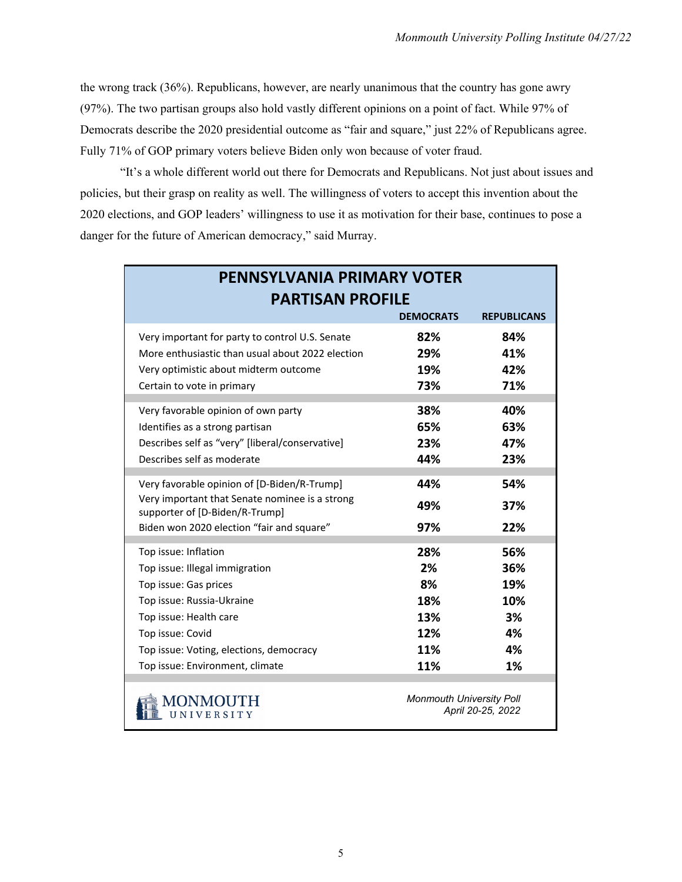the wrong track (36%). Republicans, however, are nearly unanimous that the country has gone awry (97%). The two partisan groups also hold vastly different opinions on a point of fact. While 97% of Democrats describe the 2020 presidential outcome as "fair and square," just 22% of Republicans agree. Fully 71% of GOP primary voters believe Biden only won because of voter fraud.

 "It's a whole different world out there for Democrats and Republicans. Not just about issues and policies, but their grasp on reality as well. The willingness of voters to accept this invention about the 2020 elections, and GOP leaders' willingness to use it as motivation for their base, continues to pose a danger for the future of American democracy," said Murray.

| <b>PENNSYLVANIA PRIMARY VOTER</b>                                                |                                 |                    |  |  |  |  |  |
|----------------------------------------------------------------------------------|---------------------------------|--------------------|--|--|--|--|--|
| <b>PARTISAN PROFILE</b>                                                          |                                 |                    |  |  |  |  |  |
|                                                                                  | <b>DEMOCRATS</b>                | <b>REPUBLICANS</b> |  |  |  |  |  |
| Very important for party to control U.S. Senate                                  | 82%                             | 84%                |  |  |  |  |  |
| More enthusiastic than usual about 2022 election                                 | 29%                             | 41%                |  |  |  |  |  |
| Very optimistic about midterm outcome                                            | 19%                             | 42%                |  |  |  |  |  |
| Certain to vote in primary                                                       | 73%                             | 71%                |  |  |  |  |  |
| Very favorable opinion of own party                                              | 38%                             | 40%                |  |  |  |  |  |
| Identifies as a strong partisan                                                  | 65%                             | 63%                |  |  |  |  |  |
| Describes self as "very" [liberal/conservative]                                  | 23%                             | 47%                |  |  |  |  |  |
| Describes self as moderate                                                       | 44%                             | 23%                |  |  |  |  |  |
| Very favorable opinion of [D-Biden/R-Trump]                                      | 44%                             | 54%                |  |  |  |  |  |
| Very important that Senate nominee is a strong<br>supporter of [D-Biden/R-Trump] | 49%                             | 37%                |  |  |  |  |  |
| Biden won 2020 election "fair and square"                                        | 97%                             | 22%                |  |  |  |  |  |
| Top issue: Inflation                                                             | 28%                             | 56%                |  |  |  |  |  |
| Top issue: Illegal immigration                                                   | 2%                              | 36%                |  |  |  |  |  |
| Top issue: Gas prices                                                            | 8%                              | 19%                |  |  |  |  |  |
| Top issue: Russia-Ukraine                                                        | 18%                             | 10%                |  |  |  |  |  |
| Top issue: Health care                                                           | 13%                             | 3%                 |  |  |  |  |  |
| Top issue: Covid                                                                 | 12%                             | 4%                 |  |  |  |  |  |
| Top issue: Voting, elections, democracy                                          | 11%                             | 4%                 |  |  |  |  |  |
| Top issue: Environment, climate                                                  | 11%                             | 1%                 |  |  |  |  |  |
| 4ONMOUTH<br><b>IINIVERSITY</b>                                                   | <b>Monmouth University Poll</b> | April 20-25, 2022  |  |  |  |  |  |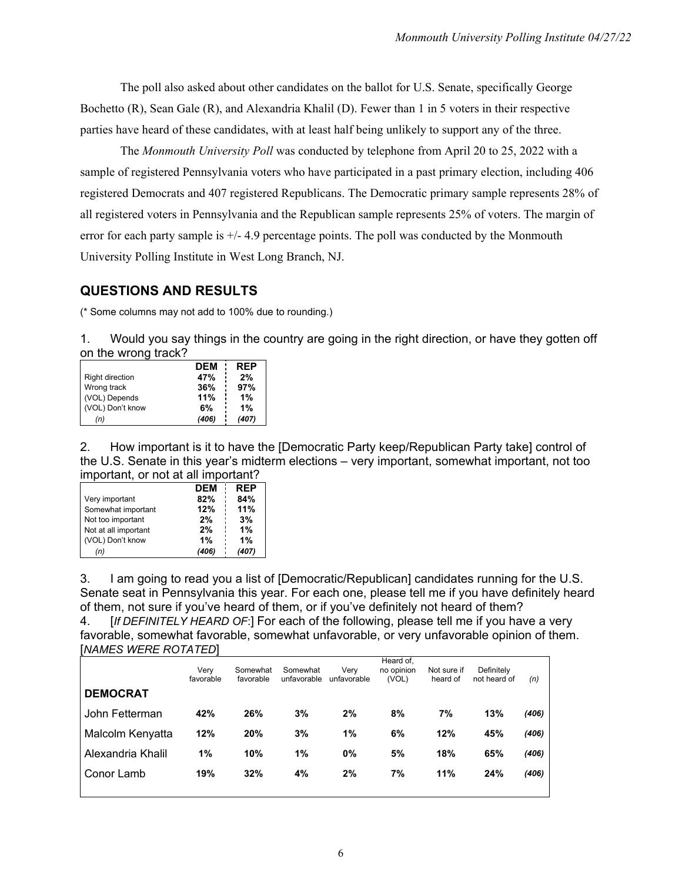The poll also asked about other candidates on the ballot for U.S. Senate, specifically George Bochetto (R), Sean Gale (R), and Alexandria Khalil (D). Fewer than 1 in 5 voters in their respective parties have heard of these candidates, with at least half being unlikely to support any of the three.

The *Monmouth University Poll* was conducted by telephone from April 20 to 25, 2022 with a sample of registered Pennsylvania voters who have participated in a past primary election, including 406 registered Democrats and 407 registered Republicans. The Democratic primary sample represents 28% of all registered voters in Pennsylvania and the Republican sample represents 25% of voters. The margin of error for each party sample is +/- 4.9 percentage points. The poll was conducted by the Monmouth University Polling Institute in West Long Branch, NJ.

#### **QUESTIONS AND RESULTS**

(\* Some columns may not add to 100% due to rounding.)

1. Would you say things in the country are going in the right direction, or have they gotten off on the wrong track?

|                        | <b>DEM</b> | <b>REP</b> |
|------------------------|------------|------------|
| <b>Right direction</b> | 47%        | 2%         |
| Wrong track            | 36%        | 97%        |
| (VOL) Depends          | 11%        | 1%         |
| (VOL) Don't know       | 6%         | 1%         |
| (n)                    | (406)      | (407)      |

2. How important is it to have the [Democratic Party keep/Republican Party take] control of the U.S. Senate in this year's midterm elections – very important, somewhat important, not too important, or not at all important?

|                      | <b>DEM</b> | <b>REP</b> |
|----------------------|------------|------------|
| Very important       | 82%        | 84%        |
| Somewhat important   | 12%        | 11%        |
| Not too important    | 2%         | 3%         |
| Not at all important | 2%         | 1%         |
| (VOL) Don't know     | 1%         | 1%         |
| (n)                  | (406)      | (407)      |

3. I am going to read you a list of [Democratic/Republican] candidates running for the U.S. Senate seat in Pennsylvania this year. For each one, please tell me if you have definitely heard of them, not sure if you've heard of them, or if you've definitely not heard of them?

4. [*If DEFINITELY HEARD OF*:] For each of the following, please tell me if you have a very favorable, somewhat favorable, somewhat unfavorable, or very unfavorable opinion of them. [*NAMES WERE ROTATED*]

| <b>DEMOCRAT</b>   | Verv<br>favorable | Somewhat<br>favorable | Somewhat<br>unfavorable | Verv<br>unfavorable | Heard of,<br>no opinion<br>(VOL) | Not sure if<br>heard of | Definitely<br>not heard of | (n)   |
|-------------------|-------------------|-----------------------|-------------------------|---------------------|----------------------------------|-------------------------|----------------------------|-------|
| John Fetterman    | 42%               | 26%                   | 3%                      | 2%                  | 8%                               | 7%                      | 13%                        | (406) |
| Malcolm Kenyatta  | 12%               | 20%                   | 3%                      | 1%                  | 6%                               | 12%                     | 45%                        | (406) |
| Alexandria Khalil | 1%                | 10%                   | 1%                      | 0%                  | 5%                               | 18%                     | 65%                        | (406) |
| Conor Lamb        | 19%               | 32%                   | 4%                      | 2%                  | 7%                               | 11%                     | 24%                        | (406) |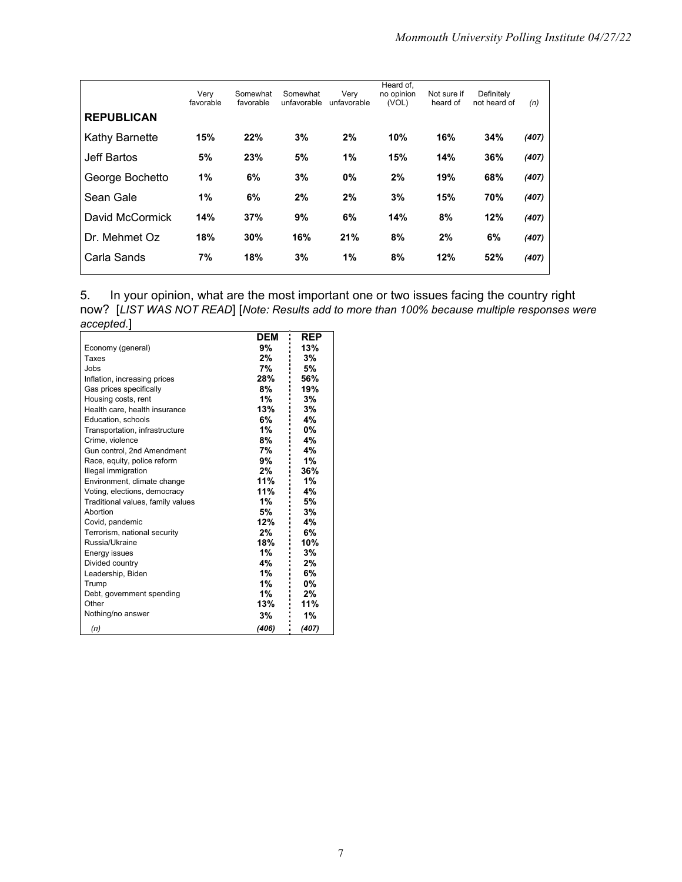|                   | Very<br>favorable | Somewhat<br>favorable | Somewhat<br>unfavorable | Very<br>unfavorable | Heard of,<br>no opinion<br>(VOL) | Not sure if<br>heard of | Definitely<br>not heard of | (n)   |
|-------------------|-------------------|-----------------------|-------------------------|---------------------|----------------------------------|-------------------------|----------------------------|-------|
| <b>REPUBLICAN</b> |                   |                       |                         |                     |                                  |                         |                            |       |
| Kathy Barnette    | 15%               | 22%                   | 3%                      | 2%                  | 10%                              | 16%                     | 34%                        | (407) |
| Jeff Bartos       | 5%                | 23%                   | 5%                      | 1%                  | 15%                              | 14%                     | 36%                        | (407) |
| George Bochetto   | 1%                | 6%                    | 3%                      | 0%                  | 2%                               | 19%                     | 68%                        | (407) |
| Sean Gale         | 1%                | 6%                    | 2%                      | 2%                  | 3%                               | 15%                     | 70%                        | (407) |
| David McCormick   | 14%               | 37%                   | 9%                      | 6%                  | 14%                              | 8%                      | 12%                        | (407) |
| Dr. Mehmet Oz     | 18%               | 30%                   | 16%                     | 21%                 | 8%                               | 2%                      | 6%                         | (407) |
| Carla Sands       | 7%                | 18%                   | 3%                      | 1%                  | 8%                               | 12%                     | 52%                        | (407) |

|            |  | 5. In your opinion, what are the most important one or two issues facing the country right |  |  |                                                                                               |
|------------|--|--------------------------------------------------------------------------------------------|--|--|-----------------------------------------------------------------------------------------------|
|            |  |                                                                                            |  |  | now? [LIST WAS NOT READ] [Note: Results add to more than 100% because multiple responses were |
| accepted.] |  |                                                                                            |  |  |                                                                                               |

|                                   | <b>DEM</b> | REP   |
|-----------------------------------|------------|-------|
| Economy (general)                 | 9%         | 13%   |
| Taxes                             | 2%         | 3%    |
| Jobs                              | 7%         | 5%    |
| Inflation, increasing prices      | 28%        | 56%   |
| Gas prices specifically           | 8%         | 19%   |
| Housing costs, rent               | 1%         | 3%    |
| Health care, health insurance     | 13%        | 3%    |
| Education, schools                | 6%         | 4%    |
| Transportation, infrastructure    | 1%         | 0%    |
| Crime, violence                   | 8%         | 4%    |
| Gun control, 2nd Amendment        | 7%         | 4%    |
| Race, equity, police reform       | 9%         | 1%    |
| Illegal immigration               | 2%         | 36%   |
| Environment, climate change       | 11%        | 1%    |
| Voting, elections, democracy      | 11%        | 4%    |
| Traditional values, family values | 1%         | 5%    |
| Abortion                          | 5%         | 3%    |
| Covid, pandemic                   | 12%        | 4%    |
| Terrorism, national security      | 2%         | 6%    |
| Russia/Ukraine                    | 18%        | 10%   |
| Energy issues                     | 1%         | 3%    |
| Divided country                   | 4%         | 2%    |
| Leadership, Biden                 | 1%         | 6%    |
| Trump                             | 1%         | 0%    |
| Debt, government spending         | 1%         | 2%    |
| Other                             | 13%        | 11%   |
| Nothing/no answer                 | 3%         | 1%    |
| (n)                               | (406)      | (407) |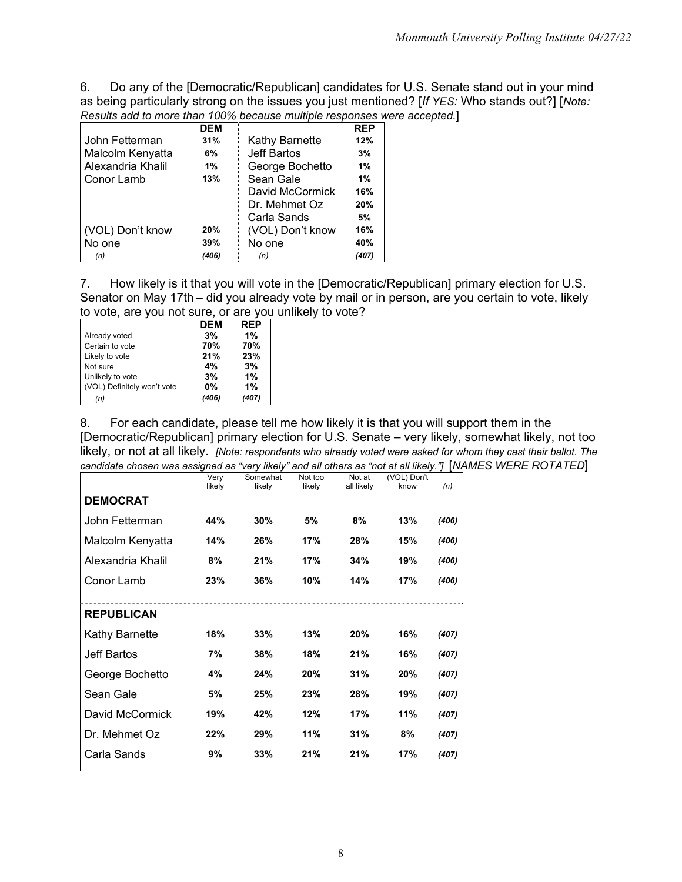6. Do any of the [Democratic/Republican] candidates for U.S. Senate stand out in your mind as being particularly strong on the issues you just mentioned? [*If YES:* Who stands out?] [*Note: Results add to more than 100% because multiple responses were accepted.*]

|                   | <b>DEM</b> |                    | <b>REP</b> |
|-------------------|------------|--------------------|------------|
| John Fetterman    | 31%        | Kathy Barnette     | 12%        |
| Malcolm Kenyatta  | 6%         | <b>Jeff Bartos</b> | 3%         |
| Alexandria Khalil | 1%         | George Bochetto    | 1%         |
| Conor Lamb        | 13%        | Sean Gale          | 1%         |
|                   |            | David McCormick    | 16%        |
|                   |            | Dr. Mehmet Oz      | 20%        |
|                   |            | Carla Sands        | 5%         |
| (VOL) Don't know  | 20%        | (VOL) Don't know   | 16%        |
| No one            | 39%        | No one             | 40%        |
| (n)               | (406)      | (n)                | (407)      |

7. How likely is it that you will vote in the [Democratic/Republican] primary election for U.S. Senator on May 17th – did you already vote by mail or in person, are you certain to vote, likely to vote, are you not sure, or are you unlikely to vote?

|                             | <b>DEM</b> | <b>REP</b> |
|-----------------------------|------------|------------|
| Already voted               | 3%         | 1%         |
| Certain to vote             | 70%        | 70%        |
| Likely to vote              | 21%        | 23%        |
| Not sure                    | 4%         | 3%         |
| Unlikely to vote            | 3%         | 1%         |
| (VOL) Definitely won't vote | <b>0%</b>  | 1%         |
| (n)                         | (406)      |            |

8. For each candidate, please tell me how likely it is that you will support them in the [Democratic/Republican] primary election for U.S. Senate – very likely, somewhat likely, not too likely, or not at all likely. *[Note: respondents who already voted were asked for whom they cast their ballot. The candidate chosen was assigned as "very likely" and all others as "not at all likely."]* [NAMES WERE ROTATED]

| Very<br>likely | Somewhat<br>likely | Not too<br>likely | Not at<br>all likely | (VOL) Don't<br>know | (n)   |
|----------------|--------------------|-------------------|----------------------|---------------------|-------|
|                |                    |                   |                      |                     |       |
| 44%            | 30%                | 5%                | 8%                   | 13%                 | (406) |
| 14%            | 26%                | 17%               | 28%                  | 15%                 | (406) |
| 8%             | 21%                | 17%               | 34%                  | 19%                 | (406) |
| 23%            | 36%                | 10%               | 14%                  | 17%                 | (406) |
|                |                    |                   |                      |                     |       |
|                |                    |                   |                      |                     |       |
| 18%            | 33%                | 13%               | 20%                  | 16%                 | (407) |
| 7%             | 38%                | 18%               | 21%                  | 16%                 | (407) |
| 4%             | 24%                | 20%               | 31%                  | 20%                 | (407) |
| 5%             | 25%                | 23%               | 28%                  | 19%                 | (407) |
| 19%            | 42%                | 12%               | 17%                  | 11%                 | (407) |
| 22%            | 29%                | 11%               | 31%                  | 8%                  | (407) |
| 9%             | 33%                | 21%               | 21%                  | 17%                 | (407) |
|                |                    |                   |                      |                     |       |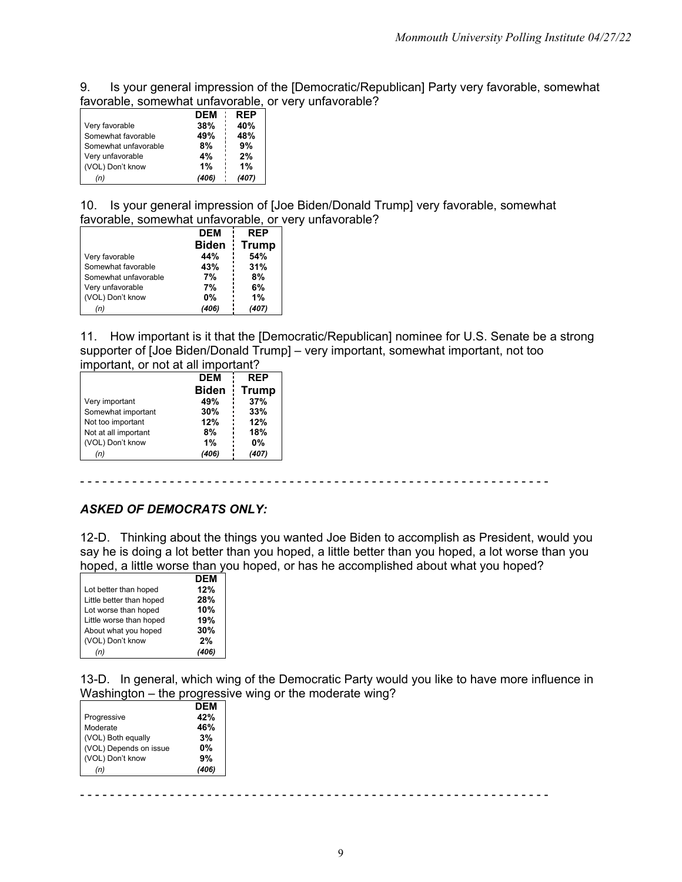9. Is your general impression of the [Democratic/Republican] Party very favorable, somewhat favorable, somewhat unfavorable, or very unfavorable?

|                      | <b>DEM</b> | <b>REP</b> |
|----------------------|------------|------------|
| Very favorable       | 38%        | 40%        |
| Somewhat favorable   | 49%        | 48%        |
| Somewhat unfavorable | 8%         | 9%         |
| Very unfavorable     | 4%         | 2%         |
| (VOL) Don't know     | 1%         | 1%         |
| n).                  | (406)      | (407)      |

10. Is your general impression of [Joe Biden/Donald Trump] very favorable, somewhat favorable, somewhat unfavorable, or very unfavorable?

|                      | <b>DEM</b>   | <b>REP</b>   |
|----------------------|--------------|--------------|
|                      | <b>Biden</b> | <b>Trump</b> |
| Very favorable       | 44%          | 54%          |
| Somewhat favorable   | 43%          | 31%          |
| Somewhat unfavorable | 7%           | 8%           |
| Very unfavorable     | 7%           | 6%           |
| (VOL) Don't know     | <b>0%</b>    | 1%           |
| (n)                  | (406)        | (407)        |

11. How important is it that the [Democratic/Republican] nominee for U.S. Senate be a strong supporter of [Joe Biden/Donald Trump] – very important, somewhat important, not too important, or not at all important?

|                      | <b>REP</b><br><b>DEM</b> |              |
|----------------------|--------------------------|--------------|
|                      | <b>Biden</b>             | <b>Trump</b> |
| Very important       | 49%                      | 37%          |
| Somewhat important   | 30%                      | 33%          |
| Not too important    | 12%                      | 12%          |
| Not at all important | 8%                       | 18%          |
| (VOL) Don't know     | 1%                       | 0%           |
| (n)                  | (406)                    | (407)        |

- - - - - - - - - - - - - - - - - - - - - - - - - - - - - - - - - - - - - - - - - - - - - - - - - - - - - - - - - - - - - - -

#### *ASKED OF DEMOCRATS ONLY:*

12-D. Thinking about the things you wanted Joe Biden to accomplish as President, would you say he is doing a lot better than you hoped, a little better than you hoped, a lot worse than you hoped, a little worse than you hoped, or has he accomplished about what you hoped?

|                          | <b>DEM</b> |
|--------------------------|------------|
| Lot better than hoped    | 12%        |
| Little better than hoped | 28%        |
| Lot worse than hoped     | 10%        |
| Little worse than hoped  | 19%        |
| About what you hoped     | 30%        |
| (VOL) Don't know         | 2%         |
|                          |            |

13-D. In general, which wing of the Democratic Party would you like to have more influence in Washington – the progressive wing or the moderate wing?

|                        | <b>DEM</b> |
|------------------------|------------|
| Progressive            | 42%        |
| Moderate               | 46%        |
| (VOL) Both equally     | 3%         |
| (VOL) Depends on issue | 0%         |
| (VOL) Don't know       | 9%         |
| (n)                    |            |

- - - - - - - - - - - - - - - - - - - - - - - - - - - - - - - - - - - - - - - - - - - - - - - - - - - - - - - - - - - - - - -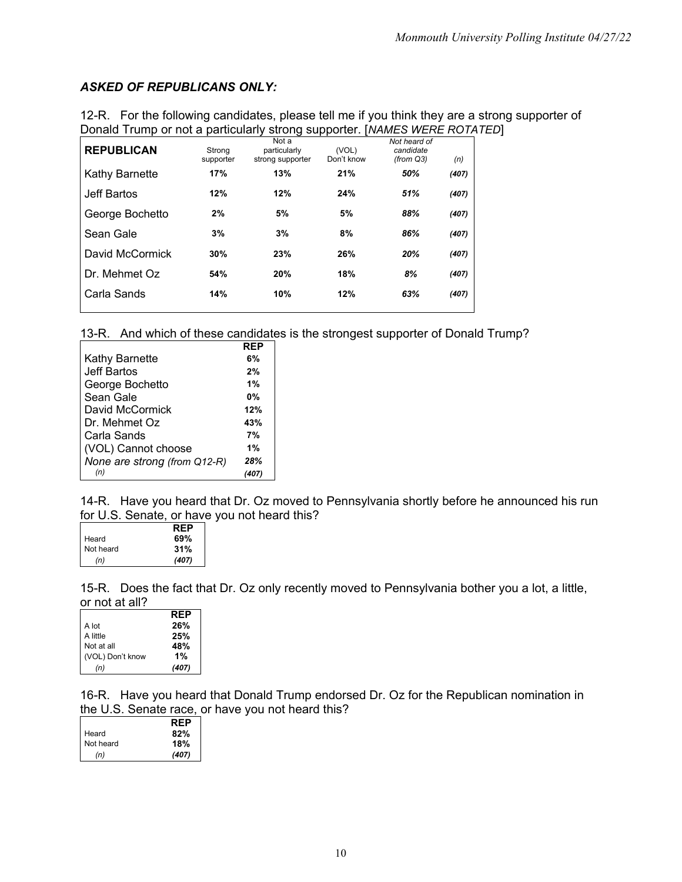#### *ASKED OF REPUBLICANS ONLY:*

| DUTIAL TIGHT OF HULD A DAILIGUIDITY SUBJIS SUPPORT. TIVAMES WERE RUTAT |                     |                                           |                     |                                           |       |  |
|------------------------------------------------------------------------|---------------------|-------------------------------------------|---------------------|-------------------------------------------|-------|--|
| <b>REPUBLICAN</b>                                                      | Strong<br>supporter | Not a<br>particularly<br>strong supporter | (VOL)<br>Don't know | Not heard of<br>candidate<br>(from $Q3$ ) | (n)   |  |
| Kathy Barnette                                                         | 17%                 | 13%                                       | 21%                 | 50%                                       | (407) |  |
| Jeff Bartos                                                            | 12%                 | 12%                                       | 24%                 | 51%                                       | (407) |  |
| George Bochetto                                                        | 2%                  | 5%                                        | 5%                  | 88%                                       | (407) |  |
| Sean Gale                                                              | 3%                  | 3%                                        | 8%                  | 86%                                       | (407) |  |
| David McCormick                                                        | 30%                 | 23%                                       | 26%                 | 20%                                       | (407) |  |
| Dr. Mehmet Oz                                                          | 54%                 | 20%                                       | 18%                 | 8%                                        | (407) |  |
| Carla Sands                                                            | 14%                 | 10%                                       | 12%                 | 63%                                       | (407) |  |
|                                                                        |                     |                                           |                     |                                           |       |  |

12-R. For the following candidates, please tell me if you think they are a strong supporter of Donald Trump or not a particularly strong supporter. [*NAMES WERE ROTATED*]

13-R. And which of these candidates is the strongest supporter of Donald Trump?

|                              | RFP |
|------------------------------|-----|
| Kathy Barnette               | 6%  |
| Jeff Bartos                  | 2%  |
| George Bochetto              | 1%  |
| Sean Gale                    | 0%  |
| David McCormick              | 12% |
| Dr. Mehmet Oz                | 43% |
| Carla Sands                  | 7%  |
| (VOL) Cannot choose          | 1%  |
| None are strong (from Q12-R) | 28% |
| (n)                          |     |

14-R. Have you heard that Dr. Oz moved to Pennsylvania shortly before he announced his run for U.S. Senate, or have you not heard this?

|           | <b>RFP</b> |
|-----------|------------|
| Heard     | 69%        |
| Not heard | 31%        |
| (n)       | (407)      |

15-R. Does the fact that Dr. Oz only recently moved to Pennsylvania bother you a lot, a little, or not at all?

|                  | RFP   |
|------------------|-------|
| A lot            | 26%   |
| A little         | 25%   |
| Not at all       | 48%   |
| (VOL) Don't know | 1%    |
| (n)              | (407) |

16-R. Have you heard that Donald Trump endorsed Dr. Oz for the Republican nomination in the U.S. Senate race, or have you not heard this?

|           | <b>RFP</b> |
|-----------|------------|
| Heard     | 82%        |
| Not heard | 18%        |
| (n)       | (407)      |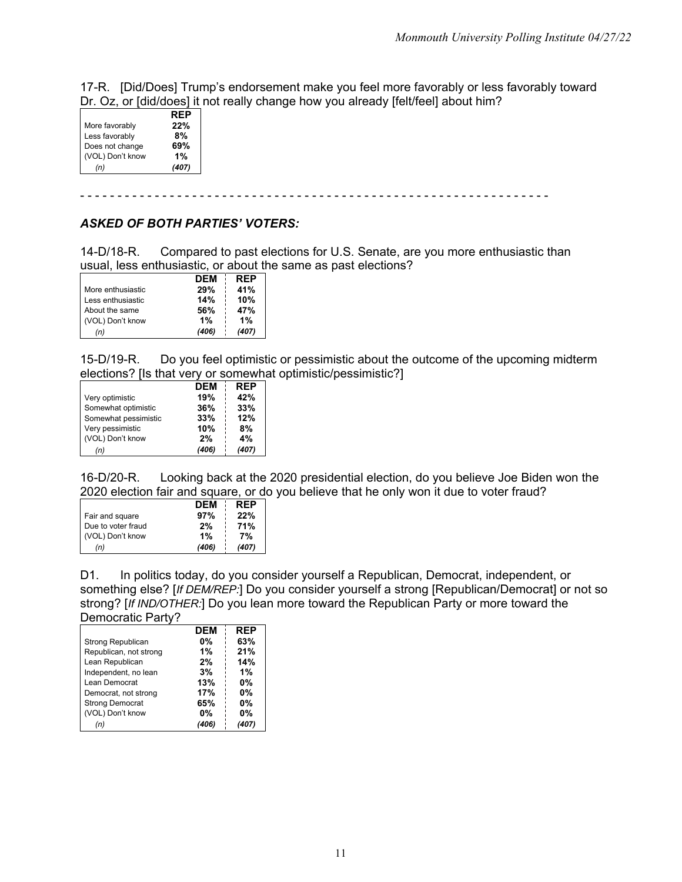17-R. [Did/Does] Trump's endorsement make you feel more favorably or less favorably toward Dr. Oz, or [did/does] it not really change how you already [felt/feel] about him?

|                  | RFP   |
|------------------|-------|
| More favorably   | 22%   |
| Less favorably   | 8%    |
| Does not change  | 69%   |
| (VOL) Don't know | 1%    |
| (n)              | (407) |

- - - - - - - - - - - - - - - - - - - - - - - - - - - - - - - - - - - - - - - - - - - - - - - - - - - - - - - - - - - - - - -

#### *ASKED OF BOTH PARTIES' VOTERS:*

14-D/18-R. Compared to past elections for U.S. Senate, are you more enthusiastic than usual, less enthusiastic, or about the same as past elections?

|                   | <b>DEM</b> | <b>REP</b> |
|-------------------|------------|------------|
| More enthusiastic | 29%        | 41%        |
| Less enthusiastic | 14%        | 10%        |
| About the same    | 56%        | 47%        |
| (VOL) Don't know  | 1%         | 1%         |
| (n)               | (406)      | (407)      |

15-D/19-R. Do you feel optimistic or pessimistic about the outcome of the upcoming midterm elections? [Is that very or somewhat optimistic/pessimistic?]

|                      | <b>DEM</b> | <b>REP</b> |
|----------------------|------------|------------|
| Very optimistic      | 19%        | 42%        |
| Somewhat optimistic  | 36%        | 33%        |
| Somewhat pessimistic | 33%        | 12%        |
| Very pessimistic     | 10%        | 8%         |
| (VOL) Don't know     | 2%         | 4%         |
| (n)                  | (406)      | (407)      |

16-D/20-R. Looking back at the 2020 presidential election, do you believe Joe Biden won the 2020 election fair and square, or do you believe that he only won it due to voter fraud?

|                    | DFM   | <b>RFP</b> |
|--------------------|-------|------------|
| Fair and square    | 97%   | 22%        |
| Due to voter fraud | 2%    | 71%        |
| (VOL) Don't know   | 1%    | 7%         |
| (n)                | (406) | (407)      |

D1. In politics today, do you consider yourself a Republican, Democrat, independent, or something else? [*If DEM/REP:*] Do you consider yourself a strong [Republican/Democrat] or not so strong? [*If IND/OTHER:*] Do you lean more toward the Republican Party or more toward the Democratic Party?

| <b>DEM</b> | <b>REP</b> |
|------------|------------|
| 0%         | 63%        |
| 1%         | 21%        |
| 2%         | 14%        |
| 3%         | 1%         |
| 13%        | <b>0%</b>  |
| 17%        | <b>0%</b>  |
| 65%        | <b>0%</b>  |
| $0\%$      | $0\%$      |
|            |            |
|            |            |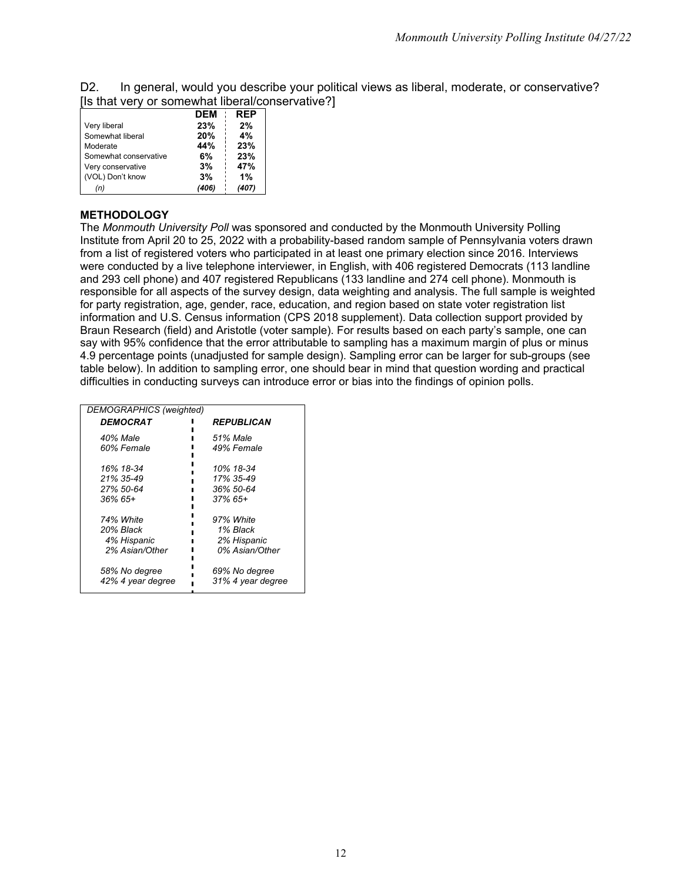D2. In general, would you describe your political views as liberal, moderate, or conservative? [Is that very or somewhat liberal/conservative?]

|                       | <b>DEM</b> | <b>REP</b> |
|-----------------------|------------|------------|
| Very liberal          | 23%        | 2%         |
| Somewhat liberal      | 20%        | 4%         |
| Moderate              | 44%        | 23%        |
| Somewhat conservative | 6%         | 23%        |
| Very conservative     | 3%         | 47%        |
| (VOL) Don't know      | 3%         | 1%         |
| (n)                   | (406)      | (407)      |

#### **METHODOLOGY**

The *Monmouth University Poll* was sponsored and conducted by the Monmouth University Polling Institute from April 20 to 25, 2022 with a probability-based random sample of Pennsylvania voters drawn from a list of registered voters who participated in at least one primary election since 2016. Interviews were conducted by a live telephone interviewer, in English, with 406 registered Democrats (113 landline and 293 cell phone) and 407 registered Republicans (133 landline and 274 cell phone). Monmouth is responsible for all aspects of the survey design, data weighting and analysis. The full sample is weighted for party registration, age, gender, race, education, and region based on state voter registration list information and U.S. Census information (CPS 2018 supplement). Data collection support provided by Braun Research (field) and Aristotle (voter sample). For results based on each party's sample, one can say with 95% confidence that the error attributable to sampling has a maximum margin of plus or minus 4.9 percentage points (unadjusted for sample design). Sampling error can be larger for sub-groups (see table below). In addition to sampling error, one should bear in mind that question wording and practical difficulties in conducting surveys can introduce error or bias into the findings of opinion polls.

| DEMOGRAPHICS (weighted) |                          |
|-------------------------|--------------------------|
| DEMOCRAT                | <i><b>REPUBLICAN</b></i> |
| 40% Male                | 51% Male                 |
| 60% Female              | 49% Female               |
| 16% 18-34               | 10% 18-34                |
| 21% 35-49               | 17% 35-49                |
| 27% 50-64               | 36% 50-64                |
| 36% 65+                 | $37\%$ 65+               |
| 74% White               | 97% White                |
| 20% Black               | 1% Black                 |
| 4% Hispanic             | 2% Hispanic              |
| 2% Asian/Other          | 0% Asian/Other           |
| 58% No degree           | 69% No degree            |
| 42% 4 year degree       | 31% 4 year degree        |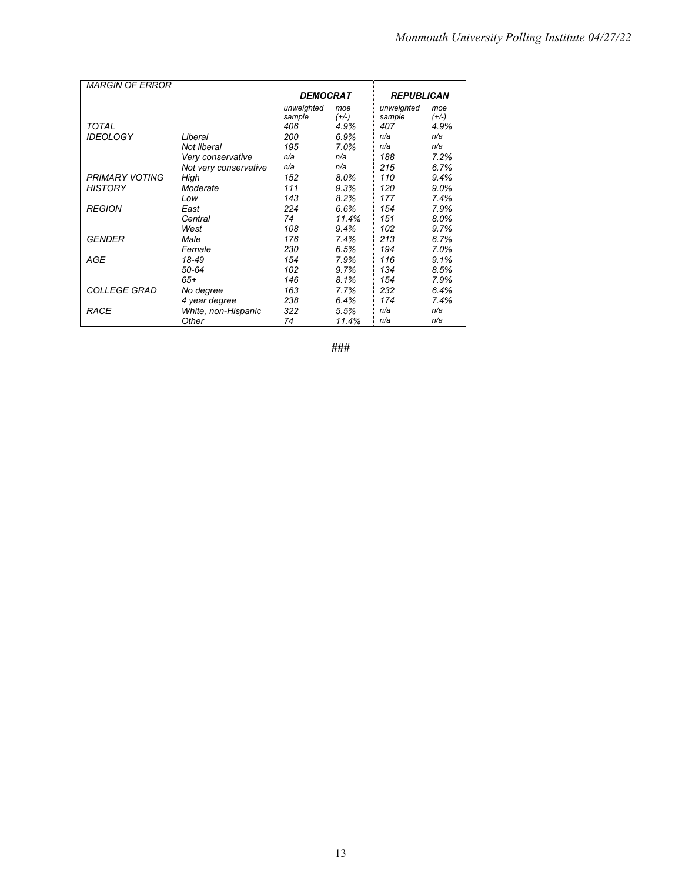| <b>MARGIN OF ERROR</b> |                       |                 |         |                   |             |
|------------------------|-----------------------|-----------------|---------|-------------------|-------------|
|                        |                       | <b>DEMOCRAT</b> |         | <b>REPUBLICAN</b> |             |
|                        |                       |                 |         |                   |             |
|                        |                       | unweighted      | moe     | unweighted        | moe         |
| TOTAL                  |                       | sample<br>406   | $(+/-)$ | sample<br>407     | $(+/-)$     |
|                        |                       |                 | 4.9%    | n/a               | 4.9%<br>n/a |
| <b>IDEOLOGY</b>        | Liberal               | 200             | $6.9\%$ |                   |             |
|                        | Not liberal           | 195             | 7.0%    | n/a               | n/a         |
|                        | Very conservative     | n/a             | n/a     | 188               | 7.2%        |
|                        | Not very conservative | n/a             | n/a     | 215               | 6.7%        |
| <b>PRIMARY VOTING</b>  | High                  | 152             | 8.0%    | 110               | 9.4%        |
| <b>HISTORY</b>         | Moderate              | 111             | 9.3%    | 120               | 9.0%        |
|                        | Low                   | 143             | 8.2%    | 177               | 7.4%        |
| <b>REGION</b>          | East                  | 224             | 6.6%    | 154               | 7.9%        |
|                        | Central               | 74              | 11.4%   | 151               | 8.0%        |
|                        | West                  | 108             | 9.4%    | 102               | 9.7%        |
| GENDER                 | Male                  | 176             | 7.4%    | 213               | 6.7%        |
|                        | Female                | 230             | 6.5%    | 194               | 7.0%        |
| AGE                    | 18-49                 | 154             | 7.9%    | 116               | 9.1%        |
|                        | 50-64                 | 102             | 9.7%    | 134               | 8.5%        |
|                        | 65+                   | 146             | 8.1%    | 154               | 7.9%        |
| <b>COLLEGE GRAD</b>    | No degree             | 163             | 7.7%    | 232               | 6.4%        |
|                        | 4 year degree         | 238             | 6.4%    | 174               | 7.4%        |
| RACE                   | White, non-Hispanic   | 322             | 5.5%    | n/a               | n/a         |
|                        | Other                 | 74              | 11.4%   | n/a               | n/a         |

**###**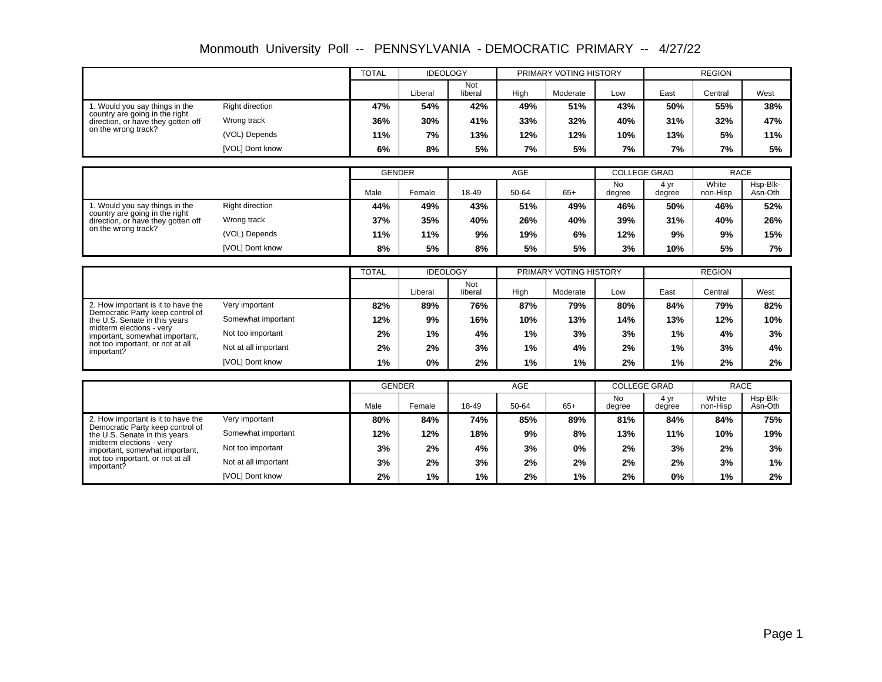|                                                                        |                      | <b>TOTAL</b>  | <b>IDEOLOGY</b> |                |                               | PRIMARY VOTING HISTORY |                     | <b>REGION</b>  |                   |                     |
|------------------------------------------------------------------------|----------------------|---------------|-----------------|----------------|-------------------------------|------------------------|---------------------|----------------|-------------------|---------------------|
|                                                                        |                      |               | Liberal         | Not<br>liberal | High                          | Moderate               | Low                 | East           | Central           | West                |
| 1. Would you say things in the<br>country are going in the right       | Right direction      | 47%           | 54%             | 42%            | 49%                           | 51%                    | 43%                 | 50%            | 55%               | 38%                 |
| direction, or have they gotten off                                     | Wrong track          | 36%           | 30%             | 41%            | 33%                           | 32%                    | 40%                 | 31%            | 32%               | 47%                 |
| on the wrong track?                                                    | (VOL) Depends        | 11%           | 7%              | 13%            | 12%                           | 12%                    | 10%                 | 13%            | 5%                | 11%                 |
|                                                                        | [VOL] Dont know      | 6%            | 8%              | 5%             | 7%                            | 5%                     | 7%                  | 7%             | 7%                | 5%                  |
|                                                                        |                      |               |                 |                |                               |                        |                     |                |                   |                     |
|                                                                        |                      | <b>GENDER</b> |                 |                | AGE                           |                        | <b>COLLEGE GRAD</b> |                | <b>RACE</b>       |                     |
|                                                                        |                      | Male          | Female          | 18-49          | 50-64                         | $65+$                  | <b>No</b><br>degree | 4 yr<br>degree | White<br>non-Hisp | Hsp-Blk-<br>Asn-Oth |
| 1. Would you say things in the<br>country are going in the right       | Right direction      | 44%           | 49%             | 43%            | 51%                           | 49%                    | 46%                 | 50%            | 46%               | 52%                 |
| direction, or have they gotten off                                     | Wrong track          | 37%           | 35%             | 40%            | 26%                           | 40%                    | 39%                 | 31%            | 40%               | 26%                 |
| on the wrong track?                                                    | (VOL) Depends        | 11%           | 11%             | 9%             | 19%                           | 6%                     | 12%                 | 9%             | 9%                | 15%                 |
|                                                                        | [VOL] Dont know      | 8%            | 5%              | 8%             | 5%                            | 5%                     | 3%                  | 10%            | 5%                | 7%                  |
|                                                                        |                      |               |                 |                |                               |                        |                     |                |                   |                     |
|                                                                        |                      | <b>TOTAL</b>  | <b>IDEOLOGY</b> |                | PRIMARY VOTING HISTORY<br>Not |                        |                     |                | <b>REGION</b>     |                     |
|                                                                        |                      |               | Liberal         | liberal        | High                          | Moderate               | Low                 | East           | Central           | West                |
| 2. How important is it to have the<br>Democratic Party keep control of | Very important       | 82%           | 89%             | 76%            | 87%                           | 79%                    | 80%                 | 84%            | 79%               | 82%                 |
| the U.S. Senate in this years                                          | Somewhat important   | 12%           | 9%              | 16%            | 10%                           | 13%                    | 14%                 | 13%            | 12%               | 10%                 |
| midterm elections - very<br>important, somewhat important,             | Not too important    | 2%            | 1%              | 4%             | 1%                            | 3%                     | 3%                  | 1%             | 4%                | 3%                  |
| not too important, or not at all<br>important?                         | Not at all important | 2%            | 2%              | 3%             | 1%                            | 4%                     | 2%                  | 1%             | 3%                | 4%                  |
|                                                                        | [VOL] Dont know      | 1%            | $0\%$           | 2%             | 1%                            | 1%                     | 2%                  | 1%             | 2%                | $2\%$               |
|                                                                        |                      |               |                 |                |                               |                        |                     |                |                   |                     |
|                                                                        |                      | <b>GENDER</b> |                 |                | AGE                           |                        | <b>COLLEGE GRAD</b> |                | <b>RACE</b>       |                     |
|                                                                        |                      | Male          | Female          | 18-49          | 50-64                         | $65+$                  | <b>No</b><br>degree | 4 yr<br>degree | White<br>non-Hisp | Hsp-Blk-<br>Asn-Oth |
| 2. How important is it to have the<br>Democratic Party keep control of | Very important       | 80%           | 84%             | 74%            | 85%                           | 89%                    | 81%                 | 84%            | 84%               | 75%                 |
| the U.S. Senate in this years                                          | Somewhat important   | 12%           | 12%             | 18%            | 9%                            | 8%                     | 13%                 | 11%            | 10%               | 19%                 |
| midterm elections - verv<br>important, somewhat important,             | Not too important    | 3%            | 2%              | 4%             | 3%                            | 0%                     | 2%                  | 3%             | 2%                | 3%                  |
| not too important, or not at all<br>important?                         | Not at all important | 3%            | 2%              | 3%             | 2%                            | 2%                     | 2%                  | 2%             | 3%                | 1%                  |
|                                                                        | [VOL] Dont know      | 2%            | 1%              | 1%             | 2%                            | 1%                     | 2%                  | $0\%$          | 1%                | 2%                  |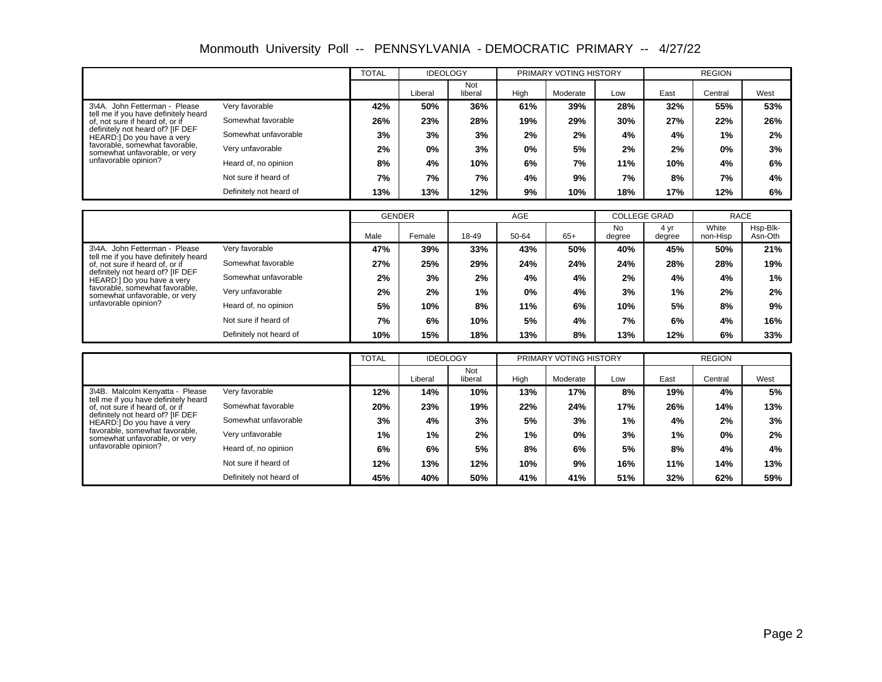Monmouth University Poll -- PENNSYLVANIA - DEMOCRATIC PRIMARY -- 4/27/22

|                                                                         |                         | <b>TOTAL</b> | <b>IDEOLOGY</b> |                |      | PRIMARY VOTING HISTORY |     |      | <b>REGION</b> |      |  |
|-------------------------------------------------------------------------|-------------------------|--------------|-----------------|----------------|------|------------------------|-----|------|---------------|------|--|
|                                                                         |                         |              | Liberal         | Not<br>liberal | High | Moderate               | Low | East | Central       | West |  |
| 3\4A. John Fetterman - Please                                           | Very favorable          | 42%          | 50%             | 36%            | 61%  | 39%                    | 28% | 32%  | 55%           | 53%  |  |
| tell me if you have definitely heard<br>of, not sure if heard of, or if | Somewhat favorable      | 26%          | 23%             | 28%            | 19%  | 29%                    | 30% | 27%  | 22%           | 26%  |  |
| definitely not heard of? [IF DEF<br>HEARD:] Do you have a very          | Somewhat unfavorable    | 3%           | 3%              | 3%             | 2%   | 2%                     | 4%  | 4%   | $1\%$         | 2%   |  |
| favorable, somewhat favorable,<br>somewhat unfavorable, or very         | Very unfavorable        | 2%           | 0%              | 3%             | 0%   | 5%                     | 2%  | 2%   | 0%            | 3%   |  |
| unfavorable opinion?                                                    | Heard of, no opinion    | 8%           | 4%              | 10%            | 6%   | 7%                     | 11% | 10%  | 4%            | 6%   |  |
|                                                                         | Not sure if heard of    | 7%           | 7%              | 7%             | 4%   | 9%                     | 7%  | 8%   | 7%            | 4%   |  |
|                                                                         | Definitely not heard of | 13%          | 13%             | 12%            | 9%   | 10%                    | 18% | 17%  | 12%           | 6%   |  |

|                                                                         |                         | <b>GENDER</b> |        |       | <b>AGE</b> |       |              | <b>COLLEGE GRAD</b> | <b>RACE</b>       |                     |
|-------------------------------------------------------------------------|-------------------------|---------------|--------|-------|------------|-------|--------------|---------------------|-------------------|---------------------|
|                                                                         |                         | Male          | Female | 18-49 | 50-64      | $65+$ | No<br>degree | 4 yr<br>degree      | White<br>non-Hisp | Hsp-Blk-<br>Asn-Oth |
| 3\4A. John Fetterman - Please                                           | Very favorable          | 47%           | 39%    | 33%   | 43%        | 50%   | 40%          | 45%                 | 50%               | 21%                 |
| tell me if you have definitely heard<br>of, not sure if heard of, or if | Somewhat favorable      | 27%           | 25%    | 29%   | 24%        | 24%   | 24%          | 28%                 | 28%               | 19%                 |
| definitely not heard of? [IF DEF<br>HEARD:] Do you have a very          | Somewhat unfavorable    | 2%            | 3%     | 2%    | 4%         | 4%    | 2%           | 4%                  | 4%                | 1%                  |
| favorable, somewhat favorable,<br>somewhat unfavorable, or very         | Very unfavorable        | 2%            | 2%     | $1\%$ | 0%         | 4%    | 3%           | 1%                  | 2%                | 2%                  |
| unfavorable opinion?                                                    | Heard of, no opinion    | 5%            | 10%    | 8%    | 11%        | 6%    | 10%          | 5%                  | 8%                | 9%                  |
|                                                                         | Not sure if heard of    | 7%            | 6%     | 10%   | 5%         | 4%    | 7%           | 6%                  | 4%                | 16%                 |
|                                                                         | Definitely not heard of | 10%           | 15%    | 18%   | 13%        | 8%    | 13%          | 12%                 | 6%                | 33%                 |

|                                                                         |                         | <b>TOTAL</b> | <b>IDEOLOGY</b> |                |      | PRIMARY VOTING HISTORY |     |      | <b>REGION</b> |      |  |
|-------------------------------------------------------------------------|-------------------------|--------------|-----------------|----------------|------|------------------------|-----|------|---------------|------|--|
|                                                                         |                         |              | Liberal         | Not<br>liberal | High | Moderate               | Low | East | Central       | West |  |
| 3\4B. Malcolm Kenyatta - Please                                         | Very favorable          | 12%          | 14%             | 10%            | 13%  | 17%                    | 8%  | 19%  | 4%            | 5%   |  |
| tell me if you have definitely heard<br>of, not sure if heard of, or if | Somewhat favorable      | 20%          | 23%             | 19%            | 22%  | 24%                    | 17% | 26%  | 14%           | 13%  |  |
| definitely not heard of? [IF DEF<br>HEARD:] Do you have a very          | Somewhat unfavorable    | 3%           | 4%              | 3%             | 5%   | 3%                     | 1%  | 4%   | 2%            | 3%   |  |
| favorable, somewhat favorable,<br>somewhat unfavorable, or very         | Very unfavorable        | 1%           | 1%              | 2%             | 1%   | 0%                     | 3%  | 1%   | 0%            | 2%   |  |
| unfavorable opinion?                                                    | Heard of, no opinion    | 6%           | 6%              | 5%             | 8%   | 6%                     | 5%  | 8%   | 4%            | 4%   |  |
|                                                                         | Not sure if heard of    | 12%          | 13%             | 12%            | 10%  | 9%                     | 16% | 11%  | 14%           | 13%  |  |
|                                                                         | Definitely not heard of | 45%          | 40%             | 50%            | 41%  | 41%                    | 51% | 32%  | 62%           | 59%  |  |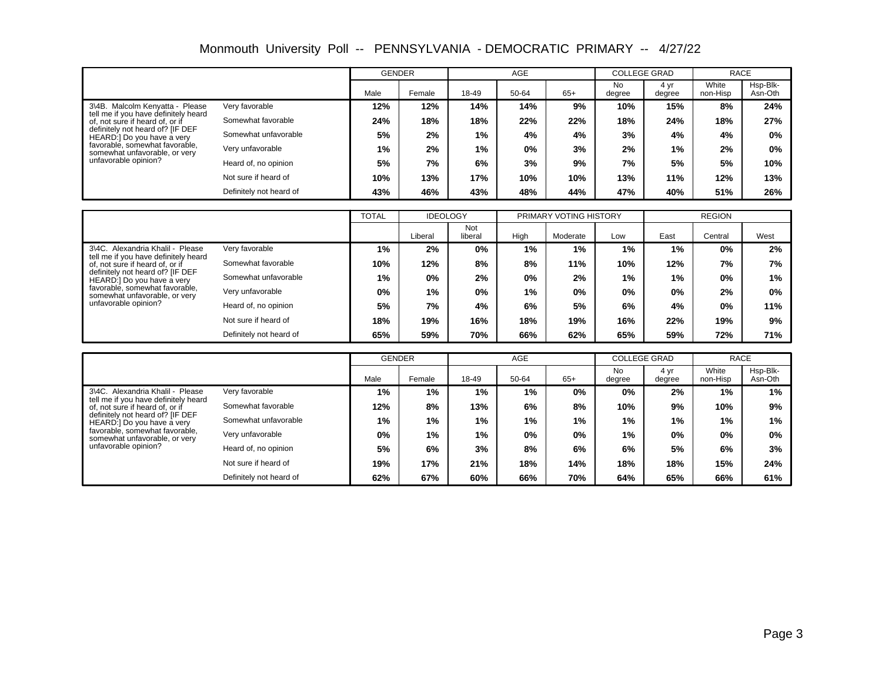|                                                                         |                         | <b>GENDER</b> |        |       | <b>AGE</b> |       |                     | <b>COLLEGE GRAD</b> | <b>RACE</b>       |                     |
|-------------------------------------------------------------------------|-------------------------|---------------|--------|-------|------------|-------|---------------------|---------------------|-------------------|---------------------|
|                                                                         |                         | Male          | Female | 18-49 | 50-64      | $65+$ | <b>No</b><br>degree | 4 yr<br>degree      | White<br>non-Hisp | Hsp-Blk-<br>Asn-Oth |
| 3\4B. Malcolm Kenvatta - Please                                         | Very favorable          | 12%           | 12%    | 14%   | 14%        | 9%    | 10%                 | 15%                 | 8%                | 24%                 |
| tell me if you have definitely heard<br>of, not sure if heard of, or if | Somewhat favorable      | 24%           | 18%    | 18%   | 22%        | 22%   | 18%                 | 24%                 | 18%               | 27%                 |
| definitely not heard of? [IF DEF<br>HEARD:] Do you have a very          | Somewhat unfavorable    | 5%            | 2%     | $1\%$ | 4%         | 4%    | 3%                  | 4%                  | 4%                | 0%                  |
| favorable, somewhat favorable,<br>somewhat unfavorable, or very         | Very unfavorable        | 1%            | 2%     | 1%    | 0%         | 3%    | 2%                  | 1%                  | 2%                | 0%                  |
| unfavorable opinion?                                                    | Heard of, no opinion    | 5%            | 7%     | 6%    | 3%         | 9%    | 7%                  | 5%                  | 5%                | 10%                 |
|                                                                         | Not sure if heard of    | 10%           | 13%    | 17%   | 10%        | 10%   | 13%                 | 11%                 | 12%               | 13%                 |
|                                                                         | Definitely not heard of | 43%           | 46%    | 43%   | 48%        | 44%   | 47%                 | 40%                 | 51%               | 26%                 |

|                                                                          |                         | <b>TOTAL</b> | <b>IDEOLOGY</b> |                |      | PRIMARY VOTING HISTORY |       |      | <b>REGION</b> |       |
|--------------------------------------------------------------------------|-------------------------|--------------|-----------------|----------------|------|------------------------|-------|------|---------------|-------|
|                                                                          |                         |              | Liberal         | Not<br>liberal | High | Moderate               | Low   | East | Central       | West  |
| 3\4C. Alexandria Khalil - Please<br>tell me if you have definitely heard | Very favorable          | 1%           | 2%              | $0\%$          | 1%   | 1%                     | $1\%$ | 1%   | $0\%$         | 2%    |
| of, not sure if heard of, or if                                          | Somewhat favorable      | 10%          | 12%             | 8%             | 8%   | 11%                    | 10%   | 12%  | 7%            | 7%    |
| definitely not heard of? IIF DEF<br>HEARD:] Do you have a very           | Somewhat unfavorable    | $1\%$        | 0%              | 2%             | 0%   | 2%                     | 1%    | 1%   | 0%            | 1%    |
| favorable, somewhat favorable,<br>somewhat unfavorable, or very          | Very unfavorable        | $0\%$        | 1%              | 0%             | 1%   | $0\%$                  | 0%    | 0%   | 2%            | $0\%$ |
| unfavorable opinion?                                                     | Heard of, no opinion    | 5%           | 7%              | 4%             | 6%   | 5%                     | 6%    | 4%   | 0%            | 11%   |
|                                                                          | Not sure if heard of    | 18%          | 19%             | 16%            | 18%  | 19%                    | 16%   | 22%  | 19%           | 9%    |
|                                                                          | Definitely not heard of | 65%          | 59%             | 70%            | 66%  | 62%                    | 65%   | 59%  | 72%           | 71%   |

|                                                                                                                                           |                         | <b>GENDER</b> |        |       | <b>AGE</b> |       | <b>COLLEGE GRAD</b> |                | <b>RACE</b>       |                     |
|-------------------------------------------------------------------------------------------------------------------------------------------|-------------------------|---------------|--------|-------|------------|-------|---------------------|----------------|-------------------|---------------------|
|                                                                                                                                           |                         | Male          | Female | 18-49 | 50-64      | $65+$ | No<br>degree        | 4 yr<br>degree | White<br>non-Hisp | Hsp-Blk-<br>Asn-Oth |
| 3\4C. Alexandria Khalil - Please                                                                                                          | Very favorable          | $1\%$         | 1%     | 1%    | 1%         | $0\%$ | 0%                  | 2%             | 1%                | 1%                  |
| tell me if you have definitely heard<br>of, not sure if heard of, or if<br>definitely not heard of? [IF DEF<br>HEARD:] Do you have a very | Somewhat favorable      | 12%           | 8%     | 13%   | 6%         | 8%    | 10%                 | 9%             | 10%               | 9%                  |
|                                                                                                                                           | Somewhat unfavorable    | 1%            | 1%     | $1\%$ | 1%         | $1\%$ | 1%                  | 1%             | 1%                | 1%                  |
| favorable, somewhat favorable,<br>somewhat unfavorable, or very                                                                           | Very unfavorable        | 0%            | 1%     | $1\%$ | $0\%$      | $0\%$ | $1\%$               | 0%             | 0%                | 0%                  |
| unfavorable opinion?                                                                                                                      | Heard of, no opinion    | 5%            | 6%     | 3%    | 8%         | 6%    | 6%                  | 5%             | 6%                | 3%                  |
|                                                                                                                                           | Not sure if heard of    | 19%           | 17%    | 21%   | 18%        | 14%   | 18%                 | 18%            | 15%               | 24%                 |
|                                                                                                                                           | Definitely not heard of | 62%           | 67%    | 60%   | 66%        | 70%   | 64%                 | 65%            | 66%               | 61%                 |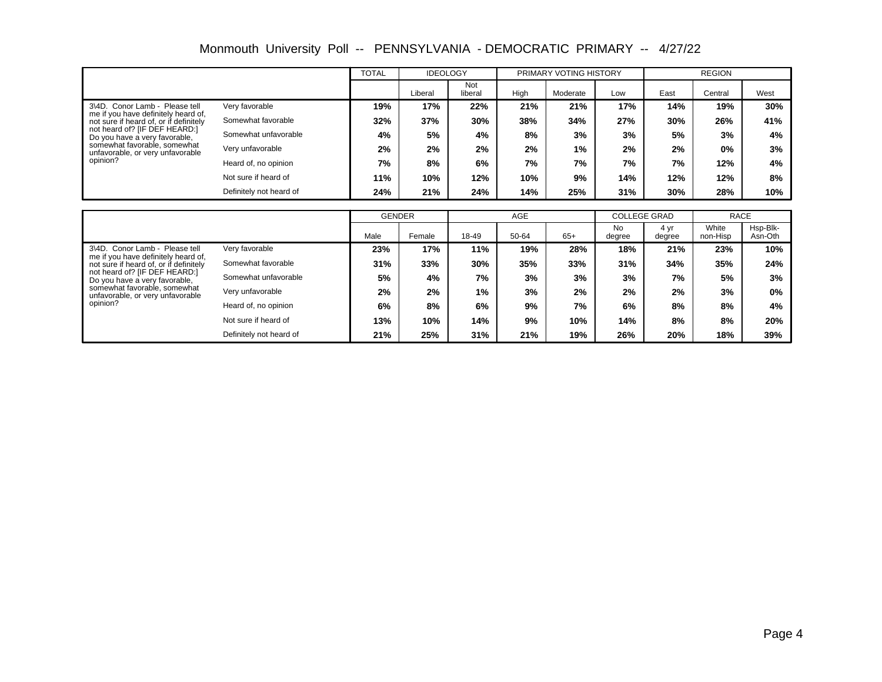Monmouth University Poll -- PENNSYLVANIA - DEMOCRATIC PRIMARY -- 4/27/22

|                                                                               |                         | <b>TOTAL</b> | <b>IDEOLOGY</b> |                |      | PRIMARY VOTING HISTORY |     |      | <b>REGION</b> |      |  |
|-------------------------------------------------------------------------------|-------------------------|--------------|-----------------|----------------|------|------------------------|-----|------|---------------|------|--|
|                                                                               |                         |              | Liberal         | Not<br>liberal | High | Moderate               | Low | East | Central       | West |  |
| 3\4D. Conor Lamb - Please tell                                                | Very favorable          | 19%          | 17%             | 22%            | 21%  | 21%                    | 17% | 14%  | 19%           | 30%  |  |
| me if you have definitely heard of,<br>not sure if heard of, or if definitely | Somewhat favorable      | 32%          | 37%             | 30%            | 38%  | 34%                    | 27% | 30%  | 26%           | 41%  |  |
| not heard of? [IF DEF HEARD:]<br>Do you have a very favorable,                | Somewhat unfavorable    | 4%           | 5%              | 4%             | 8%   | 3%                     | 3%  | 5%   | 3%            | 4%   |  |
| somewhat favorable, somewhat<br>unfavorable, or very unfavorable              | Very unfavorable        | 2%           | 2%              | 2%             | 2%   | 1%                     | 2%  | 2%   | $0\%$         | 3%   |  |
| opinion?                                                                      | Heard of, no opinion    | 7%           | 8%              | 6%             | 7%   | 7%                     | 7%  | 7%   | 12%           | 4%   |  |
|                                                                               | Not sure if heard of    | 11%          | 10%             | 12%            | 10%  | 9%                     | 14% | 12%  | 12%           | 8%   |  |
|                                                                               | Definitely not heard of | 24%          | 21%             | 24%            | 14%  | 25%                    | 31% | 30%  | 28%           | 10%  |  |

|                                                                               |                         | <b>GENDER</b> |        | <b>AGE</b> |       |       | <b>COLLEGE GRAD</b> |                | <b>RACE</b>       |                     |
|-------------------------------------------------------------------------------|-------------------------|---------------|--------|------------|-------|-------|---------------------|----------------|-------------------|---------------------|
|                                                                               |                         | Male          | Female | 18-49      | 50-64 | $65+$ | No<br>degree        | 4 yr<br>degree | White<br>non-Hisp | Hsp-Blk-<br>Asn-Oth |
| 3\4D. Conor Lamb - Please tell                                                | Very favorable          | 23%           | 17%    | 11%        | 19%   | 28%   | 18%                 | 21%            | 23%               | 10%                 |
| me if you have definitely heard of,<br>not sure if heard of, or if definitely | Somewhat favorable      | 31%           | 33%    | 30%        | 35%   | 33%   | 31%                 | 34%            | 35%               | 24%                 |
| not heard of? [IF DEF HEARD:]<br>Do you have a very favorable,                | Somewhat unfavorable    | 5%            | 4%     | 7%         | 3%    | 3%    | 3%                  | 7%             | 5%                | 3%                  |
| somewhat favorable, somewhat<br>unfavorable, or very unfavorable              | Very unfavorable        | 2%            | 2%     | 1%         | 3%    | 2%    | 2%                  | 2%             | 3%                | $0\%$               |
| opinion?                                                                      | Heard of, no opinion    | 6%            | 8%     | 6%         | 9%    | 7%    | 6%                  | 8%             | 8%                | 4%                  |
|                                                                               | Not sure if heard of    | 13%           | 10%    | 14%        | 9%    | 10%   | 14%                 | 8%             | 8%                | 20%                 |
|                                                                               | Definitely not heard of | 21%           | 25%    | 31%        | 21%   | 19%   | 26%                 | 20%            | 18%               | 39%                 |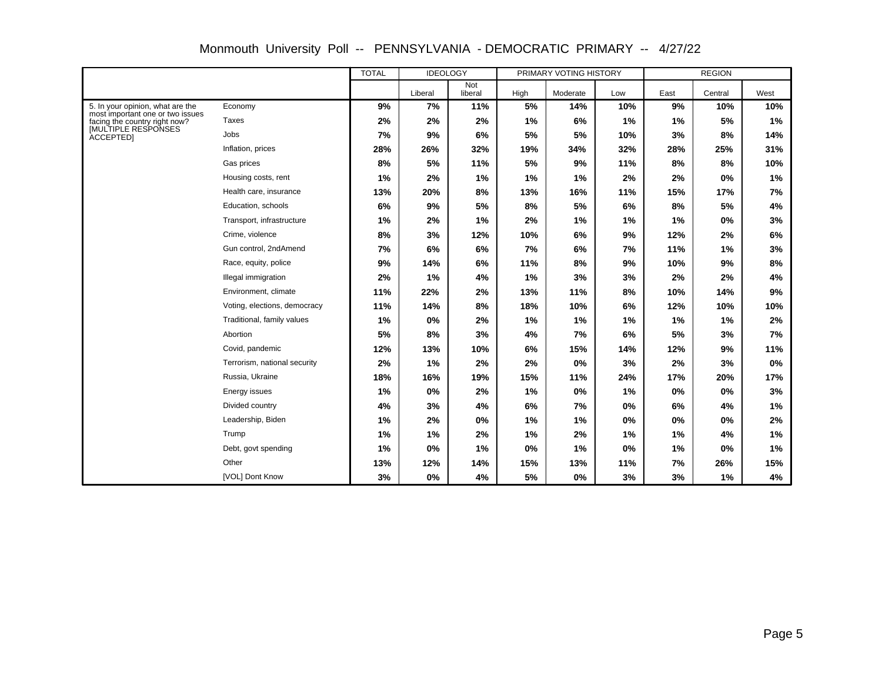|                                                                      |                              | <b>TOTAL</b><br><b>IDEOLOGY</b> |         |                | PRIMARY VOTING HISTORY |          | <b>REGION</b> |      |         |      |
|----------------------------------------------------------------------|------------------------------|---------------------------------|---------|----------------|------------------------|----------|---------------|------|---------|------|
|                                                                      |                              |                                 | Liberal | Not<br>liberal | High                   | Moderate | Low           | East | Central | West |
| 5. In your opinion, what are the<br>most important one or two issues | Economy                      | 9%                              | 7%      | 11%            | 5%                     | 14%      | 10%           | 9%   | 10%     | 10%  |
| facing the country right now?                                        | <b>Taxes</b>                 | 2%                              | 2%      | 2%             | 1%                     | 6%       | 1%            | 1%   | 5%      | 1%   |
| <b>IMULTIPLE RESPONSES</b><br><b>ACCEPTEDI</b>                       | Jobs                         | 7%                              | 9%      | 6%             | 5%                     | 5%       | 10%           | 3%   | 8%      | 14%  |
|                                                                      | Inflation, prices            | 28%                             | 26%     | 32%            | 19%                    | 34%      | 32%           | 28%  | 25%     | 31%  |
|                                                                      | Gas prices                   | 8%                              | 5%      | 11%            | 5%                     | 9%       | 11%           | 8%   | 8%      | 10%  |
|                                                                      | Housing costs, rent          | 1%                              | 2%      | 1%             | 1%                     | 1%       | 2%            | 2%   | 0%      | 1%   |
|                                                                      | Health care, insurance       | 13%                             | 20%     | 8%             | 13%                    | 16%      | 11%           | 15%  | 17%     | 7%   |
|                                                                      | Education, schools           | 6%                              | 9%      | 5%             | 8%                     | 5%       | 6%            | 8%   | 5%      | 4%   |
|                                                                      | Transport, infrastructure    | 1%                              | 2%      | 1%             | 2%                     | 1%       | 1%            | 1%   | 0%      | 3%   |
|                                                                      | Crime, violence              | 8%                              | 3%      | 12%            | 10%                    | 6%       | 9%            | 12%  | 2%      | 6%   |
|                                                                      | Gun control, 2ndAmend        | 7%                              | 6%      | 6%             | 7%                     | 6%       | 7%            | 11%  | 1%      | 3%   |
|                                                                      | Race, equity, police         | 9%                              | 14%     | 6%             | 11%                    | 8%       | 9%            | 10%  | 9%      | 8%   |
|                                                                      | Illegal immigration          | 2%                              | 1%      | 4%             | 1%                     | 3%       | 3%            | 2%   | 2%      | 4%   |
|                                                                      | Environment, climate         | 11%                             | 22%     | 2%             | 13%                    | 11%      | 8%            | 10%  | 14%     | 9%   |
|                                                                      | Voting, elections, democracy | 11%                             | 14%     | 8%             | 18%                    | 10%      | 6%            | 12%  | 10%     | 10%  |
|                                                                      | Traditional, family values   | 1%                              | 0%      | 2%             | 1%                     | 1%       | 1%            | 1%   | 1%      | 2%   |
|                                                                      | Abortion                     | 5%                              | 8%      | 3%             | 4%                     | 7%       | 6%            | 5%   | 3%      | 7%   |
|                                                                      | Covid, pandemic              | 12%                             | 13%     | 10%            | 6%                     | 15%      | 14%           | 12%  | 9%      | 11%  |
|                                                                      | Terrorism, national security | 2%                              | 1%      | 2%             | 2%                     | 0%       | 3%            | 2%   | 3%      | 0%   |
|                                                                      | Russia, Ukraine              | 18%                             | 16%     | 19%            | 15%                    | 11%      | 24%           | 17%  | 20%     | 17%  |
|                                                                      | Energy issues                | 1%                              | 0%      | 2%             | 1%                     | 0%       | 1%            | 0%   | 0%      | 3%   |
|                                                                      | Divided country              | 4%                              | 3%      | 4%             | 6%                     | 7%       | 0%            | 6%   | 4%      | 1%   |
|                                                                      | Leadership, Biden            | 1%                              | 2%      | 0%             | 1%                     | 1%       | 0%            | 0%   | 0%      | 2%   |
|                                                                      | Trump                        | 1%                              | 1%      | 2%             | 1%                     | 2%       | 1%            | 1%   | 4%      | 1%   |
|                                                                      | Debt, govt spending          | 1%                              | 0%      | 1%             | 0%                     | 1%       | $0\%$         | 1%   | 0%      | 1%   |
|                                                                      | Other                        | 13%                             | 12%     | 14%            | 15%                    | 13%      | 11%           | 7%   | 26%     | 15%  |
|                                                                      | [VOL] Dont Know              | 3%                              | 0%      | 4%             | 5%                     | 0%       | 3%            | 3%   | 1%      | 4%   |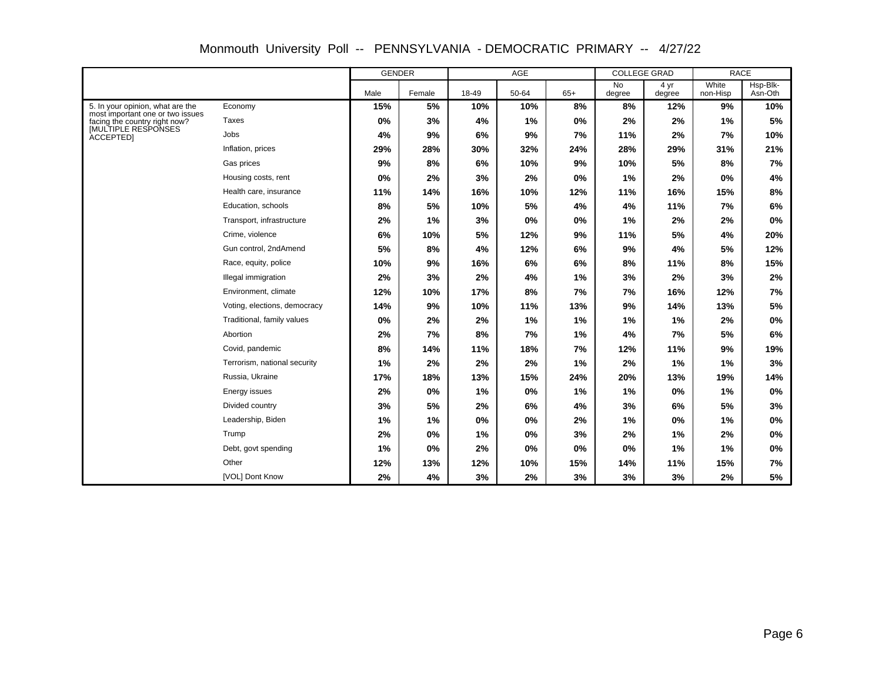|                                                                      |                              | <b>GENDER</b> |        | AGE   |       |       | <b>COLLEGE GRAD</b> |                | <b>RACE</b>       |                     |
|----------------------------------------------------------------------|------------------------------|---------------|--------|-------|-------|-------|---------------------|----------------|-------------------|---------------------|
|                                                                      |                              | Male          | Female | 18-49 | 50-64 | $65+$ | <b>No</b><br>degree | 4 yr<br>degree | White<br>non-Hisp | Hsp-Blk-<br>Asn-Oth |
| 5. In your opinion, what are the<br>most important one or two issues | Economy                      | 15%           | 5%     | 10%   | 10%   | 8%    | 8%                  | 12%            | 9%                | 10%                 |
| facing the country right now?                                        | Taxes                        | $0\%$         | 3%     | 4%    | 1%    | 0%    | 2%                  | 2%             | 1%                | 5%                  |
| <b>IMULTIPLE RESPONSES</b><br><b>ACCEPTEDI</b>                       | Jobs                         | 4%            | 9%     | 6%    | 9%    | 7%    | 11%                 | 2%             | 7%                | 10%                 |
|                                                                      | Inflation, prices            | 29%           | 28%    | 30%   | 32%   | 24%   | 28%                 | 29%            | 31%               | 21%                 |
|                                                                      | Gas prices                   | 9%            | 8%     | 6%    | 10%   | 9%    | 10%                 | 5%             | 8%                | 7%                  |
|                                                                      | Housing costs, rent          | 0%            | 2%     | 3%    | 2%    | 0%    | 1%                  | 2%             | 0%                | 4%                  |
|                                                                      | Health care, insurance       | 11%           | 14%    | 16%   | 10%   | 12%   | 11%                 | 16%            | 15%               | 8%                  |
|                                                                      | Education, schools           | 8%            | 5%     | 10%   | 5%    | 4%    | 4%                  | 11%            | 7%                | 6%                  |
|                                                                      | Transport, infrastructure    | 2%            | 1%     | 3%    | 0%    | 0%    | 1%                  | 2%             | 2%                | 0%                  |
|                                                                      | Crime, violence              | 6%            | 10%    | 5%    | 12%   | 9%    | 11%                 | 5%             | 4%                | 20%                 |
|                                                                      | Gun control, 2ndAmend        | 5%            | 8%     | 4%    | 12%   | 6%    | 9%                  | 4%             | 5%                | 12%                 |
|                                                                      | Race, equity, police         | 10%           | 9%     | 16%   | 6%    | 6%    | 8%                  | 11%            | 8%                | 15%                 |
|                                                                      | Illegal immigration          | 2%            | 3%     | 2%    | 4%    | 1%    | 3%                  | 2%             | 3%                | 2%                  |
|                                                                      | Environment, climate         | 12%           | 10%    | 17%   | 8%    | 7%    | 7%                  | 16%            | 12%               | 7%                  |
|                                                                      | Voting, elections, democracy | 14%           | 9%     | 10%   | 11%   | 13%   | 9%                  | 14%            | 13%               | 5%                  |
|                                                                      | Traditional, family values   | 0%            | 2%     | 2%    | 1%    | 1%    | 1%                  | 1%             | 2%                | 0%                  |
|                                                                      | Abortion                     | 2%            | 7%     | 8%    | 7%    | 1%    | 4%                  | 7%             | 5%                | 6%                  |
|                                                                      | Covid, pandemic              | 8%            | 14%    | 11%   | 18%   | 7%    | 12%                 | 11%            | 9%                | 19%                 |
|                                                                      | Terrorism, national security | 1%            | 2%     | 2%    | 2%    | 1%    | 2%                  | 1%             | 1%                | 3%                  |
|                                                                      | Russia, Ukraine              | 17%           | 18%    | 13%   | 15%   | 24%   | 20%                 | 13%            | 19%               | 14%                 |
|                                                                      | Energy issues                | 2%            | 0%     | 1%    | 0%    | 1%    | 1%                  | 0%             | 1%                | 0%                  |
|                                                                      | Divided country              | 3%            | 5%     | 2%    | 6%    | 4%    | 3%                  | 6%             | 5%                | 3%                  |
|                                                                      | Leadership, Biden            | 1%            | 1%     | 0%    | 0%    | 2%    | 1%                  | 0%             | 1%                | 0%                  |
|                                                                      | Trump                        | 2%            | 0%     | 1%    | 0%    | 3%    | 2%                  | 1%             | 2%                | 0%                  |
|                                                                      | Debt, govt spending          | 1%            | 0%     | 2%    | 0%    | 0%    | 0%                  | 1%             | 1%                | 0%                  |
|                                                                      | Other                        | 12%           | 13%    | 12%   | 10%   | 15%   | 14%                 | 11%            | 15%               | 7%                  |
|                                                                      | [VOL] Dont Know              | 2%            | 4%     | 3%    | 2%    | 3%    | 3%                  | 3%             | 2%                | 5%                  |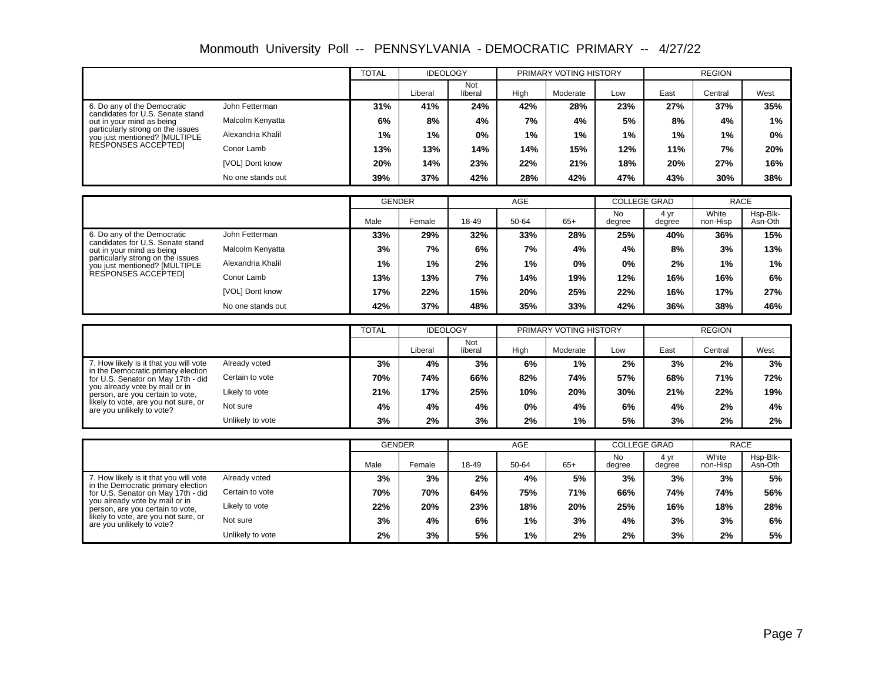Monmouth University Poll -- PENNSYLVANIA - DEMOCRATIC PRIMARY -- 4/27/22

|                                                                    |                   | <b>TOTAL</b> | <b>IDEOLOGY</b> |                |      | PRIMARY VOTING HISTORY |     |      | <b>REGION</b> |       |
|--------------------------------------------------------------------|-------------------|--------------|-----------------|----------------|------|------------------------|-----|------|---------------|-------|
|                                                                    |                   |              | Liberal         | Not<br>liberal | High | Moderate               | Low | East | Central       | West  |
| 6. Do any of the Democratic<br>candidates for U.S. Senate stand    | John Fetterman    | 31%          | 41%             | 24%            | 42%  | 28%                    | 23% | 27%  | 37%           | 35%   |
| out in your mind as being                                          | Malcolm Kenyatta  | 6%           | 8%              | 4%             | 7%   | 4%                     | 5%  | 8%   | 4%            | 1%    |
| particularly strong on the issues<br>you just mentioned? [MULTIPLE | Alexandria Khalil | $1\%$        | 1%              | $0\%$          | 1%   | 1%                     | 1%  | 1%   | $1\%$         | $0\%$ |
| RESPONSES ACCEPTED]                                                | Conor Lamb        | 13%          | 13%             | 14%            | 14%  | 15%                    | 12% | 11%  | 7%            | 20%   |
|                                                                    | [VOL] Dont know   | 20%          | 14%             | 23%            | 22%  | 21%                    | 18% | 20%  | 27%           | 16%   |
|                                                                    | No one stands out | 39%          | 37%             | 42%            | 28%  | 42%                    | 47% | 43%  | 30%           | 38%   |

|                                                                    |                   |       | <b>GENDER</b> | <b>AGE</b> |       |       | <b>COLLEGE GRAD</b> |                | <b>RACE</b>       |                     |
|--------------------------------------------------------------------|-------------------|-------|---------------|------------|-------|-------|---------------------|----------------|-------------------|---------------------|
|                                                                    |                   | Male  | Female        | 18-49      | 50-64 | $65+$ | <b>No</b><br>degree | 4 vr<br>degree | White<br>non-Hisp | Hsp-Blk-<br>Asn-Oth |
| 6. Do any of the Democratic<br>candidates for U.S. Senate stand    | John Fetterman    | 33%   | 29%           | 32%        | 33%   | 28%   | 25%                 | 40%            | 36%               | 15%                 |
| out in your mind as being                                          | Malcolm Kenyatta  | 3%    | 7%            | 6%         | 7%    | 4%    | 4%                  | 8%             | 3%                | 13%                 |
| particularly strong on the issues<br>you just mentioned? [MULTIPLE | Alexandria Khalil | $1\%$ | 1%            | 2%         | 1%    | 0%    | 0%                  | 2%             | 1%                | 1%                  |
| RESPONSES ACCEPTED]                                                | Conor Lamb        | 13%   | 13%           | 7%         | 14%   | 19%   | 12%                 | 16%            | 16%               | 6%                  |
|                                                                    | [VOL] Dont know   | 17%   | 22%           | 15%        | 20%   | 25%   | 22%                 | 16%            | 17%               | 27%                 |
|                                                                    | No one stands out | 42%   | 37%           | 48%        | 35%   | 33%   | 42%                 | 36%            | 38%               | 46%                 |

|                                                                              |                  | <b>TOTAL</b> | <b>IDEOLOGY</b> |                |       | PRIMARY VOTING HISTORY |     | <b>REGION</b> |         |      |
|------------------------------------------------------------------------------|------------------|--------------|-----------------|----------------|-------|------------------------|-----|---------------|---------|------|
|                                                                              |                  |              | .iberal         | Not<br>liberal | High  | Moderate               | Low | East          | Central | West |
| 7. How likely is it that you will vote<br>in the Democratic primary election | Already voted    | 3%           | 4%              | 3%             | 6%    | 1%                     | 2%  | 3%            | 2%      | 3%   |
| for U.S. Senator on May 17th - did                                           | Certain to vote  | 70%          | 74%             | 66%            | 82%   | 74%                    | 57% | 68%           | 71%     | 72%  |
| you already vote by mail or in<br>person, are you certain to vote,           | Likely to vote   | 21%          | 17%             | 25%            | 10%   | 20%                    | 30% | 21%           | 22%     | 19%  |
| likely to vote, are you not sure, or<br>are you unlikely to vote?            | Not sure         | 4%           | 4%              | 4%             | $0\%$ | 4%                     | 6%  | 4%            | 2%      | 4%   |
|                                                                              | Unlikely to vote | 3%           | 2%              | 3%             | 2%    | 1%                     | 5%  | 3%            | 2%      | 2%   |

|                                                                          |                  | <b>GENDER</b> |        | <b>AGE</b> |       |       | <b>COLLEGE GRAD</b> |                | <b>RACE</b>       |                     |
|--------------------------------------------------------------------------|------------------|---------------|--------|------------|-------|-------|---------------------|----------------|-------------------|---------------------|
|                                                                          |                  | Male          | Female | 18-49      | 50-64 | $65+$ | No<br>degree        | 4 yr<br>degree | White<br>non-Hisp | Hsp-Blk-<br>Asn-Oth |
| 7. How likely is it that you will vote                                   | Already voted    | 3%            | 3%     | 2%         | 4%    | 5%    | 3%                  | 3%             | 3%                | 5%                  |
| in the Democratic primary election<br>for U.S. Senator on May 17th - did | Certain to vote  | 70%           | 70%    | 64%        | 75%   | 71%   | 66%                 | 74%            | 74%               | 56%                 |
| you already vote by mail or in<br>person, are you certain to vote,       | Likely to vote   | 22%           | 20%    | 23%        | 18%   | 20%   | 25%                 | 16%            | 18%               | 28%                 |
| likely to vote, are you not sure, or<br>are you unlikely to vote?        | Not sure         | 3%            | 4%     | 6%         | $1\%$ | 3%    | 4%                  | 3%             | 3%                | 6%                  |
|                                                                          | Unlikely to vote | 2%            | 3%     | 5%         | 1%    | 2%    | 2%                  | 3%             | $2\%$             | 5%                  |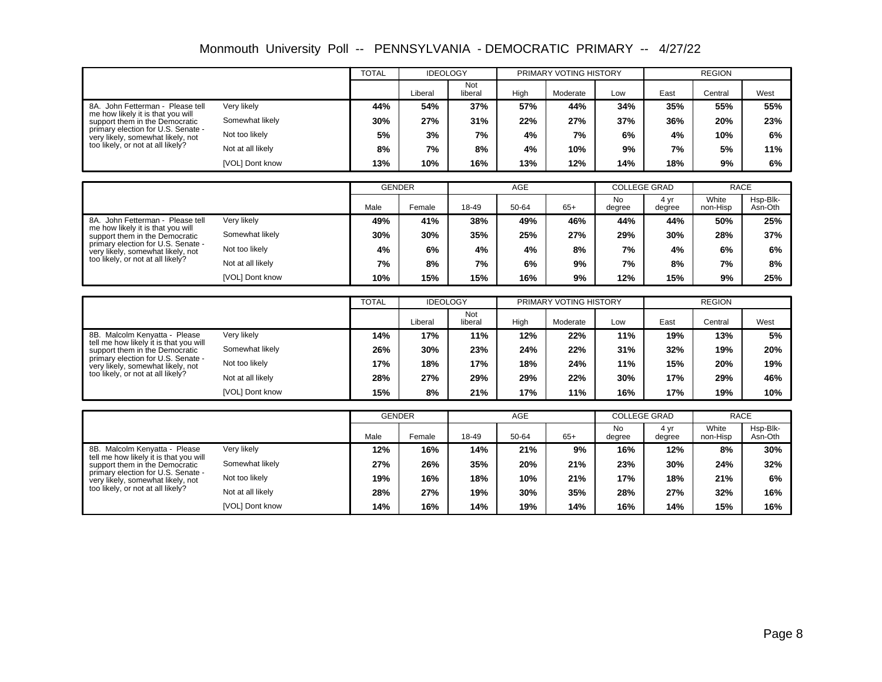|                                                                     | <b>MONINOUR UNIVERSITY FOIL -- PENINSTLVANIA - DEMOCRATIC PRIMART</b> |       |                      |                |          |                        | $- -$                | 4/ZI/ZZ  |                 |       |
|---------------------------------------------------------------------|-----------------------------------------------------------------------|-------|----------------------|----------------|----------|------------------------|----------------------|----------|-----------------|-------|
|                                                                     |                                                                       | TOTAL | <b>IDEOLOGY</b>      |                |          | PRIMARY VOTING HISTORY |                      |          | <b>REGION</b>   |       |
|                                                                     |                                                                       |       | Liberal              | Not<br>liberal | Hiah     | Moderate               | Low                  | East     | Central         | West  |
| 8A. John Fetterman - Please tell                                    | Very likely                                                           | 44%   | 54%                  | 37%            | 57%      | 44%                    | 34%                  | 35%      | 55%             | 55%   |
| me how likely it is that you will<br>support them in the Democratic | Somewhat likely                                                       | 30%   | 27%                  | 31%            | 22%      | 27%                    | 37%                  | 36%      | 20%             | 23%   |
| primary election for U.S. Senate -                                  |                                                                       | $-1$  | $\sim$ $\sim$ $\sim$ | $-1$           | $\cdots$ | $-1$                   | $\sim$ $\sim$ $\sim$ | $\cdots$ | $\cdot$ $\cdot$ | $- -$ |

**13% 10% 16% 13% 12% 14% 18% 9% 6% 8% 7% 8% 4% 10% 9% 7% 5% 11% 5% 3% 7% 4% 7% 6% 4% 10% 6% 30% 27% 31% 22% 27% 37% 36% 20% 23%**

Somewhat likely Not too likely Not at all likely [VOL] Dont know

very likely, somewhat likely, not too likely, or not at all likely?

|                                                                         |                   | <b>GENDER</b> |        | AGE   |       |       | <b>COLLEGE GRAD</b> |                | <b>RACE</b>       |                     |
|-------------------------------------------------------------------------|-------------------|---------------|--------|-------|-------|-------|---------------------|----------------|-------------------|---------------------|
|                                                                         |                   | Male          | Female | 18-49 | 50-64 | $65+$ | No<br>degree        | 4 vr<br>degree | White<br>non-Hisp | Hsp-Blk-<br>Asn-Oth |
| 8A. John Fetterman - Please tell                                        | Very likely       | 49%           | 41%    | 38%   | 49%   | 46%   | 44%                 | 44%            | 50%               | 25%                 |
| me how likely it is that you will<br>support them in the Democratic     | Somewhat likely   | 30%           | 30%    | 35%   | 25%   | 27%   | 29%                 | 30%            | 28%               | 37%                 |
| primary election for U.S. Senate -<br>very likely, somewhat likely, not | Not too likely    | 4%            | 6%     | 4%    | 4%    | 8%    | 7%                  | 4%             | 6%                | 6%                  |
| too likely, or not at all likely?                                       | Not at all likely | 7%            | 8%     | 7%    | 6%    | 9%    | 7%                  | 8%             | 7%                | 8%                  |
|                                                                         | [VOL] Dont know   | 10%           | 15%    | 15%   | 16%   | 9%    | 12%                 | 15%            | 9%                | 25%                 |

|                                                                          |                   | <b>TOTAL</b> | <b>IDEOLOGY</b> |                | PRIMARY VOTING HISTORY |          |     | <b>REGION</b> |         |      |
|--------------------------------------------------------------------------|-------------------|--------------|-----------------|----------------|------------------------|----------|-----|---------------|---------|------|
|                                                                          |                   |              | Liberal         | Not<br>liberal | High                   | Moderate | Low | East          | Central | West |
| 8B. Malcolm Kenyatta - Please                                            | Very likely       | 14%          | 17%             | 11%            | 12%                    | 22%      | 11% | 19%           | 13%     | 5%   |
| tell me how likely it is that you will<br>support them in the Democratic | Somewhat likely   | 26%          | 30%             | 23%            | 24%                    | 22%      | 31% | 32%           | 19%     | 20%  |
| primary election for U.S. Senate -<br>very likely, somewhat likely, not  | Not too likely    | 17%          | 18%             | 17%            | 18%                    | 24%      | 11% | 15%           | 20%     | 19%  |
| too likely, or not at all likely?                                        | Not at all likely | 28%          | 27%             | 29%            | 29%                    | 22%      | 30% | 17%           | 29%     | 46%  |
|                                                                          | [VOL] Dont know   | 15%          | 8%              | 21%            | 17%                    | 11%      | 16% | 17%           | 19%     | 10%  |

|                                                                          |                   | <b>GENDER</b> |        | <b>AGE</b> |       |       | <b>COLLEGE GRAD</b> |                | <b>RACE</b>       |                     |
|--------------------------------------------------------------------------|-------------------|---------------|--------|------------|-------|-------|---------------------|----------------|-------------------|---------------------|
|                                                                          |                   | Male          | Female | 18-49      | 50-64 | $65+$ | No<br>degree        | 4 yr<br>degree | White<br>non-Hisp | Hsp-Blk-<br>Asn-Oth |
| 8B. Malcolm Kenyatta - Please                                            | Very likely       | 12%           | 16%    | 14%        | 21%   | 9%    | 16%                 | 12%            | 8%                | 30%                 |
| tell me how likely it is that you will<br>support them in the Democratic | Somewhat likely   | 27%           | 26%    | 35%        | 20%   | 21%   | 23%                 | 30%            | 24%               | 32%                 |
| primary election for U.S. Senate -<br>very likely, somewhat likely, not  | Not too likely    | 19%           | 16%    | 18%        | 10%   | 21%   | 17%                 | 18%            | 21%               | 6%                  |
| too likely, or not at all likely?                                        | Not at all likely | 28%           | 27%    | 19%        | 30%   | 35%   | 28%                 | 27%            | 32%               | 16%                 |
|                                                                          | [VOL] Dont know   | 14%           | 16%    | 14%        | 19%   | 14%   | 16%                 | 14%            | 15%               | 16%                 |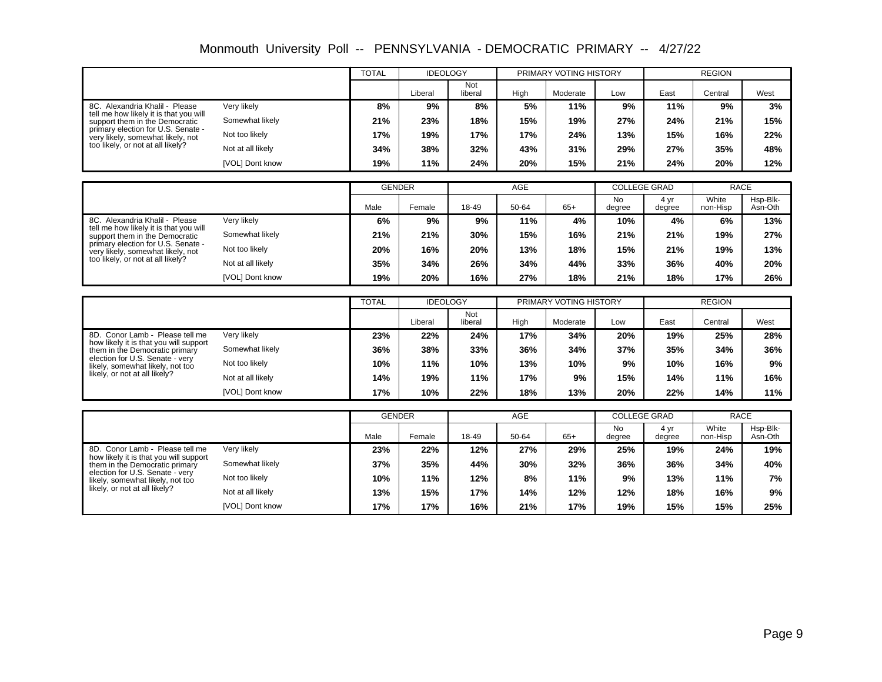| Monmouth University Poll -- PENNSYLVANIA - DEMOCRATIC PRIMARY -- 4/27/22 |  |  |  |  |
|--------------------------------------------------------------------------|--|--|--|--|
|--------------------------------------------------------------------------|--|--|--|--|

|                                                                           |                   | <b>TOTAL</b>  | <b>IDEOLOGY</b> |                       |            | PRIMARY VOTING HISTORY |                                  |                | <b>REGION</b>        |                     |
|---------------------------------------------------------------------------|-------------------|---------------|-----------------|-----------------------|------------|------------------------|----------------------------------|----------------|----------------------|---------------------|
|                                                                           |                   |               | Liberal         | <b>Not</b><br>liberal | High       | Moderate               | Low                              | East           | Central              | West                |
| 8C. Alexandria Khalil - Please<br>tell me how likely it is that you will  | Very likely       | 8%            | 9%              | 8%                    | 5%         | 11%                    | 9%                               | 11%            | 9%                   | 3%                  |
| support them in the Democratic                                            | Somewhat likely   | 21%           | 23%             | 18%                   | 15%        | 19%                    | 27%                              | 24%            | 21%                  | 15%                 |
| primary election for U.S. Senate -<br>very likely, somewhat likely, not   | Not too likely    | 17%           | 19%             | 17%                   | 17%        | 24%                    | 13%                              | 15%            | 16%                  | 22%                 |
| too likely, or not at all likely?                                         | Not at all likely | 34%           | 38%             | 32%                   | 43%        | 31%                    | 29%                              | 27%            | 35%                  | 48%                 |
|                                                                           | [VOL] Dont know   | 19%           | 11%             | 24%                   | 20%        | 15%                    | 21%                              | 24%            | 20%                  | 12%                 |
|                                                                           |                   |               |                 |                       |            |                        |                                  |                |                      |                     |
|                                                                           |                   | <b>GENDER</b> |                 |                       | AGE        |                        | <b>COLLEGE GRAD</b>              |                | <b>RACE</b>          |                     |
|                                                                           |                   | Male          | Female          | 18-49                 | 50-64      | $65+$                  | <b>No</b><br>degree              | 4 yr<br>degree | White<br>non-Hisp    | Hsp-Blk-<br>Asn-Oth |
| 8C. Alexandria Khalil - Please<br>tell me how likely it is that you will  | Very likely       | 6%            | 9%              | 9%                    | 11%        | 4%                     | 10%                              | 4%             | 6%                   | 13%                 |
| support them in the Democratic                                            | Somewhat likely   | 21%           | 21%             | 30%                   | 15%        | 16%                    | 21%                              | 21%            | 19%                  | 27%                 |
| primary election for U.S. Senate -<br>very likely, somewhat likely, not   | Not too likely    | 20%           | 16%             | 20%                   | 13%        | 18%                    | 15%                              | 21%            | 19%                  | 13%                 |
| too likely, or not at all likely?                                         | Not at all likely | 35%           | 34%             | 26%                   | 34%        | 44%                    | 33%                              | 36%            | 40%                  | 20%                 |
|                                                                           | [VOL] Dont know   | 19%           | 20%             | 16%                   | 27%        | 18%                    | 21%                              | 18%            | 17%                  | 26%                 |
|                                                                           |                   |               |                 |                       |            |                        |                                  |                |                      |                     |
|                                                                           |                   |               |                 |                       |            |                        |                                  |                |                      |                     |
|                                                                           |                   | <b>TOTAL</b>  | <b>IDEOLOGY</b> |                       |            | PRIMARY VOTING HISTORY |                                  |                | <b>REGION</b>        |                     |
|                                                                           |                   |               | Liberal         | Not<br>liberal        | High       | Moderate               | Low                              | East           | Central              | West                |
| 8D. Conor Lamb - Please tell me                                           | Verv likely       | 23%           | 22%             | 24%                   | 17%        | 34%                    | 20%                              | 19%            | 25%                  | 28%                 |
| how likely it is that you will support<br>them in the Democratic primary  | Somewhat likely   | 36%           | 38%             | 33%                   | 36%        | 34%                    | 37%                              | 35%            | 34%                  | 36%                 |
| election for U.S. Senate - very<br>likely, somewhat likely, not too       | Not too likely    | 10%           | 11%             | 10%                   | 13%        | 10%                    | 9%                               | 10%            | 16%                  | 9%                  |
| likely, or not at all likely?                                             | Not at all likely | 14%           | 19%             | 11%                   | 17%        | 9%                     | 15%                              | 14%            | 11%                  | 16%                 |
|                                                                           | [VOL] Dont know   | 17%           | 10%             | 22%                   | 18%        | 13%                    | 20%                              | 22%            | 14%                  | 11%                 |
|                                                                           |                   |               |                 |                       |            |                        |                                  |                |                      |                     |
|                                                                           |                   | <b>GENDER</b> |                 |                       | <b>AGE</b> |                        | <b>COLLEGE GRAD</b><br><b>No</b> | 4 yr           | <b>RACE</b><br>White | Hsp-Blk-            |
|                                                                           |                   | Male          | Female          | 18-49                 | 50-64      | $65+$                  | degree                           | degree         | non-Hisp             | Asn-Oth             |
| 8D. Conor Lamb - Please tell me<br>how likely it is that you will support | Very likely       | 23%           | 22%             | 12%                   | 27%        | 29%                    | 25%                              | 19%            | 24%                  | 19%                 |
| them in the Democratic primary                                            | Somewhat likely   | 37%           | 35%             | 44%                   | 30%        | 32%                    | 36%                              | 36%            | 34%                  | 40%                 |
| election for U.S. Senate - verv<br>likely, somewhat likely, not too       | Not too likely    | 10%           | 11%             | 12%                   | 8%         | 11%                    | 9%                               | 13%            | 11%                  | 7%                  |
| likely, or not at all likely?                                             | Not at all likely | 13%           | 15%             | 17%                   | 14%        | 12%                    | 12%                              | 18%            | 16%                  | 9%                  |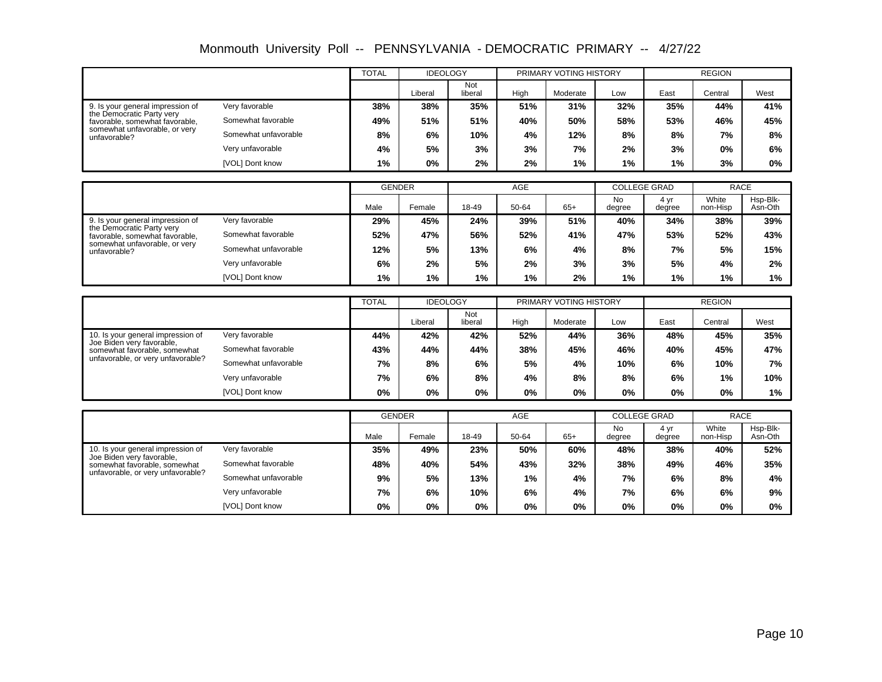| Monmouth University Poll -- PENNSYLVANIA - DEMOCRATIC PRIMARY -- 4/27/22 |  |  |  |  |
|--------------------------------------------------------------------------|--|--|--|--|
|--------------------------------------------------------------------------|--|--|--|--|

|                                                               |                      | <b>TOTAL</b>  | <b>IDEOLOGY</b> |                |       | PRIMARY VOTING HISTORY |                     |                | <b>REGION</b>     |                     |
|---------------------------------------------------------------|----------------------|---------------|-----------------|----------------|-------|------------------------|---------------------|----------------|-------------------|---------------------|
|                                                               |                      |               | Liberal         | Not<br>liberal | High  | Moderate               | Low                 | East           | Central           | West                |
| 9. Is your general impression of                              | Very favorable       | 38%           | 38%             | 35%            | 51%   | 31%                    | 32%                 | 35%            | 44%               | 41%                 |
| the Democratic Party very<br>favorable, somewhat favorable.   | Somewhat favorable   | 49%           | 51%             | 51%            | 40%   | 50%                    | 58%                 | 53%            | 46%               | 45%                 |
| somewhat unfavorable, or very<br>unfavorable?                 | Somewhat unfavorable | 8%            | 6%              | 10%            | 4%    | 12%                    | 8%                  | 8%             | 7%                | 8%                  |
|                                                               | Very unfavorable     | 4%            | 5%              | 3%             | 3%    | 7%                     | 2%                  | 3%             | 0%                | 6%                  |
|                                                               | [VOL] Dont know      | 1%            | 0%              | 2%             | 2%    | 1%                     | 1%                  | 1%             | 3%                | 0%                  |
|                                                               |                      |               |                 |                |       |                        |                     |                |                   |                     |
|                                                               |                      | <b>GENDER</b> |                 |                | AGE   |                        | <b>COLLEGE GRAD</b> |                | <b>RACE</b>       |                     |
|                                                               |                      | Male          | Female          | 18-49          | 50-64 | $65+$                  | <b>No</b><br>degree | 4 yr<br>degree | White<br>non-Hisp | Hsp-Blk-<br>Asn-Oth |
| 9. Is your general impression of<br>the Democratic Party very | Very favorable       | 29%           | 45%             | 24%            | 39%   | 51%                    | 40%                 | 34%            | 38%               | 39%                 |
| favorable, somewhat favorable,                                | Somewhat favorable   | 52%           | 47%             | 56%            | 52%   | 41%                    | 47%                 | 53%            | 52%               | 43%                 |
| somewhat unfavorable, or very<br>unfavorable?                 | Somewhat unfavorable | 12%           | 5%              | 13%            | 6%    | 4%                     | 8%                  | 7%             | 5%                | 15%                 |
|                                                               | Very unfavorable     | 6%            | 2%              | 5%             | 2%    | 3%                     | 3%                  | 5%             | 4%                | 2%                  |
|                                                               | [VOL] Dont know      | 1%            | 1%              | 1%             | 1%    | 2%                     | 1%                  | 1%             | 1%                | 1%                  |
|                                                               |                      |               |                 |                |       |                        |                     |                |                   |                     |
|                                                               |                      | <b>TOTAL</b>  | <b>IDEOLOGY</b> |                |       | PRIMARY VOTING HISTORY |                     |                | <b>REGION</b>     |                     |
|                                                               |                      |               | Liberal         | Not<br>liberal | High  | Moderate               | Low                 | East           |                   | West                |
|                                                               |                      |               |                 |                |       |                        |                     |                | Central           |                     |
| 10. Is your general impression of                             | Very favorable       | 44%           | 42%             | 42%            | 52%   | 44%                    | 36%                 | 48%            | 45%               | 35%                 |
| Joe Biden very favorable,<br>somewhat favorable, somewhat     | Somewhat favorable   | 43%           | 44%             | 44%            | 38%   | 45%                    | 46%                 | 40%            | 45%               | 47%                 |
| unfavorable, or very unfavorable?                             | Somewhat unfavorable | 7%            | 8%              | 6%             | 5%    | 4%                     | 10%                 | 6%             | 10%               | 7%                  |
|                                                               | Very unfavorable     | 7%            | 6%              | 8%             | 4%    | 8%                     | 8%                  | 6%             | 1%                | 10%                 |
|                                                               | [VOL] Dont know      | $0\%$         | $0\%$           | 0%             | $0\%$ | 0%                     | 0%                  | 0%             | $0\%$             | 1%                  |
|                                                               |                      |               |                 |                |       |                        |                     |                |                   |                     |
|                                                               |                      | <b>GENDER</b> |                 |                | AGE   |                        | <b>COLLEGE GRAD</b> |                | <b>RACE</b>       |                     |
|                                                               |                      | Male          | Female          | 18-49          | 50-64 | $65+$                  | <b>No</b><br>degree | 4 yr<br>degree | White<br>non-Hisp | Hsp-Blk-<br>Asn-Oth |
| 10. Is your general impression of                             | Very favorable       | 35%           | 49%             | 23%            | 50%   | 60%                    | 48%                 | 38%            | 40%               | 52%                 |
| Joe Biden verv favorable.<br>somewhat favorable, somewhat     | Somewhat favorable   | 48%           | 40%             | 54%            | 43%   | 32%                    | 38%                 | 49%            | 46%               | 35%                 |
| unfavorable, or very unfavorable?                             | Somewhat unfavorable | 9%            | 5%              | 13%            | 1%    | 4%                     | 7%                  | 6%             | 8%                | 4%                  |
|                                                               | Very unfavorable     | 7%            | 6%              | 10%            | 6%    | 4%                     | 7%                  | 6%             | 6%                | 9%                  |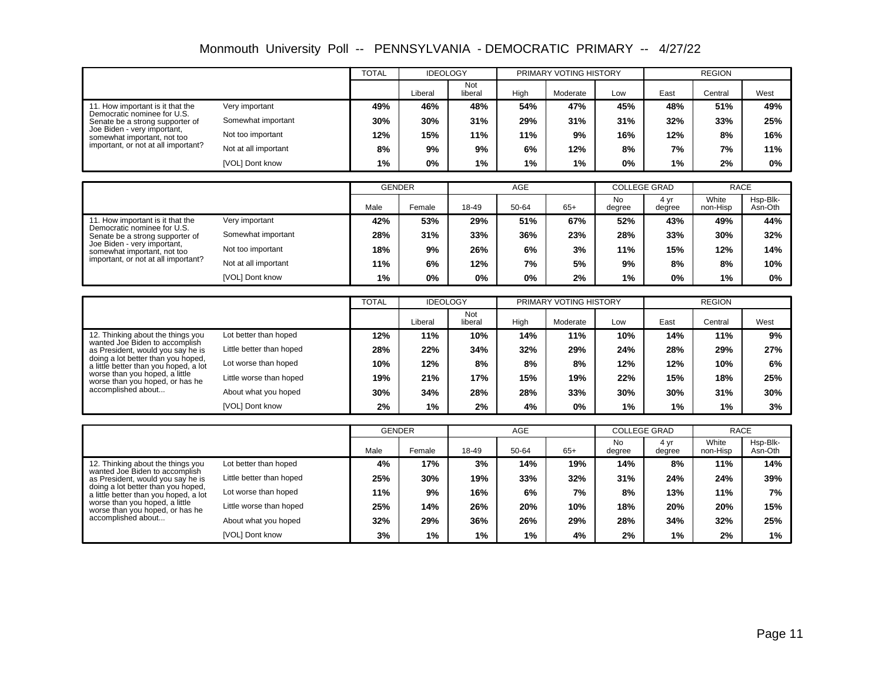| Monmouth University Poll -- PENNSYLVANIA - DEMOCRATIC PRIMARY -- 4/27/22 |  |  |  |  |
|--------------------------------------------------------------------------|--|--|--|--|
|--------------------------------------------------------------------------|--|--|--|--|

|                                                                             |                          | <b>TOTAL</b>  | <b>IDEOLOGY</b> |                |            | PRIMARY VOTING HISTORY |                                  |                | <b>REGION</b>        |                     |
|-----------------------------------------------------------------------------|--------------------------|---------------|-----------------|----------------|------------|------------------------|----------------------------------|----------------|----------------------|---------------------|
|                                                                             |                          |               | Liberal         | Not<br>liberal | High       | Moderate               | Low                              | East           | Central              | West                |
| 11. How important is it that the                                            | Very important           | 49%           | 46%             | 48%            | 54%        | 47%                    | 45%                              | 48%            | 51%                  | 49%                 |
| Democratic nominee for U.S.<br>Senate be a strong supporter of              | Somewhat important       | 30%           | 30%             | 31%            | 29%        | 31%                    | 31%                              | 32%            | 33%                  | 25%                 |
| Joe Biden - very important,<br>somewhat important, not too                  | Not too important        | 12%           | 15%             | 11%            | 11%        | 9%                     | 16%                              | 12%            | 8%                   | 16%                 |
| important, or not at all important?                                         | Not at all important     | 8%            | 9%              | 9%             | 6%         | 12%                    | 8%                               | 7%             | 7%                   | 11%                 |
|                                                                             | [VOL] Dont know          | 1%            | 0%              | 1%             | 1%         | 1%                     | 0%                               | 1%             | 2%                   | $0\%$               |
|                                                                             |                          |               |                 |                |            |                        |                                  |                |                      |                     |
|                                                                             |                          | <b>GENDER</b> |                 |                | <b>AGE</b> |                        | <b>COLLEGE GRAD</b>              |                | <b>RACE</b>          |                     |
|                                                                             |                          | Male          | Female          | 18-49          | 50-64      | $65+$                  | No<br>degree                     | 4 yr<br>degree | White<br>non-Hisp    | Hsp-Blk-<br>Asn-Oth |
| 11. How important is it that the<br>Democratic nominee for U.S.             | Very important           | 42%           | 53%             | 29%            | 51%        | 67%                    | 52%                              | 43%            | 49%                  | 44%                 |
| Senate be a strong supporter of                                             | Somewhat important       | 28%           | 31%             | 33%            | 36%        | 23%                    | 28%                              | 33%            | 30%                  | 32%                 |
| Joe Biden - very important,<br>somewhat important, not too                  | Not too important        | 18%           | 9%              | 26%            | 6%         | 3%                     | 11%                              | 15%            | 12%                  | 14%                 |
| important, or not at all important?                                         | Not at all important     | 11%           | 6%              | 12%            | 7%         | 5%                     | 9%                               | 8%             | 8%                   | 10%                 |
|                                                                             | [VOL] Dont know          | 1%            | 0%              | 0%             | 0%         | 2%                     | 1%                               | $0\%$          | 1%                   | 0%                  |
|                                                                             |                          |               |                 |                |            |                        |                                  |                |                      |                     |
|                                                                             |                          | <b>TOTAL</b>  | <b>IDEOLOGY</b> |                |            | PRIMARY VOTING HISTORY |                                  |                | <b>REGION</b>        |                     |
|                                                                             |                          |               | Liberal         | Not<br>liberal | High       | Moderate               | Low                              | East           | Central              | West                |
| 12. Thinking about the things you<br>wanted Joe Biden to accomplish         | Lot better than hoped    | 12%           | 11%             | 10%            | 14%        | 11%                    | 10%                              | 14%            | 11%                  | 9%                  |
| as President, would you say he is                                           | Little better than hoped | 28%           | 22%             | 34%            | 32%        | 29%                    | 24%                              | 28%            | 29%                  | 27%                 |
| doing a lot better than you hoped,<br>a little better than you hoped, a lot | Lot worse than hoped     | 10%           | 12%             | 8%             | 8%         | 8%                     | 12%                              | 12%            | 10%                  | 6%                  |
| worse than you hoped, a little<br>worse than you hoped, or has he           | Little worse than hoped  | 19%           | 21%             | 17%            | 15%        | 19%                    | 22%                              | 15%            | 18%                  | 25%                 |
| accomplished about                                                          | About what you hoped     | 30%           | 34%             | 28%            | 28%        | 33%                    | 30%                              | 30%            | 31%                  | 30%                 |
|                                                                             | [VOL] Dont know          | 2%            | 1%              | 2%             | 4%         | 0%                     | 1%                               | 1%             | 1%                   | 3%                  |
|                                                                             |                          |               |                 |                |            |                        |                                  |                |                      |                     |
|                                                                             |                          | <b>GENDER</b> |                 |                | <b>AGE</b> |                        | <b>COLLEGE GRAD</b><br><b>No</b> | 4 yr           | <b>RACE</b><br>White | Hsp-Blk-            |
|                                                                             |                          | Male          | Female          | 18-49          | 50-64      | $65+$                  | degree                           | degree         | non-Hisp             | Asn-Oth             |
| 12. Thinking about the things you<br>wanted Joe Biden to accomplish         | Lot better than hoped    | 4%            | 17%             | 3%             | 14%        | 19%                    | 14%                              | 8%             | 11%                  | 14%                 |
| as President, would you say he is                                           | Little better than hoped | 25%           | 30%             | 19%            | 33%        | 32%                    | 31%                              | 24%            | 24%                  | 39%                 |
| doing a lot better than you hoped,<br>a little better than you hoped, a lot | Lot worse than hoped     | 11%           | 9%              | 16%            | 6%         | 7%                     | 8%                               | 13%            | 11%                  | 7%                  |
| worse than you hoped, a little<br>worse than you hoped, or has he           | Little worse than hoped  | 25%           | 14%             | 26%            | 20%        | 10%                    | 18%                              | 20%            | 20%                  | 15%                 |
| accomplished about                                                          | About what you hoped     | 32%           | 29%             | 36%            | 26%        | 29%                    | 28%                              | 34%            | 32%                  | 25%                 |
|                                                                             | [VOL] Dont know          | 3%            | 1%              | 1%             | 1%         | 4%                     | 2%                               | $1\%$          | 2%                   | 1%                  |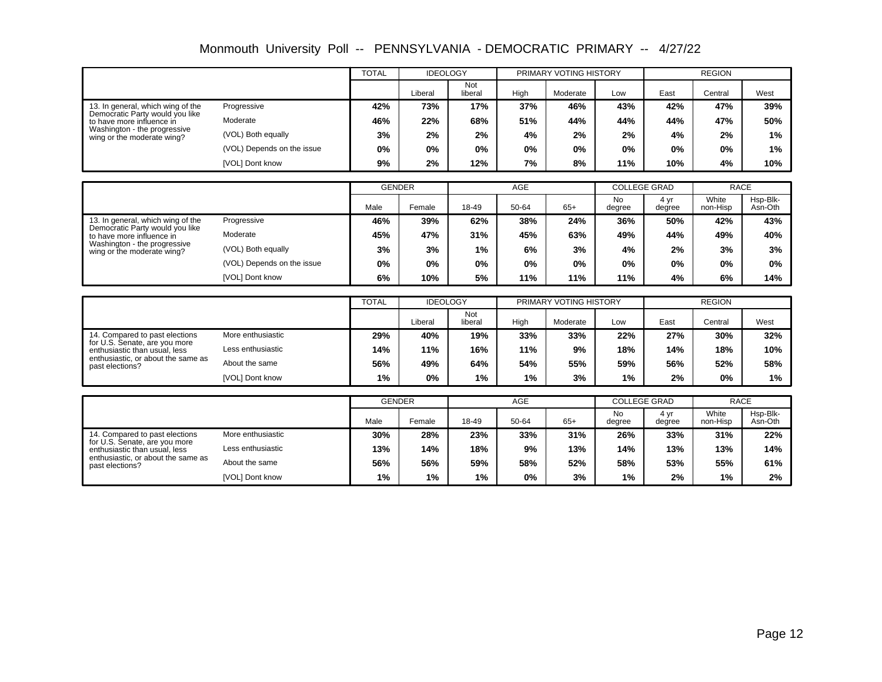| Monmouth University Poll -- PENNSYLVANIA - DEMOCRATIC PRIMARY -- 4/27/22 |  |  |  |  |
|--------------------------------------------------------------------------|--|--|--|--|
|--------------------------------------------------------------------------|--|--|--|--|

|                                                                      |                            | <b>TOTAL</b>  | <b>IDEOLOGY</b> |                |            | PRIMARY VOTING HISTORY |                                  |               | <b>REGION</b>     |                     |
|----------------------------------------------------------------------|----------------------------|---------------|-----------------|----------------|------------|------------------------|----------------------------------|---------------|-------------------|---------------------|
|                                                                      |                            |               | Liberal         | Not<br>liberal | High       | Moderate               | Low                              | East          | Central           | West                |
| 13. In general, which wing of the<br>Democratic Party would you like | Progressive                | 42%           | 73%             | 17%            | 37%        | 46%                    | 43%                              | 42%           | 47%               | 39%                 |
| to have more influence in                                            | Moderate                   | 46%           | 22%             | 68%            | 51%        | 44%                    | 44%                              | 44%           | 47%               | 50%                 |
| Washington - the progressive<br>wing or the moderate wing?           | (VOL) Both equally         | 3%            | 2%              | 2%             | 4%         | 2%                     | 2%                               | 4%            | 2%                | 1%                  |
|                                                                      | (VOL) Depends on the issue | 0%            | 0%              | $0\%$          | 0%         | 0%                     | 0%                               | 0%            | 0%                | 1%                  |
|                                                                      | [VOL] Dont know            | 9%            | 2%              | 12%            | 7%         | 8%                     | 11%                              | 10%           | 4%                | 10%                 |
|                                                                      |                            |               |                 |                |            |                        |                                  |               |                   |                     |
|                                                                      |                            | <b>GENDER</b> |                 |                | <b>AGE</b> |                        | <b>COLLEGE GRAD</b>              |               | <b>RACE</b>       |                     |
|                                                                      |                            | Male          | Female          | 18-49          | 50-64      | $65+$                  | <b>No</b><br>degree              | 4yr<br>degree | White<br>non-Hisp | Hsp-Blk-<br>Asn-Oth |
| 13. In general, which wing of the                                    | Progressive                | 46%           | 39%             | 62%            | 38%        | 24%                    | 36%                              | 50%           | 42%               | 43%                 |
| Democratic Party would you like<br>to have more influence in         | Moderate                   | 45%           | 47%             | 31%            | 45%        | 63%                    | 49%                              | 44%           | 49%               | 40%                 |
| Washington - the progressive<br>wing or the moderate wing?           | (VOL) Both equally         | 3%            | 3%              | 1%             | 6%         | 3%                     | 4%                               | 2%            | 3%                | 3%                  |
|                                                                      | (VOL) Depends on the issue | 0%            | 0%              | $0\%$          | 0%         | 0%                     | 0%                               | 0%            | 0%                | 0%                  |
|                                                                      | [VOL] Dont know            | 6%            | 10%             | 5%             | 11%        | 11%                    | 11%                              | 4%            | 6%                | 14%                 |
|                                                                      |                            |               |                 |                |            |                        |                                  |               |                   |                     |
|                                                                      |                            | <b>TOTAL</b>  | <b>IDEOLOGY</b> |                |            | PRIMARY VOTING HISTORY |                                  |               | <b>REGION</b>     |                     |
|                                                                      |                            |               | Liberal         | Not<br>liberal | High       | Moderate               | Low                              | East          | Central           | West                |
| 14. Compared to past elections<br>for U.S. Senate, are you more      | More enthusiastic          | 29%           | 40%             | 19%            | 33%        | 33%                    | 22%                              | 27%           | 30%               | 32%                 |
| enthusiastic than usual, less                                        | Less enthusiastic          | 14%           | 11%             | 16%            | 11%        | 9%                     | 18%                              | 14%           | 18%               | 10%                 |
| enthusiastic, or about the same as<br>past elections?                | About the same             | 56%           | 49%             | 64%            | 54%        | 55%                    | 59%                              | 56%           | 52%               | 58%                 |
|                                                                      | [VOL] Dont know            | 1%            | 0%              | 1%             | 1%         | 3%                     | 1%                               | 2%            | 0%                | $1\%$               |
|                                                                      |                            |               |                 |                |            |                        |                                  |               | <b>RACE</b>       |                     |
|                                                                      |                            | <b>GENDER</b> |                 |                | <b>AGE</b> |                        | <b>COLLEGE GRAD</b><br><b>No</b> | 4yr           | White             | Hsp-Blk-            |
|                                                                      |                            | Male          | Female          | 18-49          | 50-64      | $65+$                  | degree                           | degree        | non-Hisp          | Asn-Oth             |
| 14. Compared to past elections<br>for U.S. Senate, are you more      | More enthusiastic          | 30%           | 28%             | 23%            | 33%        | 31%                    | 26%                              | 33%           | 31%               | 22%                 |
| enthusiastic than usual. less                                        | Less enthusiastic          | 13%           | 14%             | 18%            | 9%         | 13%                    | 14%                              | 13%           | 13%               | 14%                 |
| enthusiastic, or about the same as<br>past elections?                | About the same             | 56%           | 56%             | 59%            | 58%        | 52%                    | 58%                              | 53%           | 55%               | 61%                 |
|                                                                      | [VOL] Dont know            | 1%            | 1%              | 1%             | 0%         | 3%                     | 1%                               | 2%            | 1%                | 2%                  |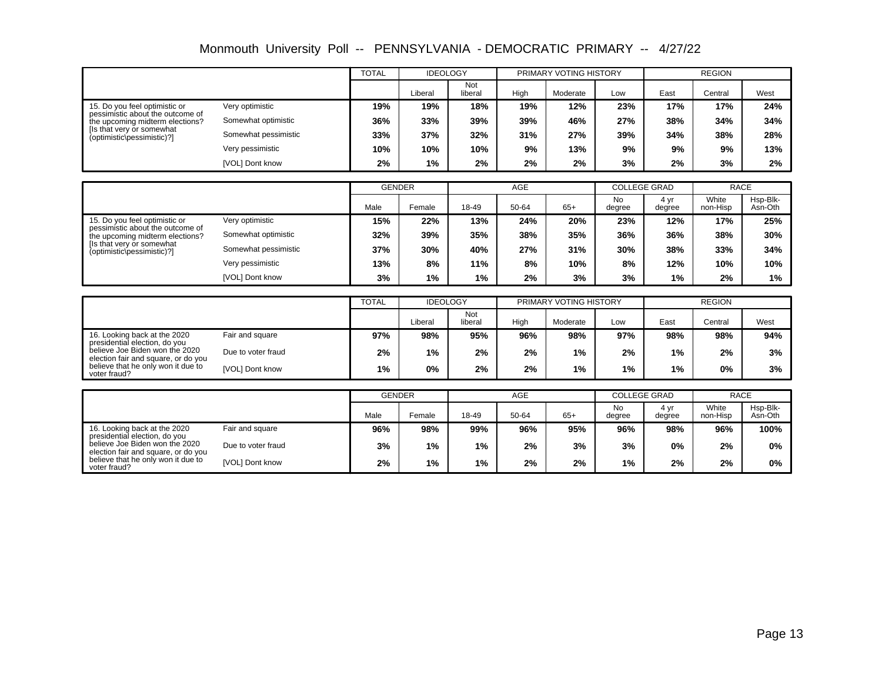| Monmouth University Poll -- PENNSYLVANIA - DEMOCRATIC PRIMARY -- 4/27/22 |  |  |  |  |
|--------------------------------------------------------------------------|--|--|--|--|
|--------------------------------------------------------------------------|--|--|--|--|

|                                                                       |                        | <b>TOTAL</b>  | <b>IDEOLOGY</b> |                |            | PRIMARY VOTING HISTORY |                     |                | <b>REGION</b>     |                     |
|-----------------------------------------------------------------------|------------------------|---------------|-----------------|----------------|------------|------------------------|---------------------|----------------|-------------------|---------------------|
|                                                                       |                        |               | Liberal         | Not<br>liberal | High       | Moderate               | Low                 | East           | Central           | West                |
| 15. Do you feel optimistic or                                         | Very optimistic        | 19%           | 19%             | 18%            | 19%        | 12%                    | 23%                 | 17%            | 17%               | 24%                 |
| pessimistic about the outcome of<br>the upcoming midterm elections?   | Somewhat optimistic    | 36%           | 33%             | 39%            | 39%        | 46%                    | 27%                 | 38%            | 34%               | 34%                 |
| Ils that very or somewhat<br>(optimistic\pessimistic)?]               | Somewhat pessimistic   | 33%           | 37%             | 32%            | 31%        | 27%                    | 39%                 | 34%            | 38%               | 28%                 |
|                                                                       | Very pessimistic       | 10%           | 10%             | 10%            | 9%         | 13%                    | 9%                  | 9%             | 9%                | 13%                 |
|                                                                       | [VOL] Dont know        | 2%            | 1%              | 2%             | 2%         | 2%                     | 3%                  | 2%             | 3%                | 2%                  |
|                                                                       |                        |               |                 |                |            |                        |                     |                |                   |                     |
|                                                                       |                        | <b>GENDER</b> |                 |                | <b>AGE</b> |                        | <b>COLLEGE GRAD</b> |                | <b>RACE</b>       |                     |
|                                                                       |                        | Male          | Female          | 18-49          | 50-64      | $65+$                  | <b>No</b><br>degree | 4 yr<br>degree | White<br>non-Hisp | Hsp-Blk-<br>Asn-Oth |
| 15. Do you feel optimistic or                                         | Very optimistic        | 15%           | 22%             | 13%            | 24%        | 20%                    | 23%                 | 12%            | 17%               | 25%                 |
| pessimistic about the outcome of<br>the upcoming midterm elections?   | Somewhat optimistic    | 32%           | 39%             | 35%            | 38%        | 35%                    | 36%                 | 36%            | 38%               | 30%                 |
| Its that very or somewhat<br>(optimistic\pessimistic)?]               | Somewhat pessimistic   | 37%           | 30%             | 40%            | 27%        | 31%                    | 30%                 | 38%            | 33%               | 34%                 |
|                                                                       | Very pessimistic       | 13%           | 8%              | 11%            | 8%         | 10%                    | 8%                  | 12%            | 10%               | 10%                 |
|                                                                       | [VOL] Dont know        | 3%            | 1%              | 1%             | 2%         | 3%                     | 3%                  | 1%             | 2%                | 1%                  |
|                                                                       |                        |               |                 |                |            |                        |                     |                |                   |                     |
|                                                                       |                        | <b>TOTAL</b>  | <b>IDEOLOGY</b> |                |            | PRIMARY VOTING HISTORY |                     |                | <b>REGION</b>     |                     |
|                                                                       |                        |               | Liberal         | Not<br>liberal | High       | Moderate               | Low                 | East           | Central           | West                |
| 16. Looking back at the 2020<br>presidential election, do you         | Fair and square        | 97%           | 98%             | 95%            | 96%        | 98%                    | 97%                 | 98%            | 98%               | 94%                 |
| believe Joe Biden won the 2020<br>election fair and square, or do you | Due to voter fraud     | 2%            | 1%              | 2%             | 2%         | 1%                     | 2%                  | 1%             | 2%                | 3%                  |
| believe that he only won it due to<br>voter fraud?                    | [VOL] Dont know        | 1%            | 0%              | 2%             | 2%         | 1%                     | 1%                  | 1%             | 0%                | 3%                  |
|                                                                       |                        |               |                 |                |            |                        |                     |                |                   |                     |
|                                                                       |                        | <b>GENDER</b> |                 |                | <b>AGE</b> |                        | <b>COLLEGE GRAD</b> |                | <b>RACE</b>       |                     |
|                                                                       |                        | Male          | Female          | 18-49          | 50-64      | $65+$                  | <b>No</b><br>degree | 4 yr<br>degree | White<br>non-Hisp | Hsp-Blk-<br>Asn-Oth |
| 16. Looking back at the 2020<br>presidential election, do you         | Fair and square        | 96%           | 98%             | 99%            | 96%        | 95%                    | 96%                 | 98%            | 96%               | 100%                |
| believe Joe Biden won the 2020<br>election fair and square, or do you | Due to voter fraud     | 3%            | 1%              | 1%             | 2%         | 3%                     | 3%                  | 0%             | 2%                | $0\%$               |
| believe that he only won it due to<br>voter fraud?                    | <b>IVOLI Dont know</b> | 2%            | 1%              | 1%             | 2%         | 2%                     | 1%                  | 2%             | 2%                | 0%                  |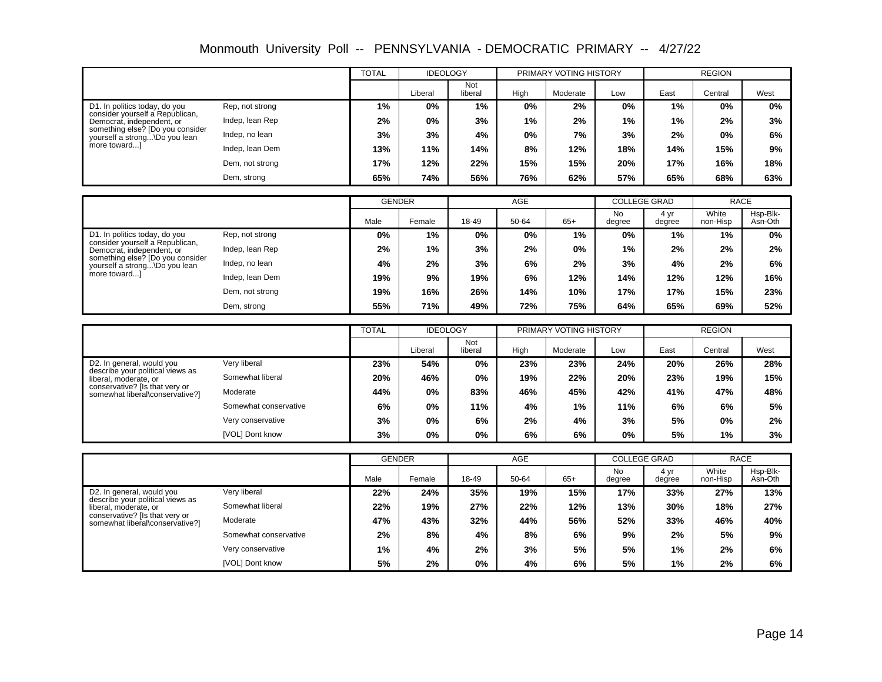Monmouth University Poll -- PENNSYLVANIA - DEMOCRATIC PRIMARY -- 4/27/22

|                                                                   |                       | <b>TOTAL</b>  | <b>IDEOLOGY</b> |                |            | PRIMARY VOTING HISTORY |                                  |                | <b>REGION</b>        |                     |
|-------------------------------------------------------------------|-----------------------|---------------|-----------------|----------------|------------|------------------------|----------------------------------|----------------|----------------------|---------------------|
|                                                                   |                       |               | Liberal         | Not<br>liberal | High       | Moderate               | Low                              | East           | Central              | West                |
| D1. In politics today, do you                                     | Rep, not strong       | 1%            | 0%              | 1%             | 0%         | 2%                     | 0%                               | 1%             | 0%                   | 0%                  |
| consider yourself a Republican,<br>Democrat, independent, or      | Indep, lean Rep       | 2%            | 0%              | 3%             | 1%         | 2%                     | 1%                               | 1%             | 2%                   | 3%                  |
| something else? [Do you consider<br>yourself a strong Do you lean | Indep, no lean        | 3%            | 3%              | 4%             | 0%         | 7%                     | 3%                               | 2%             | 0%                   | 6%                  |
| more toward                                                       | Indep, lean Dem       | 13%           | 11%             | 14%            | 8%         | 12%                    | 18%                              | 14%            | 15%                  | 9%                  |
|                                                                   | Dem, not strong       | 17%           | 12%             | 22%            | 15%        | 15%                    | 20%                              | 17%            | 16%                  | 18%                 |
|                                                                   | Dem, strong           | 65%           | 74%             | 56%            | 76%        | 62%                    | 57%                              | 65%            | 68%                  | 63%                 |
|                                                                   |                       |               |                 |                |            |                        |                                  |                |                      |                     |
|                                                                   |                       | <b>GENDER</b> |                 |                | AGE        |                        | <b>COLLEGE GRAD</b>              |                | <b>RACE</b>          |                     |
|                                                                   |                       | Male          | Female          | 18-49          | 50-64      | $65+$                  | <b>No</b><br>degree              | 4 yr<br>degree | White<br>non-Hisp    | Hsp-Blk-<br>Asn-Oth |
| D1. In politics today, do you                                     | Rep. not strong       | 0%            | 1%              | 0%             | 0%         | 1%                     | 0%                               | 1%             | 1%                   | 0%                  |
| consider yourself a Republican,<br>Democrat, independent, or      | Indep, lean Rep       | 2%            | 1%              | 3%             | 2%         | 0%                     | 1%                               | 2%             | 2%                   | 2%                  |
| something else? [Do you consider<br>yourself a strong\Do you lean | Indep, no lean        | 4%            | 2%              | 3%             | 6%         | 2%                     | 3%                               | 4%             | 2%                   | 6%                  |
| more toward                                                       | Indep, lean Dem       | 19%           | 9%              | 19%            | 6%         | 12%                    | 14%                              | 12%            | 12%                  | 16%                 |
|                                                                   | Dem, not strong       | 19%           | 16%             | 26%            | 14%        | 10%                    | 17%                              | 17%            | 15%                  | 23%                 |
|                                                                   | Dem, strong           | 55%           | 71%             | 49%            | 72%        | 75%                    | 64%                              | 65%            | 69%                  | 52%                 |
|                                                                   |                       |               |                 |                |            |                        |                                  |                |                      |                     |
|                                                                   |                       | <b>TOTAL</b>  | <b>IDEOLOGY</b> | Not            |            | PRIMARY VOTING HISTORY |                                  |                | <b>REGION</b>        |                     |
|                                                                   |                       |               | Liberal         | liberal        | High       | Moderate               | Low                              | East           | Central              | West                |
| D2. In general, would you<br>describe your political views as     | Verv liberal          | 23%           | 54%             | 0%             | 23%        | 23%                    | 24%                              | 20%            | 26%                  | 28%                 |
| liberal, moderate, or                                             | Somewhat liberal      | 20%           | 46%             | 0%             | 19%        | 22%                    | 20%                              | 23%            | 19%                  | 15%                 |
| conservative? [Is that very or<br>somewhat liberal\conservative?] | Moderate              | 44%           | 0%              | 83%            | 46%        | 45%                    | 42%                              | 41%            | 47%                  | 48%                 |
|                                                                   | Somewhat conservative | 6%            | 0%              | 11%            | 4%         | 1%                     | 11%                              | 6%             | 6%                   | 5%                  |
|                                                                   | Very conservative     | 3%            | 0%              | 6%             | 2%         | 4%                     | 3%                               | 5%             | 0%                   | 2%                  |
|                                                                   | [VOL] Dont know       | 3%            | 0%              | 0%             | 6%         | 6%                     | 0%                               | 5%             | 1%                   | 3%                  |
|                                                                   |                       |               |                 |                |            |                        |                                  |                |                      |                     |
|                                                                   |                       | <b>GENDER</b> |                 |                | <b>AGE</b> |                        | <b>COLLEGE GRAD</b><br><b>No</b> | 4 yr           | <b>RACE</b><br>White | Hsp-Blk-            |
|                                                                   |                       | Male          | Female          | 18-49          | 50-64      | $65+$                  | degree                           | degree         | non-Hisp             | Asn-Oth             |
| D2. In general, would you<br>describe your political views as     | Very liberal          | 22%           | 24%             | 35%            | 19%        | 15%                    | 17%                              | 33%            | 27%                  | 13%                 |
| liberal, moderate, or                                             | Somewhat liberal      | 22%           | 19%             | 27%            | 22%        | 12%                    | 13%                              | 30%            | 18%                  | 27%                 |
| conservative? [Is that very or<br>somewhat liberal\conservative?] | Moderate              | 47%           | 43%             | 32%            | 44%        | 56%                    | 52%                              | 33%            | 46%                  | 40%                 |

**5% 2% 0% 4% 6% 5% 1% 2% 6% 1% 4% 2% 3% 5% 5% 1% 2% 6% 2% 8% 4% 8% 6% 9% 2% 5% 9%**

Somewhat conservative Very conservative [VOL] Dont know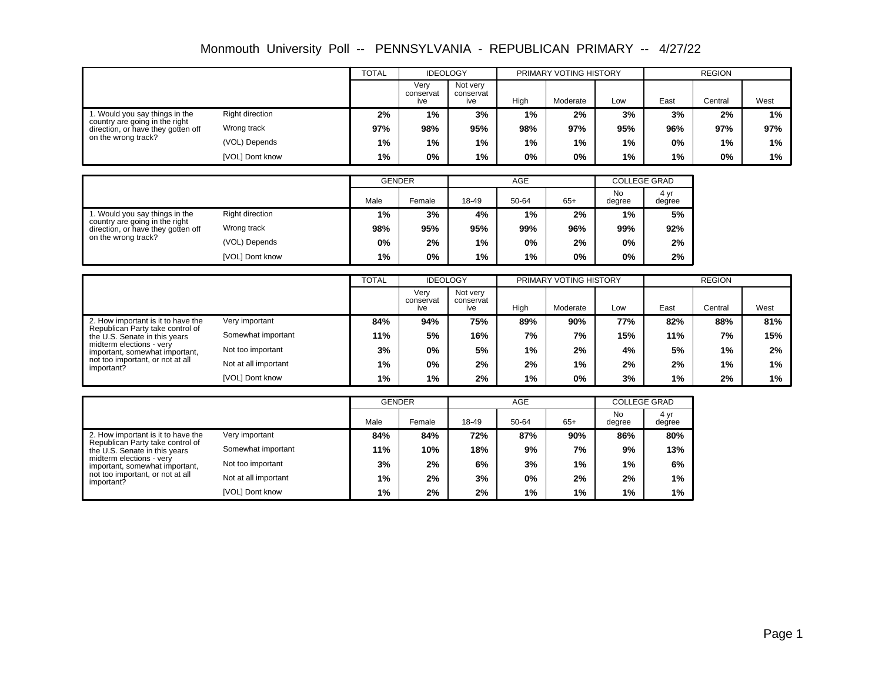|                                                                      |                        | <b>TOTAL</b> | <b>IDEOLOGY</b>          |                              |       | PRIMARY VOTING HISTORY |       |      | <b>REGION</b> |      |
|----------------------------------------------------------------------|------------------------|--------------|--------------------------|------------------------------|-------|------------------------|-------|------|---------------|------|
|                                                                      |                        |              | Verv<br>conservat<br>ive | Not very<br>conservat<br>ive | High  | Moderate               | Low   | East | Central       | West |
| 1. Would you say things in the                                       | <b>Right direction</b> | 2%           | 1%                       | 3%                           | $1\%$ | 2%                     | 3%    | 3%   | 2%            | 1%   |
| country are going in the right<br>direction, or have they gotten off | Wrong track            | 97%          | 98%                      | 95%                          | 98%   | 97%                    | 95%   | 96%  | 97%           | 97%  |
| on the wrong track?                                                  | (VOL) Depends          | 1%           | 1%                       | 1%                           | 1%    | 1%                     | $1\%$ | 0%   | 1%            | 1%   |
|                                                                      | [VOL] Dont know        | 1%           | 0%                       | 1%                           | 0%    | 0%                     | $1\%$ | 1%   | 0%            | 1%   |

|                                                                      |                 | <b>GENDER</b> |        |       | AGE   |       | <b>COLLEGE GRAD</b> |                |
|----------------------------------------------------------------------|-----------------|---------------|--------|-------|-------|-------|---------------------|----------------|
|                                                                      |                 | Male          | Female | 18-49 | 50-64 | $65+$ | No<br>degree        | 4 yr<br>degree |
| 1. Would you say things in the                                       | Right direction | $1\%$         | 3%     | 4%    | $1\%$ | 2%    | 1%                  | 5%             |
| country are going in the right<br>direction, or have they gotten off | Wrong track     | 98%           | 95%    | 95%   | 99%   | 96%   | 99%                 | 92%            |
| on the wrong track?                                                  | (VOL) Depends   | $0\%$         | 2%     | $1\%$ | 0%    | 2%    | 0%                  | 2%             |
|                                                                      | [VOL] Dont know | 1%            | $0\%$  | 1%    | 1%    | 0%    | 0%                  | 2%             |

|                                                                   |                      | <b>TOTAL</b> | <b>IDEOLOGY</b>          |                              |      | PRIMARY VOTING HISTORY |     |      | <b>REGION</b> |      |
|-------------------------------------------------------------------|----------------------|--------------|--------------------------|------------------------------|------|------------------------|-----|------|---------------|------|
|                                                                   |                      |              | Verv<br>conservat<br>ive | Not verv<br>conservat<br>ive | High | Moderate               | Low | East | Central       | West |
| 2. How important is it to have the                                | Very important       | 84%          | 94%                      | 75%                          | 89%  | 90%                    | 77% | 82%  | 88%           | 81%  |
| Republican Party take control of<br>the U.S. Senate in this years | Somewhat important   | 11%          | 5%                       | 16%                          | 7%   | 7%                     | 15% | 11%  | 7%            | 15%  |
| midterm elections - very<br>important, somewhat important,        | Not too important    | 3%           | $0\%$                    | 5%                           | 1%   | 2%                     | 4%  | 5%   | 1%            | 2%   |
| not too important, or not at all<br>important?                    | Not at all important | $1\%$        | $0\%$                    | 2%                           | 2%   | $1\%$                  | 2%  | 2%   | 1%            | 1%   |
|                                                                   | [VOL] Dont know      | 1%           | 1%                       | 2%                           | 1%   | $0\%$                  | 3%  | 1%   | $2\%$         | 1%   |

|                                                                        |                      | <b>GENDER</b> |        |       | AGE   |       | <b>COLLEGE GRAD</b> |                |  |
|------------------------------------------------------------------------|----------------------|---------------|--------|-------|-------|-------|---------------------|----------------|--|
|                                                                        |                      | Male          | Female | 18-49 | 50-64 | $65+$ | No<br>degree        | 4 yr<br>degree |  |
| 2. How important is it to have the<br>Republican Party take control of | Very important       | 84%           | 84%    | 72%   | 87%   | 90%   | 86%                 | 80%            |  |
| the U.S. Senate in this years                                          | Somewhat important   | 11%           | 10%    | 18%   | 9%    | 7%    | 9%                  | 13%            |  |
| midterm elections - very<br>important, somewhat important,             | Not too important    | 3%            | 2%     | 6%    | 3%    | 1%    | 1%                  | 6%             |  |
| not too important, or not at all<br>important?                         | Not at all important | $1\%$         | 2%     | 3%    | 0%    | 2%    | 2%                  | 1%             |  |
|                                                                        | [VOL] Dont know      | 1%            | 2%     | 2%    | 1%    | 1%    | 1%                  | 1%             |  |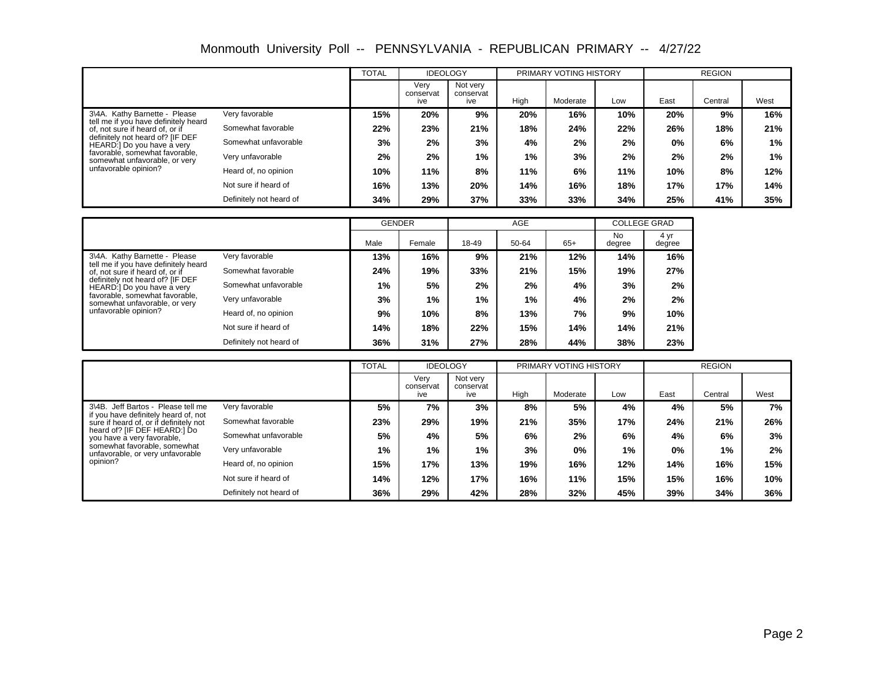|                                                                         |                         | <b>TOTAL</b> | <b>IDEOLOGY</b>          |                              |      | PRIMARY VOTING HISTORY |     |       | <b>REGION</b> |      |
|-------------------------------------------------------------------------|-------------------------|--------------|--------------------------|------------------------------|------|------------------------|-----|-------|---------------|------|
|                                                                         |                         |              | Verv<br>conservat<br>ive | Not verv<br>conservat<br>ive | High | Moderate               | Low | East  | Central       | West |
| 3\4A. Kathy Barnette - Please                                           | Very favorable          | 15%          | 20%                      | 9%                           | 20%  | 16%                    | 10% | 20%   | 9%            | 16%  |
| tell me if you have definitely heard<br>of, not sure if heard of, or if | Somewhat favorable      | 22%          | 23%                      | 21%                          | 18%  | 24%                    | 22% | 26%   | 18%           | 21%  |
| definitely not heard of? [IF DEF<br>HEARD:] Do you have a very          | Somewhat unfavorable    | 3%           | 2%                       | 3%                           | 4%   | $2\%$                  | 2%  | $0\%$ | 6%            | 1%   |
| favorable, somewhat favorable.<br>somewhat unfavorable, or very         | Very unfavorable        | 2%           | 2%                       | $1\%$                        | 1%   | 3%                     | 2%  | 2%    | 2%            | 1%   |
| unfavorable opinion?                                                    | Heard of, no opinion    | 10%          | 11%                      | 8%                           | 11%  | 6%                     | 11% | 10%   | 8%            | 12%  |
|                                                                         | Not sure if heard of    | 16%          | 13%                      | 20%                          | 14%  | 16%                    | 18% | 17%   | 17%           | 14%  |
|                                                                         | Definitely not heard of | 34%          | 29%                      | 37%                          | 33%  | 33%                    | 34% | 25%   | 41%           | 35%  |

|                                                                                         |                         | <b>GENDER</b> |        |       | AGE   |       | <b>COLLEGE GRAD</b> |                |
|-----------------------------------------------------------------------------------------|-------------------------|---------------|--------|-------|-------|-------|---------------------|----------------|
|                                                                                         |                         | Male          | Female | 18-49 | 50-64 | $65+$ | No<br>degree        | 4 yr<br>degree |
| Very favorable<br>3\4A. Kathy Barnette - Please<br>tell me if you have definitely heard | 13%                     | 16%           | 9%     | 21%   | 12%   | 14%   | 16%                 |                |
| of, not sure if heard of, or if                                                         | Somewhat favorable      | 24%           | 19%    | 33%   | 21%   | 15%   | 19%                 | 27%            |
| definitely not heard of? [IF DEF<br>HEARD:] Do you have a very                          | Somewhat unfavorable    | 1%            | 5%     | 2%    | 2%    | 4%    | 3%                  | 2%             |
| favorable, somewhat favorable.<br>somewhat unfavorable, or very                         | Very unfavorable        | 3%            | 1%     | 1%    | $1\%$ | 4%    | 2%                  | 2%             |
| unfavorable opinion?                                                                    | Heard of, no opinion    | 9%            | 10%    | 8%    | 13%   | 7%    | 9%                  | 10%            |
| Not sure if heard of                                                                    | 14%                     | 18%           | 22%    | 15%   | 14%   | 14%   | 21%                 |                |
|                                                                                         | Definitely not heard of | 36%           | 31%    | 27%   | 28%   | 44%   | 38%                 | 23%            |

|                                                                                |                         | <b>TOTAL</b> | <b>IDEOLOGY</b>          |                              |      | PRIMARY VOTING HISTORY |     |       | <b>REGION</b> |      |
|--------------------------------------------------------------------------------|-------------------------|--------------|--------------------------|------------------------------|------|------------------------|-----|-------|---------------|------|
|                                                                                |                         |              | Very<br>conservat<br>ive | Not verv<br>conservat<br>ive | High | Moderate               | Low | East  | Central       | West |
| 3\4B. Jeff Bartos - Please tell me                                             | Very favorable          | 5%           | 7%                       | 3%                           | 8%   | 5%                     | 4%  | 4%    | 5%            | 7%   |
| if you have definitely heard of, not<br>sure if heard of, or if definitely not | Somewhat favorable      | 23%          | 29%                      | 19%                          | 21%  | 35%                    | 17% | 24%   | 21%           | 26%  |
| heard of? [IF DEF HEARD:] Do<br>you have a very favorable.                     | Somewhat unfavorable    | 5%           | 4%                       | 5%                           | 6%   | 2%                     | 6%  | 4%    | 6%            | 3%   |
| somewhat favorable, somewhat<br>unfavorable, or very unfavorable               | Very unfavorable        | $1\%$        | $1\%$                    | 1%                           | 3%   | 0%                     | 1%  | $0\%$ | 1%            | 2%   |
| opinion?                                                                       | Heard of, no opinion    | 15%          | 17%                      | 13%                          | 19%  | 16%                    | 12% | 14%   | 16%           | 15%  |
|                                                                                | Not sure if heard of    | 14%          | 12%                      | 17%                          | 16%  | 11%                    | 15% | 15%   | 16%           | 10%  |
|                                                                                | Definitely not heard of | 36%          | 29%                      | 42%                          | 28%  | 32%                    | 45% | 39%   | 34%           | 36%  |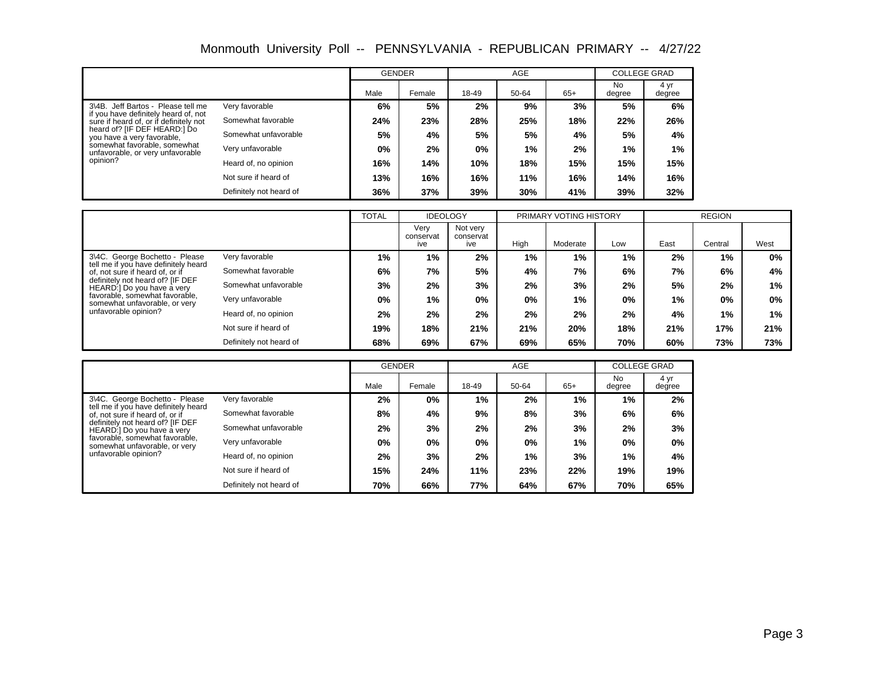|                                                                            |                         | <b>GENDER</b> |        |       | <b>AGE</b> |       | <b>COLLEGE GRAD</b> |                |
|----------------------------------------------------------------------------|-------------------------|---------------|--------|-------|------------|-------|---------------------|----------------|
|                                                                            |                         | Male          | Female | 18-49 | 50-64      | $65+$ | <b>No</b><br>degree | 4 yr<br>degree |
| 3\4B. Jeff Bartos - Please tell me<br>if you have definitely heard of, not | Very favorable          | 6%            | 5%     | 2%    | 9%         | 3%    | 5%                  | 6%             |
| sure if heard of, or if definitely not                                     | Somewhat favorable      | 24%           | 23%    | 28%   | 25%        | 18%   | 22%                 | 26%            |
| heard of? [IF DEF HEARD:] Do<br>you have a very favorable.                 | Somewhat unfavorable    | 5%            | 4%     | 5%    | 5%         | 4%    | 5%                  | 4%             |
| somewhat favorable, somewhat<br>unfavorable, or very unfavorable           | Very unfavorable        | 0%            | 2%     | 0%    | 1%         | 2%    | 1%                  | 1%             |
| opinion?                                                                   | Heard of, no opinion    | 16%           | 14%    | 10%   | 18%        | 15%   | 15%                 | 15%            |
|                                                                            | Not sure if heard of    | 13%           | 16%    | 16%   | 11%        | 16%   | 14%                 | 16%            |
|                                                                            | Definitely not heard of | 36%           | 37%    | 39%   | 30%        | 41%   | 39%                 | 32%            |

|                                                                        |                         | <b>TOTAL</b> | <b>IDEOLOGY</b>          |                              |       | PRIMARY VOTING HISTORY |     |      | <b>REGION</b> |      |
|------------------------------------------------------------------------|-------------------------|--------------|--------------------------|------------------------------|-------|------------------------|-----|------|---------------|------|
|                                                                        |                         |              | Verv<br>conservat<br>ive | Not very<br>conservat<br>ive | High  | Moderate               | Low | East | Central       | West |
| 3\4C. George Bochetto - Please<br>tell me if you have definitely heard | Very favorable          | 1%           | $1\%$                    | 2%                           | 1%    | 1%                     | 1%  | 2%   | 1%            | 0%   |
| of, not sure if heard of, or if                                        | Somewhat favorable      | 6%           | 7%                       | 5%                           | 4%    | 7%                     | 6%  | 7%   | 6%            | 4%   |
| definitely not heard of? [IF DEF<br>HEARD:] Do you have a very         | Somewhat unfavorable    | 3%           | 2%                       | 3%                           | 2%    | 3%                     | 2%  | 5%   | 2%            | 1%   |
| favorable, somewhat favorable,<br>somewhat unfavorable, or very        | Very unfavorable        | 0%           | 1%                       | $0\%$                        | $0\%$ | 1%                     | 0%  | 1%   | $0\%$         | 0%   |
| unfavorable opinion?                                                   | Heard of, no opinion    | 2%           | 2%                       | 2%                           | 2%    | 2%                     | 2%  | 4%   | 1%            | 1%   |
|                                                                        | Not sure if heard of    | 19%          | 18%                      | 21%                          | 21%   | 20%                    | 18% | 21%  | 17%           | 21%  |
|                                                                        | Definitely not heard of | 68%          | 69%                      | 67%                          | 69%   | 65%                    | 70% | 60%  | 73%           | 73%  |

|                                                                                        |                         | <b>GENDER</b> |        |       | <b>AGE</b> |       | <b>COLLEGE GRAD</b> |                |
|----------------------------------------------------------------------------------------|-------------------------|---------------|--------|-------|------------|-------|---------------------|----------------|
|                                                                                        |                         | Male          | Female | 18-49 | 50-64      | $65+$ | No<br>degree        | 4 yr<br>degree |
| 3\4C. George Bochetto - Please                                                         | Very favorable          | 2%            | 0%     | 1%    | 2%         | 1%    | 1%                  | 2%             |
| tell me if you have definitely heard<br>of, not sure if heard of, or if                | Somewhat favorable      | 8%            | 4%     | 9%    | 8%         | 3%    | 6%                  | 6%             |
| definitely not heard of? [IF DEF<br>Somewhat unfavorable<br>HEARD:] Do you have a very |                         | 2%            | 3%     | 2%    | 2%         | 3%    | 2%                  | 3%             |
| favorable, somewhat favorable,<br>somewhat unfavorable, or very                        | Very unfavorable        | $0\%$         | 0%     | 0%    | 0%         | 1%    | 0%                  | $0\%$          |
| unfavorable opinion?                                                                   | Heard of, no opinion    | 2%            | 3%     | 2%    | 1%         | 3%    | 1%                  | 4%             |
|                                                                                        | Not sure if heard of    | 15%           | 24%    | 11%   | 23%        | 22%   | 19%                 | 19%            |
|                                                                                        | Definitely not heard of | 70%           | 66%    | 77%   | 64%        | 67%   | 70%                 | 65%            |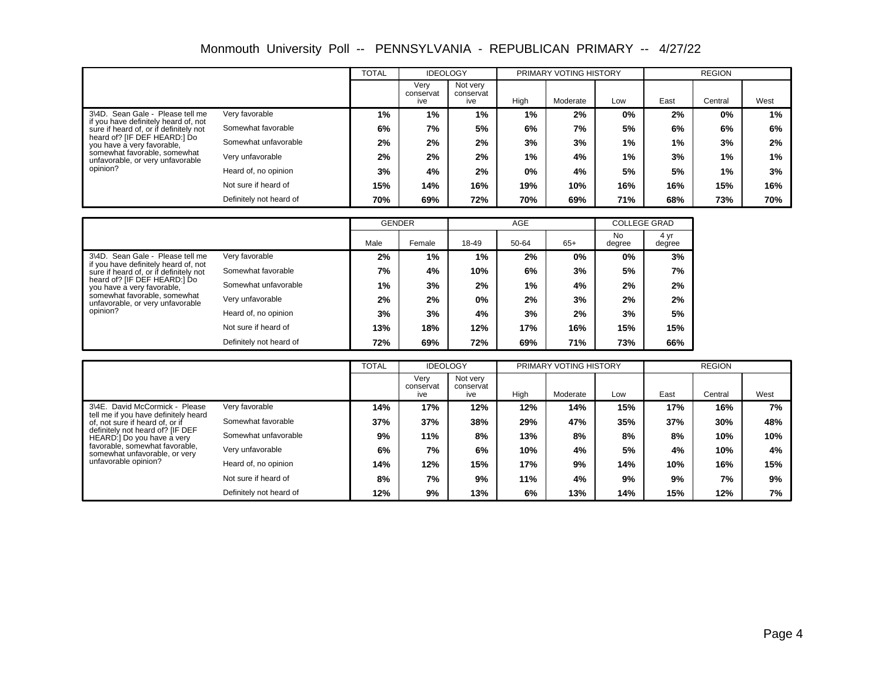|                                                                                |                         | <b>TOTAL</b> | <b>IDEOLOGY</b>          |                              |       | PRIMARY VOTING HISTORY |       |      | <b>REGION</b> |       |
|--------------------------------------------------------------------------------|-------------------------|--------------|--------------------------|------------------------------|-------|------------------------|-------|------|---------------|-------|
|                                                                                |                         |              | Verv<br>conservat<br>ive | Not very<br>conservat<br>ive | High  | Moderate               | Low   | East | Central       | West  |
| 3\4D. Sean Gale - Please tell me                                               | Very favorable          | 1%           | $1\%$                    | $1\%$                        | $1\%$ | 2%                     | 0%    | 2%   | 0%            | 1%    |
| if you have definitely heard of, not<br>sure if heard of, or if definitely not | Somewhat favorable      | 6%           | 7%                       | 5%                           | 6%    | 7%                     | 5%    | 6%   | 6%            | 6%    |
| heard of? [IF DEF HEARD:] Do<br>you have a very favorable,                     | Somewhat unfavorable    | 2%           | 2%                       | $2\%$                        | 3%    | 3%                     | $1\%$ | 1%   | 3%            | 2%    |
| somewhat favorable, somewhat<br>unfavorable, or very unfavorable               | Very unfavorable        | 2%           | 2%                       | 2%                           | $1\%$ | 4%                     | 1%    | 3%   | $1\%$         | $1\%$ |
| opinion?                                                                       | Heard of, no opinion    | 3%           | 4%                       | 2%                           | 0%    | 4%                     | 5%    | 5%   | 1%            | 3%    |
|                                                                                | Not sure if heard of    | 15%          | 14%                      | 16%                          | 19%   | 10%                    | 16%   | 16%  | 15%           | 16%   |
|                                                                                | Definitely not heard of | 70%          | 69%                      | 72%                          | 70%   | 69%                    | 71%   | 68%  | 73%           | 70%   |

|                                                                                |                         | <b>GENDER</b> |        |       | AGE   |       | <b>COLLEGE GRAD</b> |                |
|--------------------------------------------------------------------------------|-------------------------|---------------|--------|-------|-------|-------|---------------------|----------------|
|                                                                                |                         | Male          | Female | 18-49 | 50-64 | $65+$ | No<br>degree        | 4 yr<br>degree |
| 3\4D. Sean Gale - Please tell me                                               | Very favorable          | 2%            | $1\%$  | $1\%$ | 2%    | 0%    | $0\%$               | 3%             |
| if you have definitely heard of, not<br>sure if heard of, or if definitely not | Somewhat favorable      | 7%            | 4%     | 10%   | 6%    | 3%    | 5%                  | 7%             |
| heard of? IIF DEF HEARD: I Do<br>you have a very favorable,                    | Somewhat unfavorable    | 1%            | 3%     | 2%    | $1\%$ | 4%    | 2%                  | 2%             |
| somewhat favorable, somewhat<br>unfavorable, or very unfavorable               | Very unfavorable        | 2%            | 2%     | 0%    | 2%    | 3%    | 2%                  | 2%             |
| opinion?                                                                       | Heard of, no opinion    | 3%            | 3%     | 4%    | 3%    | 2%    | 3%                  | 5%             |
|                                                                                | Not sure if heard of    | 13%           | 18%    | 12%   | 17%   | 16%   | 15%                 | 15%            |
|                                                                                | Definitely not heard of | 72%           | 69%    | 72%   | 69%   | 71%   | 73%                 | 66%            |

|                                                                         |                         | <b>TOTAL</b> | <b>IDEOLOGY</b>          |                              |      | PRIMARY VOTING HISTORY |     |      | <b>REGION</b> |      |
|-------------------------------------------------------------------------|-------------------------|--------------|--------------------------|------------------------------|------|------------------------|-----|------|---------------|------|
|                                                                         |                         |              | Verv<br>conservat<br>ive | Not verv<br>conservat<br>ive | High | Moderate               | Low | East | Central       | West |
| 3\4E. David McCormick - Please                                          | Very favorable          | 14%          | 17%                      | 12%                          | 12%  | 14%                    | 15% | 17%  | 16%           | 7%   |
| tell me if you have definitely heard<br>of, not sure if heard of, or if | Somewhat favorable      | 37%          | 37%                      | 38%                          | 29%  | 47%                    | 35% | 37%  | 30%           | 48%  |
| definitely not heard of? [IF DEF<br>HEARD:] Do you have a very          | Somewhat unfavorable    | 9%           | 11%                      | 8%                           | 13%  | 8%                     | 8%  | 8%   | 10%           | 10%  |
| favorable, somewhat favorable.<br>somewhat unfavorable, or very         | Very unfavorable        | 6%           | 7%                       | 6%                           | 10%  | 4%                     | 5%  | 4%   | 10%           | 4%   |
| unfavorable opinion?                                                    | Heard of, no opinion    | 14%          | 12%                      | 15%                          | 17%  | 9%                     | 14% | 10%  | 16%           | 15%  |
|                                                                         | Not sure if heard of    | 8%           | 7%                       | 9%                           | 11%  | 4%                     | 9%  | 9%   | 7%            | 9%   |
|                                                                         | Definitely not heard of | 12%          | 9%                       | 13%                          | 6%   | 13%                    | 14% | 15%  | 12%           | 7%   |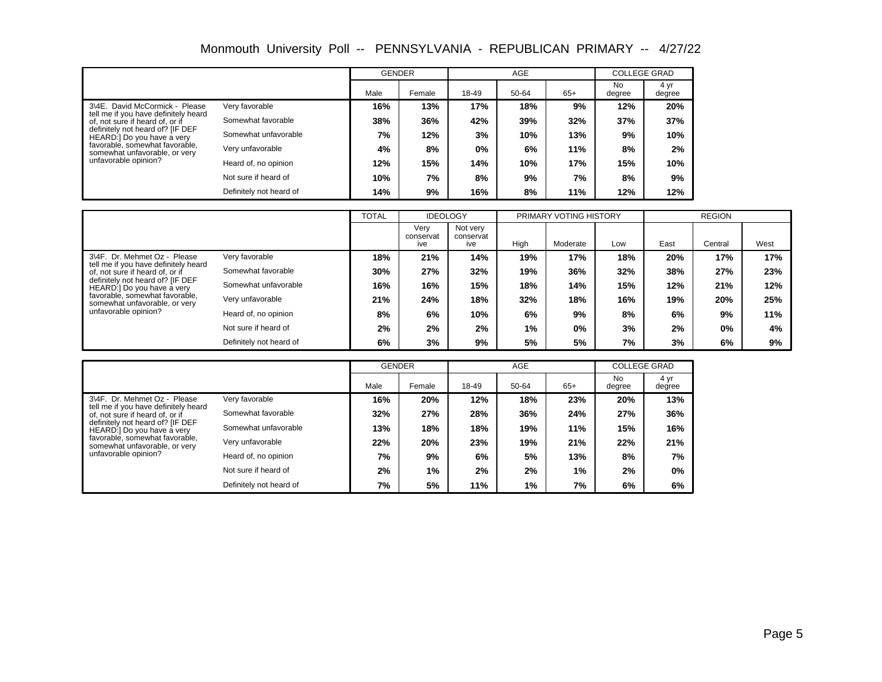|                                                                                        |                         | <b>GENDER</b> |        |       | <b>AGE</b> |       | <b>COLLEGE GRAD</b> |                |
|----------------------------------------------------------------------------------------|-------------------------|---------------|--------|-------|------------|-------|---------------------|----------------|
|                                                                                        |                         | Male          | Female | 18-49 | 50-64      | $65+$ | <b>No</b><br>degree | 4 yr<br>degree |
| 3\4E. David McCormick - Please<br>tell me if you have definitely heard                 | Very favorable          | 16%           | 13%    | 17%   | 18%        | 9%    | 12%                 | 20%            |
| of, not sure if heard of, or if                                                        | Somewhat favorable      | 38%           | 36%    | 42%   | 39%        | 32%   | 37%                 | 37%            |
| definitely not heard of? [IF DEF<br>Somewhat unfavorable<br>HEARD:] Do you have a very |                         | 7%            | 12%    | 3%    | 10%        | 13%   | 9%                  | 10%            |
| favorable, somewhat favorable,<br>somewhat unfavorable, or very                        | Very unfavorable        | 4%            | 8%     | 0%    | 6%         | 11%   | 8%                  | 2%             |
| unfavorable opinion?                                                                   | Heard of, no opinion    | 12%           | 15%    | 14%   | 10%        | 17%   | 15%                 | 10%            |
|                                                                                        | Not sure if heard of    | 10%           | 7%     | 8%    | 9%         | 7%    | 8%                  | 9%             |
|                                                                                        | Definitely not heard of | 14%           | 9%     | 16%   | 8%         | 11%   | 12%                 | 12%            |

|                                                                         |                         | <b>TOTAL</b> | <b>IDEOLOGY</b>          |                              |      | PRIMARY VOTING HISTORY |     |      | <b>REGION</b> |      |
|-------------------------------------------------------------------------|-------------------------|--------------|--------------------------|------------------------------|------|------------------------|-----|------|---------------|------|
|                                                                         |                         |              | Verv<br>conservat<br>ive | Not very<br>conservat<br>ive | High | Moderate               | Low | East | Central       | West |
| 3\4F. Dr. Mehmet Oz - Please                                            | Very favorable          | 18%          | 21%                      | 14%                          | 19%  | 17%                    | 18% | 20%  | 17%           | 17%  |
| tell me if you have definitely heard<br>of, not sure if heard of, or if | Somewhat favorable      | 30%          | 27%                      | 32%                          | 19%  | 36%                    | 32% | 38%  | 27%           | 23%  |
| definitely not heard of? [IF DEF<br>HEARD:] Do you have a very          | Somewhat unfavorable    | 16%          | 16%                      | 15%                          | 18%  | 14%                    | 15% | 12%  | 21%           | 12%  |
| favorable, somewhat favorable.<br>somewhat unfavorable, or very         | Very unfavorable        | 21%          | 24%                      | 18%                          | 32%  | 18%                    | 16% | 19%  | 20%           | 25%  |
| unfavorable opinion?                                                    | Heard of, no opinion    | 8%           | 6%                       | 10%                          | 6%   | 9%                     | 8%  | 6%   | 9%            | 11%  |
|                                                                         | Not sure if heard of    | 2%           | 2%                       | 2%                           | 1%   | $0\%$                  | 3%  | 2%   | $0\%$         | 4%   |
|                                                                         | Definitely not heard of | 6%           | 3%                       | 9%                           | 5%   | 5%                     | 7%  | 3%   | 6%            | 9%   |

|                                                                         |                         | <b>GENDER</b> |        |       | <b>AGE</b> |       | <b>COLLEGE GRAD</b> |                |
|-------------------------------------------------------------------------|-------------------------|---------------|--------|-------|------------|-------|---------------------|----------------|
|                                                                         |                         | Male          | Female | 18-49 | 50-64      | $65+$ | No.<br>degree       | 4 yr<br>degree |
| 3\4F. Dr. Mehmet Oz - Please                                            | Very favorable          | 16%           | 20%    | 12%   | 18%        | 23%   | 20%                 | 13%            |
| tell me if you have definitely heard<br>of, not sure if heard of, or if | Somewhat favorable      | 32%           | 27%    | 28%   | 36%        | 24%   | 27%                 | 36%            |
| definitely not heard of? [IF DEF<br>HEARD:] Do you have a very          | Somewhat unfavorable    | 13%           | 18%    | 18%   | 19%        | 11%   | 15%                 | 16%            |
| favorable, somewhat favorable.<br>somewhat unfavorable, or very         | Very unfavorable        | 22%           | 20%    | 23%   | 19%        | 21%   | 22%                 | 21%            |
| unfavorable opinion?                                                    | Heard of, no opinion    | 7%            | 9%     | 6%    | 5%         | 13%   | 8%                  | 7%             |
|                                                                         | Not sure if heard of    | 2%            | 1%     | 2%    | 2%         | 1%    | 2%                  | $0\%$          |
|                                                                         | Definitely not heard of | 7%            | 5%     | 11%   | 1%         | 7%    | 6%                  | 6%             |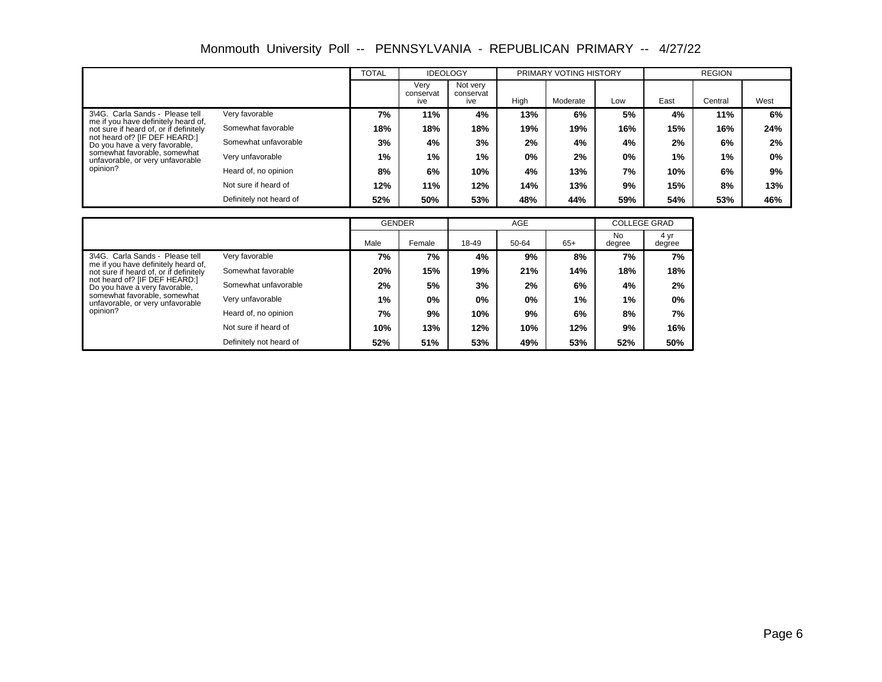|                                                                               |                         | <b>TOTAL</b> | <b>IDEOLOGY</b>          |                              |      | PRIMARY VOTING HISTORY |     |      | <b>REGION</b> |       |
|-------------------------------------------------------------------------------|-------------------------|--------------|--------------------------|------------------------------|------|------------------------|-----|------|---------------|-------|
|                                                                               |                         |              | Verv<br>conservat<br>ive | Not very<br>conservat<br>ive | High | Moderate               | Low | East | Central       | West  |
| 3\4G. Carla Sands - Please tell                                               | Very favorable          | 7%           | 11%                      | 4%                           | 13%  | 6%                     | 5%  | 4%   | 11%           | 6%    |
| me if you have definitely heard of,<br>not sure if heard of, or if definitely | Somewhat favorable      | 18%          | 18%                      | 18%                          | 19%  | 19%                    | 16% | 15%  | 16%           | 24%   |
| not heard of? [IF DEF HEARD:]<br>Do you have a very favorable,                | Somewhat unfavorable    | 3%           | 4%                       | 3%                           | 2%   | 4%                     | 4%  | 2%   | 6%            | 2%    |
| somewhat favorable, somewhat<br>unfavorable, or very unfavorable              | Very unfavorable        | 1%           | 1%                       | 1%                           | 0%   | 2%                     | 0%  | 1%   | 1%            | $0\%$ |
| opinion?                                                                      | Heard of, no opinion    | 8%           | 6%                       | 10%                          | 4%   | 13%                    | 7%  | 10%  | 6%            | 9%    |
|                                                                               | Not sure if heard of    | 12%          | 11%                      | 12%                          | 14%  | 13%                    | 9%  | 15%  | 8%            | 13%   |
|                                                                               | Definitely not heard of | 52%          | 50%                      | 53%                          | 48%  | 44%                    | 59% | 54%  | 53%           | 46%   |

|                                                                                          |                         | <b>GENDER</b> |        |       | <b>AGE</b> |       | <b>COLLEGE GRAD</b> |                |
|------------------------------------------------------------------------------------------|-------------------------|---------------|--------|-------|------------|-------|---------------------|----------------|
|                                                                                          |                         | Male          | Female | 18-49 | 50-64      | $65+$ | <b>No</b><br>degree | 4 yr<br>degree |
| 3\4G. Carla Sands - Please tell<br>Very favorable<br>me if you have definitely heard of, | 7%                      | 7%            | 4%     | 9%    | 8%         | 7%    | 7%                  |                |
| not sure if heard of, or if definitely                                                   | Somewhat favorable      | 20%           | 15%    | 19%   | 21%        | 14%   | 18%                 | 18%            |
| not heard of? [IF DEF HEARD:]<br>Do you have a very favorable,                           | Somewhat unfavorable    | 2%            | 5%     | 3%    | 2%         | 6%    | 4%                  | 2%             |
| somewhat favorable, somewhat<br>unfavorable, or very unfavorable                         | Very unfavorable        | 1%            | $0\%$  | $0\%$ | 0%         | 1%    | $1\%$               | $0\%$          |
| opinion?                                                                                 | Heard of, no opinion    | 7%            | 9%     | 10%   | 9%         | 6%    | 8%                  | 7%             |
| Not sure if heard of                                                                     | 10%                     | 13%           | 12%    | 10%   | 12%        | 9%    | 16%                 |                |
|                                                                                          | Definitely not heard of | 52%           | 51%    | 53%   | 49%        | 53%   | 52%                 | 50%            |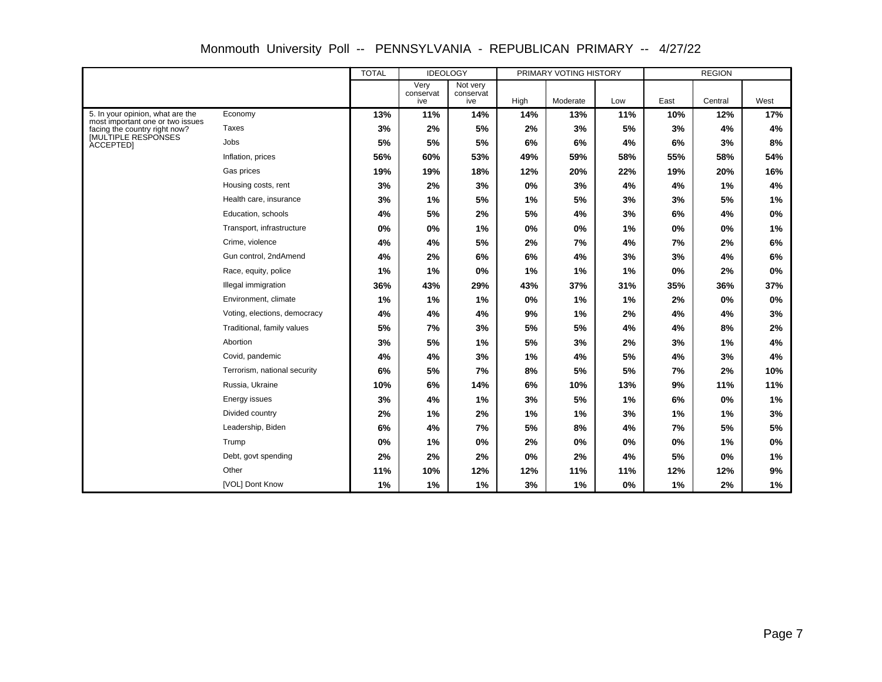|                                                                      |                              | <b>TOTAL</b> | <b>IDEOLOGY</b>          |                              |      | PRIMARY VOTING HISTORY |     |      | <b>REGION</b> |      |
|----------------------------------------------------------------------|------------------------------|--------------|--------------------------|------------------------------|------|------------------------|-----|------|---------------|------|
|                                                                      |                              |              | Very<br>conservat<br>ive | Not very<br>conservat<br>ive | High | Moderate               | Low | East | Central       | West |
| 5. In your opinion, what are the<br>most important one or two issues | Economy                      | 13%          | 11%                      | 14%                          | 14%  | 13%                    | 11% | 10%  | 12%           | 17%  |
| facing the country right now?<br>[MULTIPLE RESPONSES                 | Taxes                        | 3%           | 2%                       | 5%                           | 2%   | 3%                     | 5%  | 3%   | 4%            | 4%   |
| <b>ACCEPTEDI</b>                                                     | Jobs                         | 5%           | 5%                       | 5%                           | 6%   | 6%                     | 4%  | 6%   | 3%            | 8%   |
|                                                                      | Inflation, prices            | 56%          | 60%                      | 53%                          | 49%  | 59%                    | 58% | 55%  | 58%           | 54%  |
|                                                                      | Gas prices                   | 19%          | 19%                      | 18%                          | 12%  | 20%                    | 22% | 19%  | 20%           | 16%  |
|                                                                      | Housing costs, rent          | 3%           | 2%                       | 3%                           | 0%   | 3%                     | 4%  | 4%   | 1%            | 4%   |
|                                                                      | Health care, insurance       | 3%           | 1%                       | 5%                           | 1%   | 5%                     | 3%  | 3%   | 5%            | 1%   |
|                                                                      | Education, schools           | 4%           | 5%                       | 2%                           | 5%   | 4%                     | 3%  | 6%   | 4%            | 0%   |
|                                                                      | Transport, infrastructure    | 0%           | 0%                       | 1%                           | 0%   | 0%                     | 1%  | 0%   | 0%            | 1%   |
|                                                                      | Crime, violence              | 4%           | 4%                       | 5%                           | 2%   | 7%                     | 4%  | 7%   | 2%            | 6%   |
|                                                                      | Gun control, 2ndAmend        | 4%           | 2%                       | 6%                           | 6%   | 4%                     | 3%  | 3%   | 4%            | 6%   |
|                                                                      | Race, equity, police         | 1%           | 1%                       | 0%                           | 1%   | 1%                     | 1%  | 0%   | 2%            | 0%   |
|                                                                      | Illegal immigration          | 36%          | 43%                      | 29%                          | 43%  | 37%                    | 31% | 35%  | 36%           | 37%  |
|                                                                      | Environment, climate         | 1%           | 1%                       | 1%                           | 0%   | 1%                     | 1%  | 2%   | 0%            | 0%   |
|                                                                      | Voting, elections, democracy | 4%           | 4%                       | 4%                           | 9%   | 1%                     | 2%  | 4%   | 4%            | 3%   |
|                                                                      | Traditional, family values   | 5%           | 7%                       | 3%                           | 5%   | 5%                     | 4%  | 4%   | 8%            | 2%   |
|                                                                      | Abortion                     | 3%           | 5%                       | 1%                           | 5%   | 3%                     | 2%  | 3%   | 1%            | 4%   |
|                                                                      | Covid, pandemic              | 4%           | 4%                       | 3%                           | 1%   | 4%                     | 5%  | 4%   | 3%            | 4%   |
|                                                                      | Terrorism, national security | 6%           | 5%                       | 7%                           | 8%   | 5%                     | 5%  | 7%   | 2%            | 10%  |
|                                                                      | Russia, Ukraine              | 10%          | 6%                       | 14%                          | 6%   | 10%                    | 13% | 9%   | 11%           | 11%  |
|                                                                      | Energy issues                | 3%           | 4%                       | 1%                           | 3%   | 5%                     | 1%  | 6%   | 0%            | 1%   |
|                                                                      | Divided country              | 2%           | 1%                       | 2%                           | 1%   | 1%                     | 3%  | 1%   | 1%            | 3%   |
|                                                                      | Leadership, Biden            | 6%           | 4%                       | 7%                           | 5%   | 8%                     | 4%  | 7%   | 5%            | 5%   |
|                                                                      | Trump                        | 0%           | 1%                       | 0%                           | 2%   | 0%                     | 0%  | 0%   | 1%            | 0%   |
|                                                                      | Debt, govt spending          | 2%           | 2%                       | 2%                           | 0%   | 2%                     | 4%  | 5%   | 0%            | 1%   |
|                                                                      | Other                        | 11%          | 10%                      | 12%                          | 12%  | 11%                    | 11% | 12%  | 12%           | 9%   |
|                                                                      | [VOL] Dont Know              | 1%           | 1%                       | 1%                           | 3%   | 1%                     | 0%  | 1%   | 2%            | 1%   |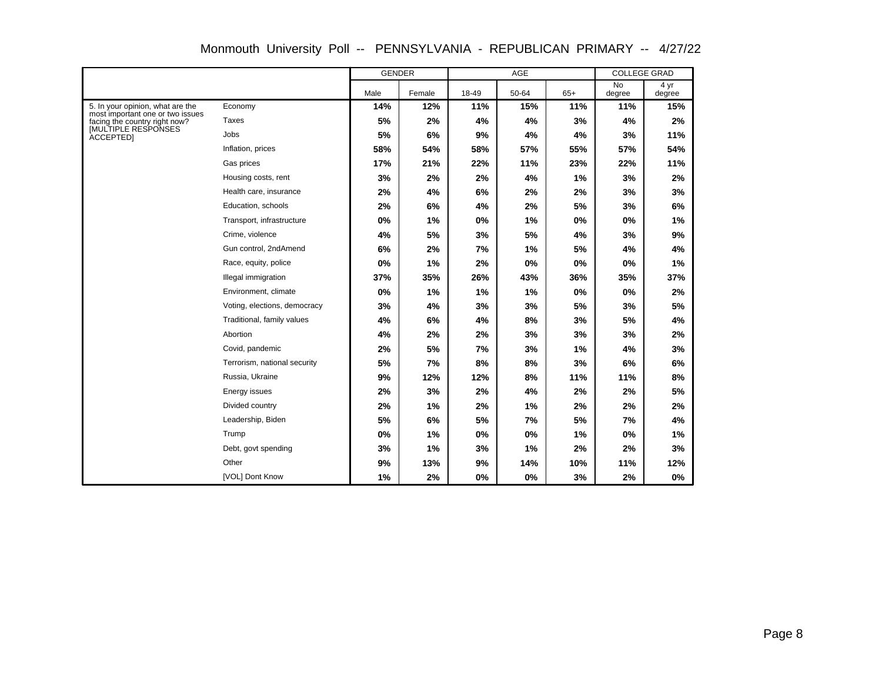|                                                                      |                              | <b>GENDER</b> |        |       | AGE   |       | <b>COLLEGE GRAD</b> |                |
|----------------------------------------------------------------------|------------------------------|---------------|--------|-------|-------|-------|---------------------|----------------|
|                                                                      |                              | Male          | Female | 18-49 | 50-64 | $65+$ | <b>No</b><br>degree | 4 yr<br>degree |
| 5. In your opinion, what are the<br>most important one or two issues | Economy                      | 14%           | 12%    | 11%   | 15%   | 11%   | 11%                 | 15%            |
| facing the country right now?                                        | Taxes                        | 5%            | 2%     | 4%    | 4%    | 3%    | 4%                  | 2%             |
| <b>IMULTIPLE RESPONSES</b><br><b>ACCEPTEDI</b>                       | Jobs                         | 5%            | 6%     | 9%    | 4%    | 4%    | 3%                  | 11%            |
|                                                                      | Inflation, prices            | 58%           | 54%    | 58%   | 57%   | 55%   | 57%                 | 54%            |
|                                                                      | Gas prices                   | 17%           | 21%    | 22%   | 11%   | 23%   | 22%                 | 11%            |
|                                                                      | Housing costs, rent          | 3%            | 2%     | 2%    | 4%    | 1%    | 3%                  | 2%             |
|                                                                      | Health care, insurance       | 2%            | 4%     | 6%    | 2%    | 2%    | 3%                  | 3%             |
|                                                                      | Education, schools           | 2%            | 6%     | 4%    | 2%    | 5%    | 3%                  | 6%             |
|                                                                      | Transport, infrastructure    | 0%            | 1%     | 0%    | 1%    | 0%    | 0%                  | 1%             |
|                                                                      | Crime, violence              | 4%            | 5%     | 3%    | 5%    | 4%    | 3%                  | 9%             |
|                                                                      | Gun control, 2ndAmend        | 6%            | 2%     | 7%    | 1%    | 5%    | 4%                  | 4%             |
|                                                                      | Race, equity, police         | 0%            | 1%     | 2%    | 0%    | 0%    | 0%                  | 1%             |
|                                                                      | Illegal immigration          | 37%           | 35%    | 26%   | 43%   | 36%   | 35%                 | 37%            |
|                                                                      | Environment, climate         | 0%            | 1%     | 1%    | 1%    | 0%    | 0%                  | 2%             |
|                                                                      | Voting, elections, democracy | 3%            | 4%     | 3%    | 3%    | 5%    | 3%                  | 5%             |
|                                                                      | Traditional, family values   | 4%            | 6%     | 4%    | 8%    | 3%    | 5%                  | 4%             |
|                                                                      | Abortion                     | 4%            | 2%     | 2%    | 3%    | 3%    | 3%                  | 2%             |
|                                                                      | Covid, pandemic              | 2%            | 5%     | 7%    | 3%    | 1%    | 4%                  | 3%             |
|                                                                      | Terrorism, national security | 5%            | 7%     | 8%    | 8%    | 3%    | 6%                  | 6%             |
|                                                                      | Russia, Ukraine              | 9%            | 12%    | 12%   | 8%    | 11%   | 11%                 | 8%             |
|                                                                      | Energy issues                | 2%            | 3%     | 2%    | 4%    | 2%    | 2%                  | 5%             |
|                                                                      | Divided country              | 2%            | 1%     | 2%    | 1%    | 2%    | 2%                  | 2%             |
|                                                                      | Leadership, Biden            | 5%            | 6%     | 5%    | 7%    | 5%    | 7%                  | 4%             |
|                                                                      | Trump                        | 0%            | 1%     | 0%    | 0%    | 1%    | 0%                  | 1%             |
|                                                                      | Debt, govt spending          | 3%            | 1%     | 3%    | 1%    | 2%    | 2%                  | 3%             |
|                                                                      | Other                        | 9%            | 13%    | 9%    | 14%   | 10%   | 11%                 | 12%            |
|                                                                      | [VOL] Dont Know              | 1%            | 2%     | 0%    | 0%    | 3%    | 2%                  | 0%             |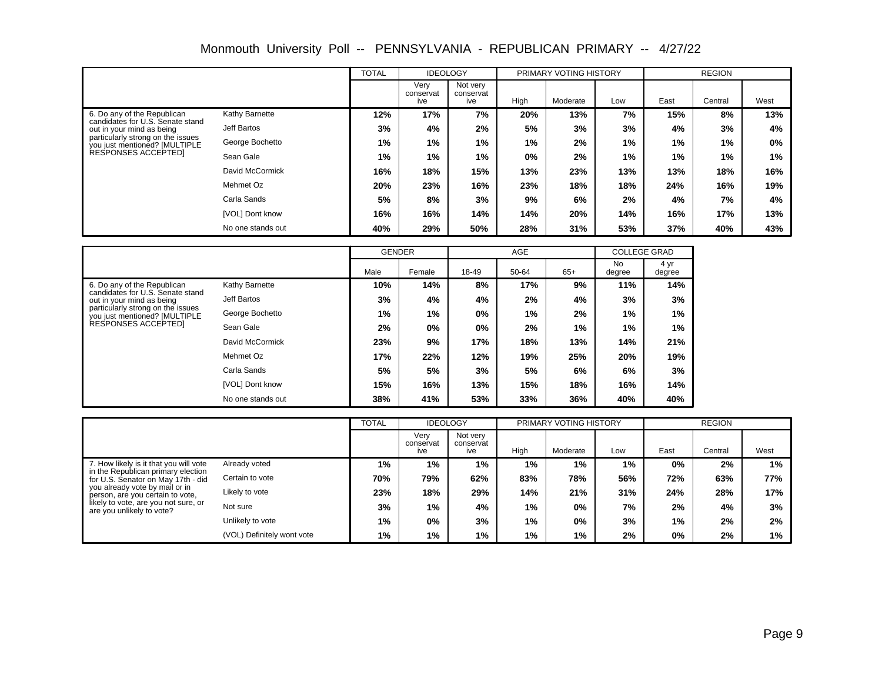|                                                                    |                   | <b>TOTAL</b> | <b>IDEOLOGY</b>          |                              |       | PRIMARY VOTING HISTORY |     |      | <b>REGION</b> |       |
|--------------------------------------------------------------------|-------------------|--------------|--------------------------|------------------------------|-------|------------------------|-----|------|---------------|-------|
|                                                                    |                   |              | Verv<br>conservat<br>ive | Not very<br>conservat<br>ive | High  | Moderate               | Low | East | Central       | West  |
| 6. Do any of the Republican                                        | Kathy Barnette    | 12%          | 17%                      | 7%                           | 20%   | 13%                    | 7%  | 15%  | 8%            | 13%   |
| candidates for U.S. Senate stand<br>out in your mind as being      | Jeff Bartos       | 3%           | 4%                       | 2%                           | 5%    | 3%                     | 3%  | 4%   | 3%            | 4%    |
| particularly strong on the issues<br>you just mentioned? [MULTIPLE | George Bochetto   | 1%           | 1%                       | $1\%$                        | $1\%$ | 2%                     | 1%  | 1%   | 1%            | $0\%$ |
| RESPONSES ACCEPTED                                                 | Sean Gale         | 1%           | 1%                       | 1%                           | 0%    | 2%                     | 1%  | 1%   | $1\%$         | 1%    |
|                                                                    | David McCormick   | 16%          | 18%                      | 15%                          | 13%   | 23%                    | 13% | 13%  | 18%           | 16%   |
|                                                                    | Mehmet Oz         | 20%          | 23%                      | 16%                          | 23%   | 18%                    | 18% | 24%  | 16%           | 19%   |
|                                                                    | Carla Sands       | 5%           | 8%                       | 3%                           | 9%    | 6%                     | 2%  | 4%   | 7%            | 4%    |
|                                                                    | [VOL] Dont know   | 16%          | 16%                      | 14%                          | 14%   | 20%                    | 14% | 16%  | 17%           | 13%   |
|                                                                    | No one stands out | 40%          | 29%                      | 50%                          | 28%   | 31%                    | 53% | 37%  | 40%           | 43%   |

|                                                                    |                   | <b>GENDER</b> |        |       | <b>AGE</b> |       | <b>COLLEGE GRAD</b> |                |
|--------------------------------------------------------------------|-------------------|---------------|--------|-------|------------|-------|---------------------|----------------|
|                                                                    |                   | Male          | Female | 18-49 | 50-64      | $65+$ | <b>No</b><br>degree | 4 yr<br>degree |
| 6. Do any of the Republican<br>candidates for U.S. Senate stand    | Kathy Barnette    | 10%           | 14%    | 8%    | 17%        | 9%    | 11%                 | 14%            |
| out in your mind as being                                          | Jeff Bartos       | 3%            | 4%     | 4%    | 2%         | 4%    | 3%                  | 3%             |
| particularly strong on the issues<br>you just mentioned? [MULTIPLE | George Bochetto   | 1%            | 1%     | $0\%$ | 1%         | 2%    | 1%                  | 1%             |
| RESPONSES ACCEPTEDI                                                | Sean Gale         | 2%            | $0\%$  | $0\%$ | 2%         | $1\%$ | 1%                  | 1%             |
|                                                                    | David McCormick   | 23%           | 9%     | 17%   | 18%        | 13%   | 14%                 | 21%            |
|                                                                    | Mehmet Oz         | 17%           | 22%    | 12%   | 19%        | 25%   | 20%                 | 19%            |
|                                                                    | Carla Sands       | 5%            | 5%     | 3%    | 5%         | 6%    | 6%                  | 3%             |
|                                                                    | [VOL] Dont know   | 15%           | 16%    | 13%   | 15%        | 18%   | 16%                 | 14%            |
|                                                                    | No one stands out | 38%           | 41%    | 53%   | 33%        | 36%   | 40%                 | 40%            |

|                                                                          |                            | <b>TOTAL</b> | <b>IDEOLOGY</b>          |                              |       | PRIMARY VOTING HISTORY |     |      | <b>REGION</b> |      |
|--------------------------------------------------------------------------|----------------------------|--------------|--------------------------|------------------------------|-------|------------------------|-----|------|---------------|------|
|                                                                          |                            |              | Very<br>conservat<br>ive | Not very<br>conservat<br>ive | High  | Moderate               | Low | East | Central       | West |
| 7. How likely is it that you will vote                                   | Already voted              | 1%           | $1\%$                    | 1%                           | $1\%$ | 1%                     | 1%  | 0%   | 2%            | 1%   |
| in the Republican primary election<br>for U.S. Senator on May 17th - did | Certain to vote            | 70%          | 79%                      | 62%                          | 83%   | 78%                    | 56% | 72%  | 63%           | 77%  |
| you already vote by mail or in<br>person, are you certain to vote.       | Likely to vote             | 23%          | 18%                      | 29%                          | 14%   | 21%                    | 31% | 24%  | 28%           | 17%  |
| likely to vote, are you not sure, or<br>are you unlikely to vote?        | Not sure                   | 3%           | 1%                       | 4%                           | 1%    | $0\%$                  | 7%  | 2%   | 4%            | 3%   |
|                                                                          | Unlikely to vote           | $1\%$        | $0\%$                    | 3%                           | 1%    | 0%                     | 3%  | 1%   | 2%            | 2%   |
|                                                                          | (VOL) Definitely wont vote | 1%           | 1%                       | 1%                           | 1%    | 1%                     | 2%  | 0%   | 2%            | 1%   |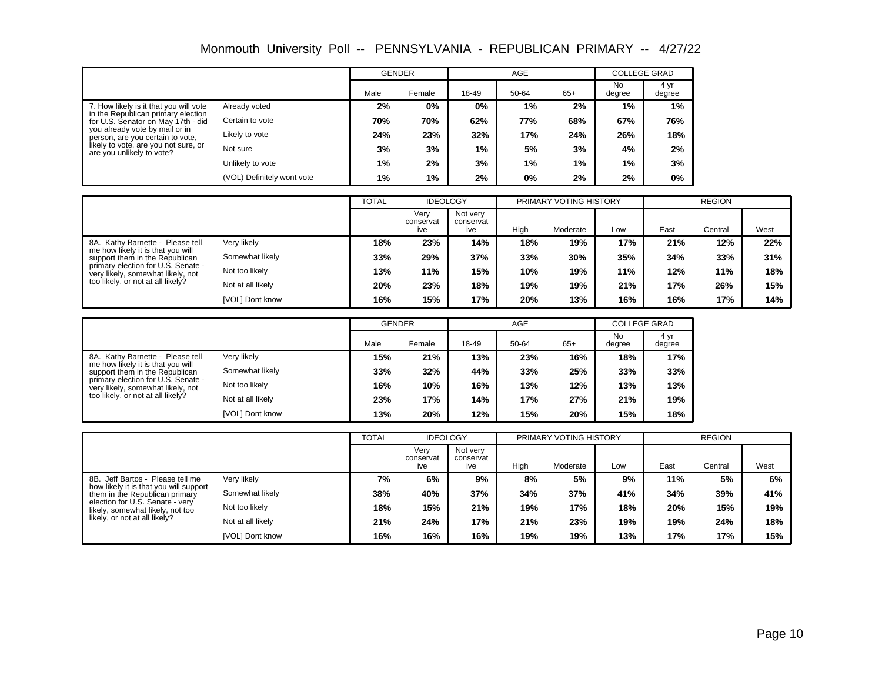|                                                                          |                            | <b>GENDER</b> |        |       | <b>AGE</b> |       | <b>COLLEGE GRAD</b> |                |
|--------------------------------------------------------------------------|----------------------------|---------------|--------|-------|------------|-------|---------------------|----------------|
|                                                                          |                            | Male          | Female | 18-49 | 50-64      | $65+$ | No<br>degree        | 4 yr<br>degree |
| 7. How likely is it that you will vote                                   | Already voted              | 2%            | $0\%$  | 0%    | 1%         | 2%    | $1\%$               | $1\%$          |
| in the Republican primary election<br>for U.S. Senator on May 17th - did | Certain to vote            | 70%           | 70%    | 62%   | 77%        | 68%   | 67%                 | 76%            |
| you already vote by mail or in<br>person, are you certain to vote,       | Likely to vote             | 24%           | 23%    | 32%   | 17%        | 24%   | 26%                 | 18%            |
| likely to vote, are you not sure, or<br>are you unlikely to vote?        | Not sure                   | 3%            | 3%     | 1%    | 5%         | 3%    | 4%                  | 2%             |
|                                                                          | Unlikely to vote           | $1\%$         | 2%     | 3%    | 1%         | 1%    | 1%                  | 3%             |
|                                                                          | (VOL) Definitely wont vote | 1%            | 1%     | 2%    | 0%         | 2%    | 2%                  | 0%             |

|                                                                         |                   | <b>TOTAL</b> | <b>IDEOLOGY</b>          |                              |      | PRIMARY VOTING HISTORY |     |      | <b>REGION</b> |      |
|-------------------------------------------------------------------------|-------------------|--------------|--------------------------|------------------------------|------|------------------------|-----|------|---------------|------|
|                                                                         |                   |              | Verv<br>conservat<br>ive | Not very<br>conservat<br>ive | High | Moderate               | Low | East | Central       | West |
| 8A. Kathy Barnette - Please tell                                        | Very likely       | 18%          | 23%                      | 14%                          | 18%  | 19%                    | 17% | 21%  | 12%           | 22%  |
| me how likely it is that you will<br>support them in the Republican     | Somewhat likely   | 33%          | 29%                      | 37%                          | 33%  | 30%                    | 35% | 34%  | 33%           | 31%  |
| primary election for U.S. Senate -<br>very likely, somewhat likely, not | Not too likely    | 13%          | 11%                      | 15%                          | 10%  | 19%                    | 11% | 12%  | 11%           | 18%  |
| too likely, or not at all likely?                                       | Not at all likely | 20%          | 23%                      | 18%                          | 19%  | 19%                    | 21% | 17%  | 26%           | 15%  |
|                                                                         | [VOL] Dont know   | 16%          | 15%                      | 17%                          | 20%  | 13%                    | 16% | 16%  | 17%           | 14%  |

|                                                                                        |                   | <b>GENDER</b> |        |       | AGE   |       | <b>COLLEGE GRAD</b> |                |  |
|----------------------------------------------------------------------------------------|-------------------|---------------|--------|-------|-------|-------|---------------------|----------------|--|
|                                                                                        |                   | Male          | Female | 18-49 | 50-64 | $65+$ | <b>No</b><br>degree | 4 yr<br>degree |  |
| 8A. Kathy Barnette - Please tell                                                       | Very likely       | 15%           | 21%    | 13%   | 23%   | 16%   | 18%                 | 17%            |  |
| me how likely it is that you will<br>Somewhat likely<br>support them in the Republican |                   | 33%           | 32%    | 44%   | 33%   | 25%   | 33%                 | 33%            |  |
| primary election for U.S. Senate -<br>very likely, somewhat likely, not                | Not too likely    | 16%           | 10%    | 16%   | 13%   | 12%   | 13%                 | 13%            |  |
| too likely, or not at all likely?                                                      | Not at all likely | 23%           | 17%    | 14%   | 17%   | 27%   | 21%                 | 19%            |  |
|                                                                                        | [VOL] Dont know   | 13%           | 20%    | 12%   | 15%   | 20%   | 15%                 | 18%            |  |

|                                                                          |                   | <b>TOTAL</b> | <b>IDEOLOGY</b>          |                              |      | PRIMARY VOTING HISTORY |     |      | <b>REGION</b> |      |
|--------------------------------------------------------------------------|-------------------|--------------|--------------------------|------------------------------|------|------------------------|-----|------|---------------|------|
|                                                                          |                   |              | Verv<br>conservat<br>ive | Not very<br>conservat<br>ive | High | Moderate               | Low | East | Central       | West |
| 8B. Jeff Bartos - Please tell me                                         | Very likely       | 7%           | 6%                       | 9%                           | 8%   | 5%                     | 9%  | 11%  | 5%            | 6%   |
| how likely it is that you will support<br>them in the Republican primary | Somewhat likely   | 38%          | 40%                      | 37%                          | 34%  | 37%                    | 41% | 34%  | 39%           | 41%  |
| election for U.S. Senate - very<br>likely, somewhat likely, not too      | Not too likely    | 18%          | 15%                      | 21%                          | 19%  | 17%                    | 18% | 20%  | 15%           | 19%  |
| likely, or not at all likely?                                            | Not at all likely | 21%          | 24%                      | 17%                          | 21%  | 23%                    | 19% | 19%  | 24%           | 18%  |
|                                                                          | [VOL] Dont know   | 16%          | 16%                      | 16%                          | 19%  | 19%                    | 13% | 17%  | 17%           | 15%  |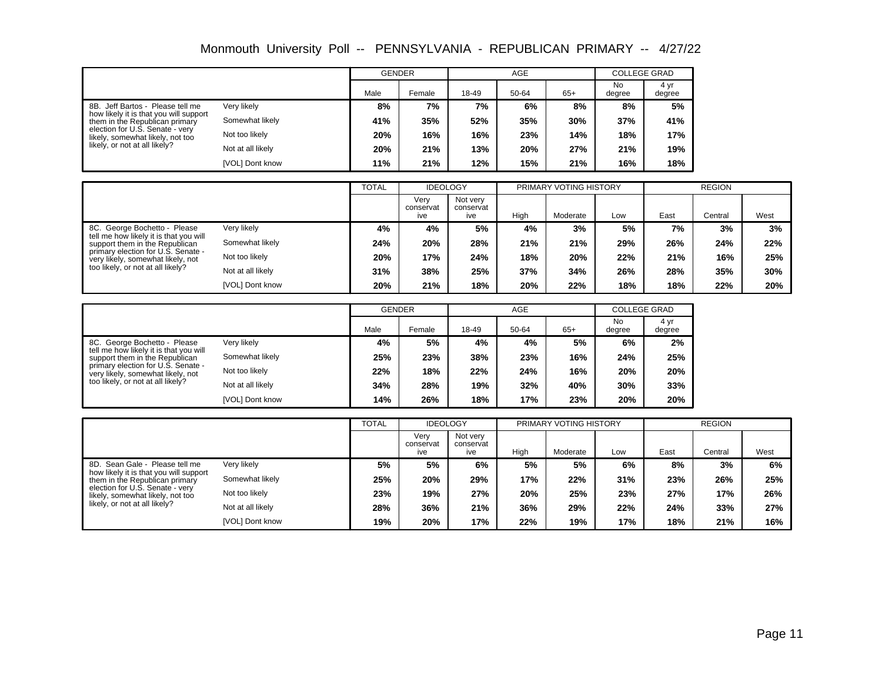|                                                                                             |                        | <b>GENDER</b> |        |       | <b>AGE</b> |       | COLLEGE GRAD |                |
|---------------------------------------------------------------------------------------------|------------------------|---------------|--------|-------|------------|-------|--------------|----------------|
|                                                                                             |                        | Male          | Female | 18-49 | 50-64      | $65+$ | No<br>degree | 4 yr<br>degree |
| 8B. Jeff Bartos - Please tell me                                                            | Very likely            | 8%            | 7%     | 7%    | 6%         | 8%    | 8%           | 5%             |
| how likely it is that you will support<br>Somewhat likely<br>them in the Republican primary | 41%                    | 35%           | 52%    | 35%   | 30%        | 37%   | 41%          |                |
| election for U.S. Senate - very<br>likely, somewhat likely, not too                         | Not too likely         | 20%           | 16%    | 16%   | 23%        | 14%   | 18%          | 17%            |
| likely, or not at all likely?                                                               | Not at all likely      | 20%           | 21%    | 13%   | 20%        | 27%   | 21%          | 19%            |
|                                                                                             | <b>IVOLI Dont know</b> | 11%           | 21%    | 12%   | 15%        | 21%   | 16%          | 18%            |

|                                                                          |                   | <b>TOTAL</b> | <b>IDEOLOGY</b>          |                              |      | PRIMARY VOTING HISTORY |     |      | <b>REGION</b> |      |
|--------------------------------------------------------------------------|-------------------|--------------|--------------------------|------------------------------|------|------------------------|-----|------|---------------|------|
|                                                                          |                   |              | Verv<br>conservat<br>ive | Not very<br>conservat<br>ive | High | Moderate               | Low | East | Central       | West |
| 8C. George Bochetto - Please                                             | Very likely       | 4%           | 4%                       | 5%                           | 4%   | 3%                     | 5%  | 7%   | 3%            | 3%   |
| tell me how likely it is that you will<br>support them in the Republican | Somewhat likely   | 24%          | 20%                      | 28%                          | 21%  | 21%                    | 29% | 26%  | 24%           | 22%  |
| primary election for U.S. Senate -<br>very likely, somewhat likely, not  | Not too likely    | 20%          | 17%                      | 24%                          | 18%  | 20%                    | 22% | 21%  | 16%           | 25%  |
| too likely, or not at all likely?                                        | Not at all likely | 31%          | 38%                      | 25%                          | 37%  | 34%                    | 26% | 28%  | 35%           | 30%  |
|                                                                          | [VOL] Dont know   | 20%          | 21%                      | 18%                          | 20%  | 22%                    | 18% | 18%  | 22%           | 20%  |

|                                                                                             |                   | <b>GENDER</b> |        |       | <b>AGE</b> |       | <b>COLLEGE GRAD</b> |                |  |
|---------------------------------------------------------------------------------------------|-------------------|---------------|--------|-------|------------|-------|---------------------|----------------|--|
|                                                                                             |                   | Male          | Female | 18-49 | 50-64      | $65+$ | No<br>degree        | 4 yr<br>degree |  |
| 8C. George Bochetto - Please                                                                | Very likely       | 4%            | 5%     | 4%    | 4%         | 5%    | 6%                  | 2%             |  |
| tell me how likely it is that you will<br>Somewhat likely<br>support them in the Republican |                   | 25%           | 23%    | 38%   | 23%        | 16%   | 24%                 | 25%            |  |
| primary election for U.S. Senate -<br>very likely, somewhat likely, not                     | Not too likely    | 22%           | 18%    | 22%   | 24%        | 16%   | 20%                 | 20%            |  |
| too likely, or not at all likely?                                                           | Not at all likely | 34%           | 28%    | 19%   | 32%        | 40%   | 30%                 | 33%            |  |
|                                                                                             | [VOL] Dont know   | 14%           | 26%    | 18%   | 17%        | 23%   | 20%                 | 20%            |  |

|                                                                          |                   | <b>TOTAL</b> | <b>IDEOLOGY</b>          |                              |      | PRIMARY VOTING HISTORY |     |      | <b>REGION</b> |      |
|--------------------------------------------------------------------------|-------------------|--------------|--------------------------|------------------------------|------|------------------------|-----|------|---------------|------|
|                                                                          |                   |              | Verv<br>conservat<br>ive | Not very<br>conservat<br>ive | High | Moderate               | Low | East | Central       | West |
| 8D. Sean Gale - Please tell me                                           | Very likely       | 5%           | 5%                       | 6%                           | 5%   | 5%                     | 6%  | 8%   | 3%            | 6%   |
| how likely it is that you will support<br>them in the Republican primary | Somewhat likely   | 25%          | 20%                      | 29%                          | 17%  | 22%                    | 31% | 23%  | 26%           | 25%  |
| election for U.S. Senate - very<br>likely, somewhat likely, not too      | Not too likely    | 23%          | 19%                      | 27%                          | 20%  | 25%                    | 23% | 27%  | 17%           | 26%  |
| likely, or not at all likely?                                            | Not at all likely | 28%          | 36%                      | 21%                          | 36%  | 29%                    | 22% | 24%  | 33%           | 27%  |
|                                                                          | [VOL] Dont know   | 19%          | 20%                      | 17%                          | 22%  | 19%                    | 17% | 18%  | 21%           | 16%  |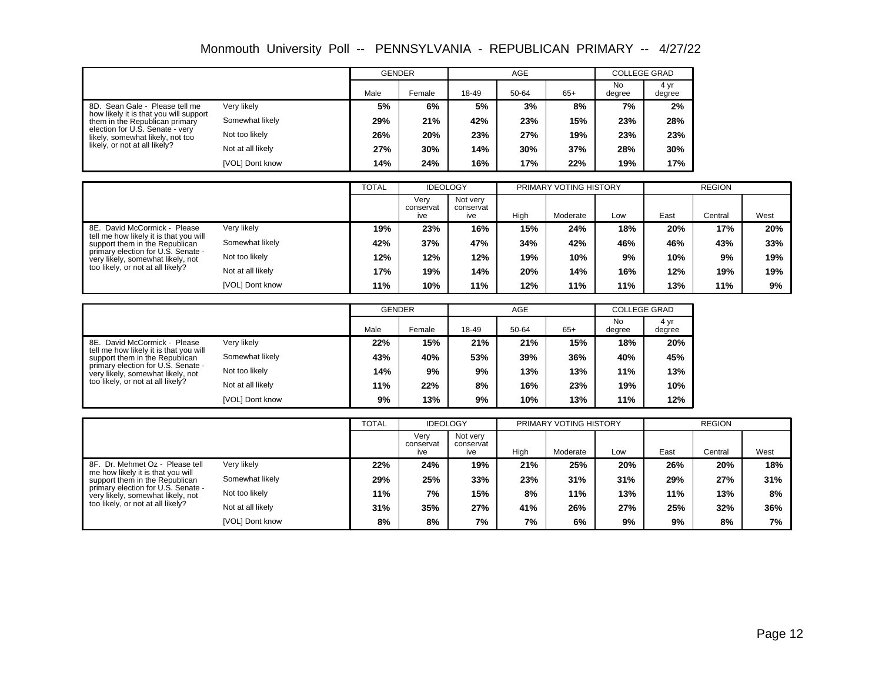|                                                                                             |                   | <b>GENDER</b> |        |       | <b>AGE</b> |       | <b>COLLEGE GRAD</b> |                |
|---------------------------------------------------------------------------------------------|-------------------|---------------|--------|-------|------------|-------|---------------------|----------------|
|                                                                                             |                   | Male          | Female | 18-49 | 50-64      | $65+$ | No<br>degree        | 4 yr<br>degree |
| 8D. Sean Gale - Please tell me                                                              | Very likely       | 5%            | 6%     | 5%    | 3%         | 8%    | 7%                  | 2%             |
| how likely it is that you will support<br>Somewhat likely<br>them in the Republican primary | 29%               | 21%           | 42%    | 23%   | 15%        | 23%   | 28%                 |                |
| election for U.S. Senate - very<br>likely, somewhat likely, not too                         | Not too likely    | 26%           | 20%    | 23%   | 27%        | 19%   | 23%                 | 23%            |
| likely, or not at all likely?                                                               | Not at all likely | 27%           | 30%    | 14%   | 30%        | 37%   | 28%                 | 30%            |
|                                                                                             | [VOL] Dont know   | 14%           | 24%    | 16%   | 17%        | 22%   | 19%                 | 17%            |

|                                                                          |                   | <b>TOTAL</b> | <b>IDEOLOGY</b>          |                              |      | PRIMARY VOTING HISTORY |     |      | <b>REGION</b> |      |
|--------------------------------------------------------------------------|-------------------|--------------|--------------------------|------------------------------|------|------------------------|-----|------|---------------|------|
|                                                                          |                   |              | Verv<br>conservat<br>ive | Not very<br>conservat<br>ive | High | Moderate               | Low | East | Central       | West |
| 8E. David McCormick - Please                                             | Very likely       | 19%          | 23%                      | 16%                          | 15%  | 24%                    | 18% | 20%  | 17%           | 20%  |
| tell me how likely it is that you will<br>support them in the Republican | Somewhat likely   | 42%          | 37%                      | 47%                          | 34%  | 42%                    | 46% | 46%  | 43%           | 33%  |
| primary election for U.S. Senate -<br>very likely, somewhat likely, not  | Not too likely    | 12%          | 12%                      | 12%                          | 19%  | 10%                    | 9%  | 10%  | 9%            | 19%  |
| too likely, or not at all likely?                                        | Not at all likely | 17%          | 19%                      | 14%                          | 20%  | 14%                    | 16% | 12%  | 19%           | 19%  |
|                                                                          | [VOL] Dont know   | 11%          | 10%                      | 11%                          | 12%  | 11%                    | 11% | 13%  | 11%           | 9%   |

|                                                                          |                   | <b>GENDER</b> |        |       | <b>AGE</b> |       | <b>COLLEGE GRAD</b> |                |  |
|--------------------------------------------------------------------------|-------------------|---------------|--------|-------|------------|-------|---------------------|----------------|--|
|                                                                          |                   | Male          | Female | 18-49 | 50-64      | $65+$ | No<br>degree        | 4 yr<br>degree |  |
| 8E. David McCormick - Please                                             | Very likely       | 22%           | 15%    | 21%   | 21%        | 15%   | 18%                 | 20%            |  |
| tell me how likely it is that you will<br>support them in the Republican | Somewhat likely   | 43%           | 40%    | 53%   | 39%        | 36%   | 40%                 | 45%            |  |
| primary election for U.S. Senate -<br>very likely, somewhat likely, not  | Not too likely    | 14%           | 9%     | 9%    | 13%        | 13%   | 11%                 | 13%            |  |
| too likely, or not at all likely?                                        | Not at all likely | 11%           | 22%    | 8%    | 16%        | 23%   | 19%                 | 10%            |  |
|                                                                          | [VOL] Dont know   | 9%            | 13%    | 9%    | 10%        | 13%   | 11%                 | 12%            |  |

|                                                                         |                   | <b>TOTAL</b> | <b>IDEOLOGY</b>          |                              |      | PRIMARY VOTING HISTORY |     |      | <b>REGION</b> |      |
|-------------------------------------------------------------------------|-------------------|--------------|--------------------------|------------------------------|------|------------------------|-----|------|---------------|------|
|                                                                         |                   |              | Verv<br>conservat<br>ive | Not very<br>conservat<br>ive | High | Moderate               | Low | East | Central       | West |
| 8F. Dr. Mehmet Oz - Please tell                                         | Very likely       | 22%          | 24%                      | 19%                          | 21%  | 25%                    | 20% | 26%  | 20%           | 18%  |
| me how likely it is that you will<br>support them in the Republican     | Somewhat likely   | 29%          | 25%                      | 33%                          | 23%  | 31%                    | 31% | 29%  | 27%           | 31%  |
| primary election for U.S. Senate -<br>very likely, somewhat likely, not | Not too likely    | 11%          | 7%                       | 15%                          | 8%   | 11%                    | 13% | 11%  | 13%           | 8%   |
| too likely, or not at all likely?                                       | Not at all likely | 31%          | 35%                      | 27%                          | 41%  | 26%                    | 27% | 25%  | 32%           | 36%  |
|                                                                         | [VOL] Dont know   | 8%           | 8%                       | 7%                           | 7%   | 6%                     | 9%  | 9%   | 8%            | 7%   |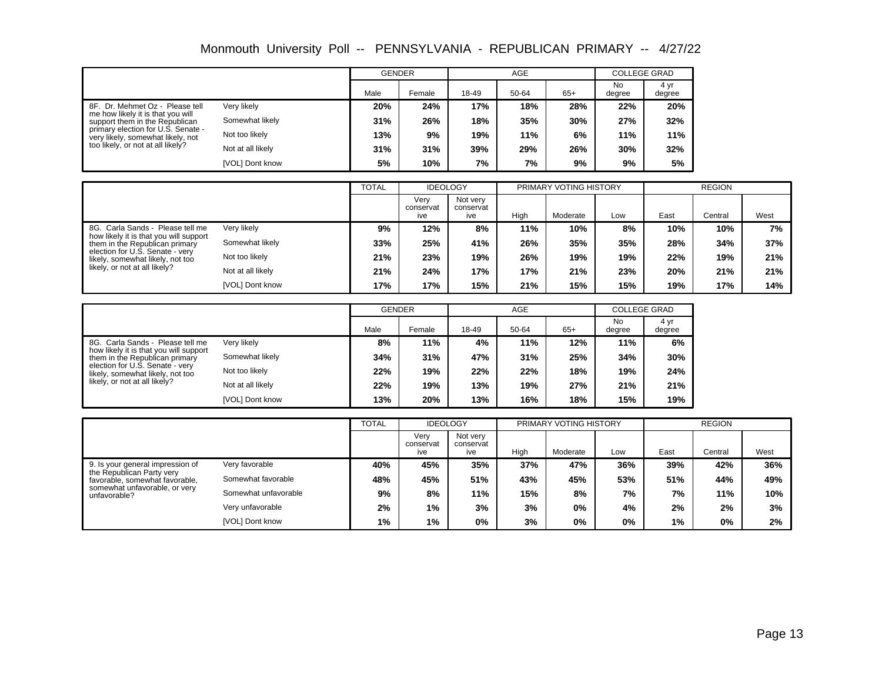|                                                                                        |                   | <b>GENDER</b> |        |       | <b>AGE</b> |       | <b>COLLEGE GRAD</b> |                |
|----------------------------------------------------------------------------------------|-------------------|---------------|--------|-------|------------|-------|---------------------|----------------|
|                                                                                        |                   | Male          | Female | 18-49 | 50-64      | $65+$ | No<br>degree        | 4 yr<br>degree |
| 8F. Dr. Mehmet Oz - Please tell                                                        | Very likely       | 20%           | 24%    | 17%   | 18%        | 28%   | 22%                 | 20%            |
| me how likely it is that you will<br>Somewhat likely<br>support them in the Republican | 31%               | 26%           | 18%    | 35%   | 30%        | 27%   | 32%                 |                |
| primary election for U.S. Senate -<br>very likely, somewhat likely, not                | Not too likely    | 13%           | 9%     | 19%   | 11%        | 6%    | 11%                 | 11%            |
| too likely, or not at all likely?                                                      | Not at all likely | 31%           | 31%    | 39%   | 29%        | 26%   | 30%                 | 32%            |
|                                                                                        | [VOL] Dont know   | 5%            | 10%    | 7%    | 7%         | 9%    | 9%                  | 5%             |

|                                                                          |                   | <b>TOTAL</b> | <b>IDEOLOGY</b>          |                              |      | PRIMARY VOTING HISTORY |     |      | <b>REGION</b> |      |
|--------------------------------------------------------------------------|-------------------|--------------|--------------------------|------------------------------|------|------------------------|-----|------|---------------|------|
|                                                                          |                   |              | Verv<br>conservat<br>ive | Not very<br>conservat<br>ive | High | Moderate               | Low | East | Central       | West |
| 8G. Carla Sands - Please tell me                                         | Very likely       | 9%           | 12%                      | 8%                           | 11%  | 10%                    | 8%  | 10%  | 10%           | 7%   |
| how likely it is that you will support<br>them in the Republican primary | Somewhat likely   | 33%          | 25%                      | 41%                          | 26%  | 35%                    | 35% | 28%  | 34%           | 37%  |
| election for U.S. Senate - very<br>likely, somewhat likely, not too      | Not too likely    | 21%          | 23%                      | 19%                          | 26%  | 19%                    | 19% | 22%  | 19%           | 21%  |
| likely, or not at all likely?                                            | Not at all likely | 21%          | 24%                      | 17%                          | 17%  | 21%                    | 23% | 20%  | 21%           | 21%  |
|                                                                          | [VOL] Dont know   | 17%          | 17%                      | 15%                          | 21%  | 15%                    | 15% | 19%  | 17%           | 14%  |

|                                                                                             |                   | <b>GENDER</b> |        |       | <b>AGE</b> |       | <b>COLLEGE GRAD</b> |                |  |
|---------------------------------------------------------------------------------------------|-------------------|---------------|--------|-------|------------|-------|---------------------|----------------|--|
|                                                                                             |                   | Male          | Female | 18-49 | 50-64      | $65+$ | <b>No</b><br>degree | 4 yr<br>degree |  |
| 8G. Carla Sands - Please tell me                                                            | Very likely       | 8%            | 11%    | 4%    | 11%        | 12%   | 11%                 | 6%             |  |
| how likely it is that you will support<br>Somewhat likely<br>them in the Republican primary |                   | 34%           | 31%    | 47%   | 31%        | 25%   | 34%                 | 30%            |  |
| election for U.S. Senate - very<br>likely, somewhat likely, not too                         | Not too likely    | 22%           | 19%    | 22%   | 22%        | 18%   | 19%                 | 24%            |  |
| likely, or not at all likely?                                                               | Not at all likely | 22%           | 19%    | 13%   | 19%        | 27%   | 21%                 | 21%            |  |
|                                                                                             | [VOL] Dont know   | 13%           | 20%    | 13%   | 16%        | 18%   | 15%                 | 19%            |  |

|                                                             |                      | <b>TOTAL</b> | <b>IDEOLOGY</b>          |                              |      | PRIMARY VOTING HISTORY |     |      | <b>REGION</b> |      |
|-------------------------------------------------------------|----------------------|--------------|--------------------------|------------------------------|------|------------------------|-----|------|---------------|------|
|                                                             |                      |              | Verv<br>conservat<br>ive | Not very<br>conservat<br>ive | High | Moderate               | Low | East | Central       | West |
| 9. Is your general impression of                            | Very favorable       | 40%          | 45%                      | 35%                          | 37%  | 47%                    | 36% | 39%  | 42%           | 36%  |
| the Republican Party very<br>favorable, somewhat favorable, | Somewhat favorable   | 48%          | 45%                      | 51%                          | 43%  | 45%                    | 53% | 51%  | 44%           | 49%  |
| somewhat unfavorable, or very<br>unfavorable?               | Somewhat unfavorable | 9%           | 8%                       | 11%                          | 15%  | 8%                     | 7%  | 7%   | 11%           | 10%  |
|                                                             | Very unfavorable     | 2%           | 1%                       | 3%                           | 3%   | 0%                     | 4%  | 2%   | 2%            | 3%   |
|                                                             | [VOL] Dont know      | 1%           | $1\%$                    | $0\%$                        | 3%   | $0\%$                  | 0%  | 1%   | 0%            | 2%   |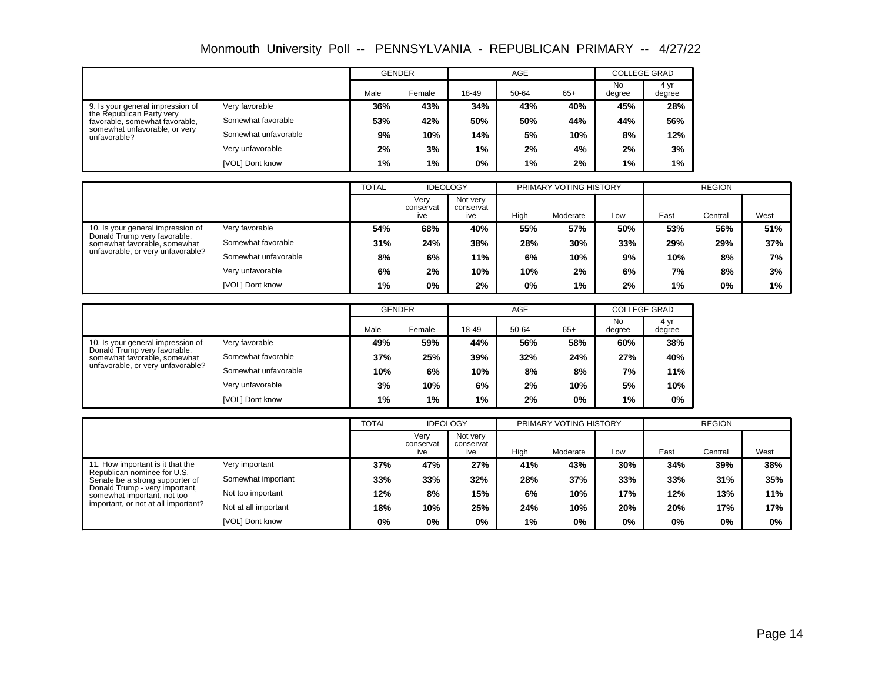|                                                                                                                    |                      | <b>GENDER</b> |        |       | <b>AGE</b> |       | <b>COLLEGE GRAD</b> |                |
|--------------------------------------------------------------------------------------------------------------------|----------------------|---------------|--------|-------|------------|-------|---------------------|----------------|
|                                                                                                                    |                      | Male          | Female | 18-49 | 50-64      | $65+$ | No<br>degree        | 4 yr<br>degree |
| 9. Is your general impression of                                                                                   | Very favorable       | 36%           | 43%    | 34%   | 43%        | 40%   | 45%                 | 28%            |
| the Republican Party very<br>Somewhat favorable<br>favorable, somewhat favorable,<br>somewhat unfavorable, or very | 53%                  | 42%           | 50%    | 50%   | 44%        | 44%   | 56%                 |                |
| unfavorable?                                                                                                       | Somewhat unfavorable | 9%            | 10%    | 14%   | 5%         | 10%   | 8%                  | 12%            |
|                                                                                                                    | Very unfavorable     | 2%            | 3%     | $1\%$ | 2%         | 4%    | 2%                  | 3%             |
|                                                                                                                    | [VOL] Dont know      | 1%            | $1\%$  | $0\%$ | $1\%$      | 2%    | 1%                  | 1%             |

|                                                              |                      | <b>TOTAL</b> |                          | <b>IDEOLOGY</b>              |      | PRIMARY VOTING HISTORY |     |      | <b>REGION</b> |      |
|--------------------------------------------------------------|----------------------|--------------|--------------------------|------------------------------|------|------------------------|-----|------|---------------|------|
|                                                              |                      |              | Verv<br>conservat<br>ive | Not very<br>conservat<br>ive | High | Moderate               | Low | East | Central       | West |
| 10. Is your general impression of                            | Very favorable       | 54%          | 68%                      | 40%                          | 55%  | 57%                    | 50% | 53%  | 56%           | 51%  |
| Donald Trump very favorable,<br>somewhat favorable, somewhat | Somewhat favorable   | 31%          | 24%                      | 38%                          | 28%  | 30%                    | 33% | 29%  | 29%           | 37%  |
| unfavorable, or very unfavorable?                            | Somewhat unfavorable | 8%           | 6%                       | 11%                          | 6%   | 10%                    | 9%  | 10%  | 8%            | 7%   |
| Very unfavorable                                             |                      | 6%           | 2%                       | 10%                          | 10%  | 2%                     | 6%  | 7%   | 8%            | 3%   |
|                                                              | [VOL] Dont know      | $1\%$        | 0%                       | 2%                           | 0%   | 1%                     | 2%  | 1%   | 0%            | 1%   |

|                                                                                    |                      | <b>GENDER</b> |        |       | <b>AGE</b> |       | <b>COLLEGE GRAD</b> |                |
|------------------------------------------------------------------------------------|----------------------|---------------|--------|-------|------------|-------|---------------------|----------------|
|                                                                                    |                      | Male          | Female | 18-49 | 50-64      | $65+$ | No<br>degree        | 4 yr<br>degree |
| 10. Is your general impression of                                                  | Very favorable       | 49%           | 59%    | 44%   | 56%        | 58%   | 60%                 | 38%            |
| Donald Trump very favorable,<br>Somewhat favorable<br>somewhat favorable, somewhat | 37%                  | 25%           | 39%    | 32%   | 24%        | 27%   | 40%                 |                |
| unfavorable, or very unfavorable?                                                  | Somewhat unfavorable | 10%           | 6%     | 10%   | 8%         | 8%    | 7%                  | 11%            |
|                                                                                    | Very unfavorable     | 3%            | 10%    | 6%    | 2%         | 10%   | 5%                  | 10%            |
|                                                                                    | [VOL] Dont know      | 1%            | $1\%$  | 1%    | 2%         | 0%    | 1%                  | 0%             |

|                                                                |                      | <b>TOTAL</b> | <b>IDEOLOGY</b>          |                              |       | PRIMARY VOTING HISTORY |       |       | <b>REGION</b> |      |
|----------------------------------------------------------------|----------------------|--------------|--------------------------|------------------------------|-------|------------------------|-------|-------|---------------|------|
|                                                                |                      |              | Verv<br>conservat<br>ive | Not very<br>conservat<br>ive | High  | Moderate               | Low   | East  | Central       | West |
| 11. How important is it that the                               | Very important       | 37%          | 47%                      | 27%                          | 41%   | 43%                    | 30%   | 34%   | 39%           | 38%  |
| Republican nominee for U.S.<br>Senate be a strong supporter of | Somewhat important   | 33%          | 33%                      | 32%                          | 28%   | 37%                    | 33%   | 33%   | 31%           | 35%  |
| Donald Trump - very important,<br>somewhat important, not too  | Not too important    | 12%          | 8%                       | 15%                          | 6%    | 10%                    | 17%   | 12%   | 13%           | 11%  |
| important, or not at all important?                            | Not at all important | 18%          | 10%                      | 25%                          | 24%   | 10%                    | 20%   | 20%   | 17%           | 17%  |
|                                                                | [VOL] Dont know      | 0%           | $0\%$                    | $0\%$                        | $1\%$ | 0%                     | $0\%$ | $0\%$ | 0%            | 0%   |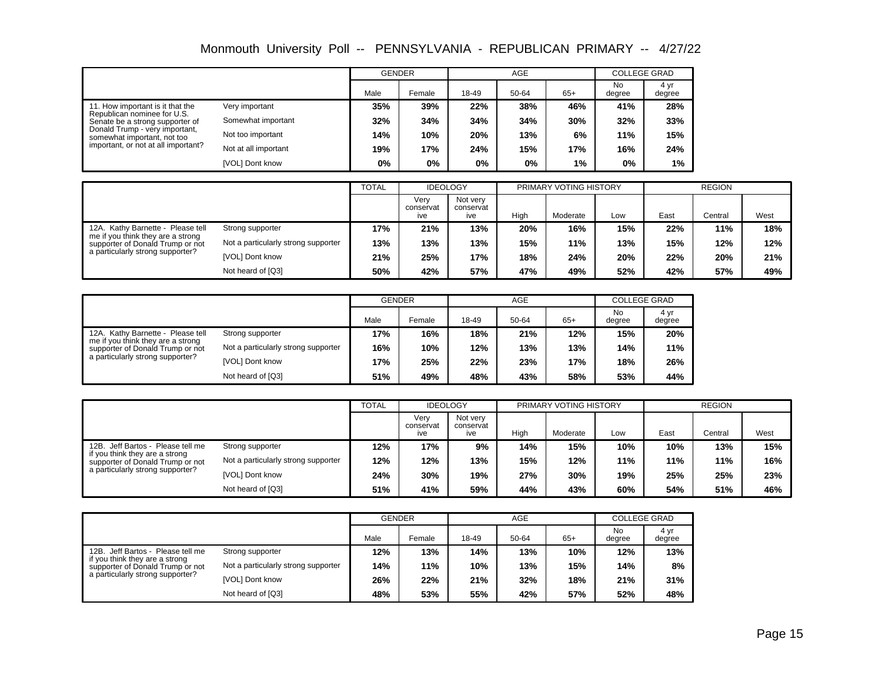|                                                                                      |                      | <b>GENDER</b> |        |       | <b>AGE</b> |       | <b>COLLEGE GRAD</b> |                |
|--------------------------------------------------------------------------------------|----------------------|---------------|--------|-------|------------|-------|---------------------|----------------|
|                                                                                      |                      | Male          | Female | 18-49 | 50-64      | $65+$ | No<br>degree        | 4 yr<br>degree |
| 11. How important is it that the                                                     | Very important       | 35%           | 39%    | 22%   | 38%        | 46%   | 41%                 | 28%            |
| Republican nominee for U.S.<br>Somewhat important<br>Senate be a strong supporter of | 32%                  | 34%           | 34%    | 34%   | 30%        | 32%   | 33%                 |                |
| Donald Trump - very important,<br>somewhat important, not too                        | Not too important    | 14%           | 10%    | 20%   | 13%        | 6%    | 11%                 | 15%            |
| important, or not at all important?                                                  | Not at all important | 19%           | 17%    | 24%   | 15%        | 17%   | 16%                 | 24%            |
|                                                                                      | [VOL] Dont know      | $0\%$         | $0\%$  | 0%    | 0%         | 1%    | $0\%$               | 1%             |

|                                                                       |                                     | <b>TOTAL</b> | <b>IDEOLOGY</b>          |                              |      | PRIMARY VOTING HISTORY |     |      | <b>REGION</b> |      |
|-----------------------------------------------------------------------|-------------------------------------|--------------|--------------------------|------------------------------|------|------------------------|-----|------|---------------|------|
|                                                                       |                                     |              | Verv<br>conservat<br>ive | Not verv<br>conservat<br>ive | High | Moderate               | Low | East | Central       | West |
| 12A. Kathy Barnette - Please tell                                     | Strong supporter                    | 17%          | 21%                      | 13%                          | 20%  | 16%                    | 15% | 22%  | 11%           | 18%  |
| me if you think they are a strong<br>supporter of Donald Trump or not | Not a particularly strong supporter | 13%          | 13%                      | 13%                          | 15%  | 11%                    | 13% | 15%  | 12%           | 12%  |
| a particularly strong supporter?                                      | [VOL] Dont know                     | 21%          | 25%                      | 17%                          | 18%  | 24%                    | 20% | 22%  | 20%           | 21%  |
|                                                                       | Not heard of [Q3]                   | 50%          | 42%                      | 57%                          | 47%  | 49%                    | 52% | 42%  | 57%           | 49%  |

|                                                                       |                                     |      | GENDER |       | AGE   |       | <b>COLLEGE GRAD</b> |                |
|-----------------------------------------------------------------------|-------------------------------------|------|--------|-------|-------|-------|---------------------|----------------|
|                                                                       |                                     | Male | Female | 18-49 | 50-64 | $65+$ | <b>No</b><br>degree | 4 yr<br>degree |
| 12A. Kathy Barnette - Please tell<br>Strong supporter                 | 17%                                 | 16%  | 18%    | 21%   | 12%   | 15%   | 20%                 |                |
| me if you think they are a strong<br>supporter of Donald Trump or not | Not a particularly strong supporter | 16%  | 10%    | 12%   | 13%   | 13%   | 14%                 | 11%            |
| a particularly strong supporter?                                      | [VOL] Dont know                     | 17%  | 25%    | 22%   | 23%   | 17%   | 18%                 | 26%            |
|                                                                       | Not heard of [Q3]                   | 51%  | 49%    | 48%   | 43%   | 58%   | 53%                 | 44%            |

|                                                                    |                                     | <b>TOTAL</b> | <b>IDEOLOGY</b>          |                              |      | PRIMARY VOTING HISTORY |     |      | <b>REGION</b> |      |
|--------------------------------------------------------------------|-------------------------------------|--------------|--------------------------|------------------------------|------|------------------------|-----|------|---------------|------|
|                                                                    |                                     |              | Verv<br>conservat<br>ive | Not very<br>conservat<br>ive | High | Moderate               | Low | East | Central       | West |
| Jeff Bartos - Please tell me<br>12B.                               | Strong supporter                    | 12%          | 17%                      | 9%                           | 14%  | 15%                    | 10% | 10%  | 13%           | 15%  |
| if you think they are a strong<br>supporter of Donald Trump or not | Not a particularly strong supporter | 12%          | 12%                      | 13%                          | 15%  | 12%                    | 11% | 11%  | 11%           | 16%  |
| a particularly strong supporter?                                   | [VOL] Dont know                     | 24%          | 30%                      | 19%                          | 27%  | 30%                    | 19% | 25%  | 25%           | 23%  |
|                                                                    | Not heard of [Q3]                   | 51%          | 41%                      | 59%                          | 44%  | 43%                    | 60% | 54%  | 51%           | 46%  |

|                                                                    |                                     | <b>GENDER</b> |        |       | AGE   |       | <b>COLLEGE GRAD</b> |                |
|--------------------------------------------------------------------|-------------------------------------|---------------|--------|-------|-------|-------|---------------------|----------------|
|                                                                    |                                     | Male          | Female | 18-49 | 50-64 | $65+$ | <b>No</b><br>degree | 4 yr<br>degree |
| 12B. Jeff Bartos - Please tell me<br>Strong supporter              | 12%                                 | 13%           | 14%    | 13%   | 10%   | 12%   | 13%                 |                |
| if you think they are a strong<br>supporter of Donald Trump or not | Not a particularly strong supporter | 14%           | 11%    | 10%   | 13%   | 15%   | 14%                 | 8%             |
| a particularly strong supporter?                                   | [VOL] Dont know                     | 26%           | 22%    | 21%   | 32%   | 18%   | 21%                 | 31%            |
|                                                                    | Not heard of [Q3]                   | 48%           | 53%    | 55%   | 42%   | 57%   | 52%                 | 48%            |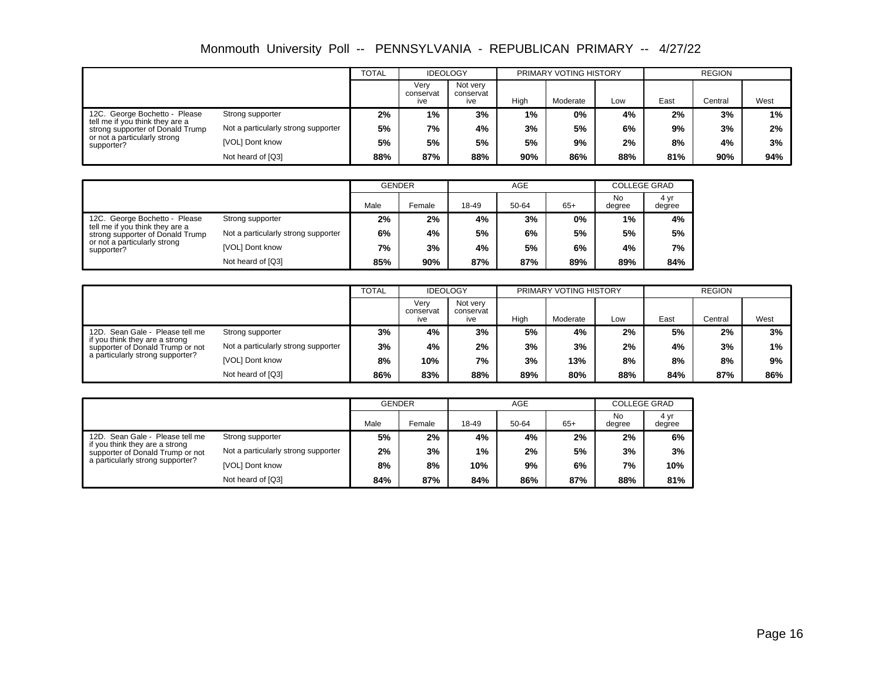|                                                                     |                                     | <b>TOTAL</b> | <b>IDEOLOGY</b>          |                              |       | PRIMARY VOTING HISTORY |     |      | <b>REGION</b> |      |
|---------------------------------------------------------------------|-------------------------------------|--------------|--------------------------|------------------------------|-------|------------------------|-----|------|---------------|------|
|                                                                     |                                     |              | Verv<br>conservat<br>ive | Not very<br>conservat<br>ive | High  | Moderate               | Low | East | Central       | West |
| 12C. George Bochetto - Please                                       | Strong supporter                    | 2%           | 1%                       | 3%                           | $1\%$ | $0\%$                  | 4%  | 2%   | 3%            | 1%   |
| tell me if you think they are a<br>strong supporter of Donald Trump | Not a particularly strong supporter | 5%           | 7%                       | 4%                           | 3%    | 5%                     | 6%  | 9%   | 3%            | 2%   |
| or not a particularly strong<br>supporter?                          | [VOL] Dont know                     | 5%           | 5%                       | 5%                           | 5%    | 9%                     | 2%  | 8%   | 4%            | 3%   |
|                                                                     | Not heard of [Q3]                   | 88%          | 87%                      | 88%                          | 90%   | 86%                    | 88% | 81%  | 90%           | 94%  |

|                                                                     |                                     | <b>GENDER</b> |        |       | <b>AGE</b> |       | <b>COLLEGE GRAD</b> |                |  |
|---------------------------------------------------------------------|-------------------------------------|---------------|--------|-------|------------|-------|---------------------|----------------|--|
|                                                                     |                                     | Male          | Female | 18-49 | 50-64      | $65+$ | No<br>degree        | 4 yr<br>degree |  |
| 12C. George Bochetto - Please                                       | Strong supporter                    | 2%            | 2%     | 4%    | 3%         | $0\%$ | 1%                  | 4%             |  |
| tell me if you think they are a<br>strong supporter of Donald Trump | Not a particularly strong supporter | 6%            | 4%     | 5%    | 6%         | 5%    | 5%                  | 5%             |  |
| or not a particularly strong<br>supporter?                          | [VOL] Dont know                     | 7%            | 3%     | 4%    | 5%         | 6%    | 4%                  | 7%             |  |
|                                                                     | Not heard of [Q3]                   | 85%           | 90%    | 87%   | 87%        | 89%   | 89%                 | 84%            |  |

|                                                                    |                                     | <b>TOTAL</b> | <b>IDEOLOGY</b>          |                              |      | PRIMARY VOTING HISTORY |     |      | <b>REGION</b> |      |
|--------------------------------------------------------------------|-------------------------------------|--------------|--------------------------|------------------------------|------|------------------------|-----|------|---------------|------|
|                                                                    |                                     |              | Verv<br>conservat<br>ive | Not very<br>conservat<br>ive | High | Moderate               | Low | East | Central       | West |
| 12D. Sean Gale - Please tell me                                    | Strong supporter                    | 3%           | 4%                       | 3%                           | 5%   | 4%                     | 2%  | 5%   | 2%            | 3%   |
| if you think they are a strong<br>supporter of Donald Trump or not | Not a particularly strong supporter | 3%           | 4%                       | 2%                           | 3%   | 3%                     | 2%  | 4%   | 3%            | 1%   |
| a particularly strong supporter?                                   | [VOL] Dont know                     | 8%           | 10%                      | 7%                           | 3%   | 13%                    | 8%  | 8%   | 8%            | 9%   |
|                                                                    | Not heard of [Q3]                   | 86%          | 83%                      | 88%                          | 89%  | 80%                    | 88% | 84%  | 87%           | 86%  |

|                                                                    |                                     | <b>GENDER</b> |        |       | AGE   |       | <b>COLLEGE GRAD</b> |                |
|--------------------------------------------------------------------|-------------------------------------|---------------|--------|-------|-------|-------|---------------------|----------------|
|                                                                    |                                     | Male          | Female | 18-49 | 50-64 | $65+$ | No<br>degree        | 4 vr<br>degree |
| 12D. Sean Gale - Please tell me                                    | Strong supporter                    | 5%            | 2%     | 4%    | 4%    | 2%    | 2%                  | 6%             |
| if you think they are a strong<br>supporter of Donald Trump or not | Not a particularly strong supporter | 2%            | 3%     | 1%    | 2%    | 5%    | 3%                  | 3%             |
| a particularly strong supporter?                                   | [VOL] Dont know                     | 8%            | 8%     | 10%   | 9%    | 6%    | 7%                  | 10%            |
|                                                                    | Not heard of [Q3]                   | 84%           | 87%    | 84%   | 86%   | 87%   | 88%                 | 81%            |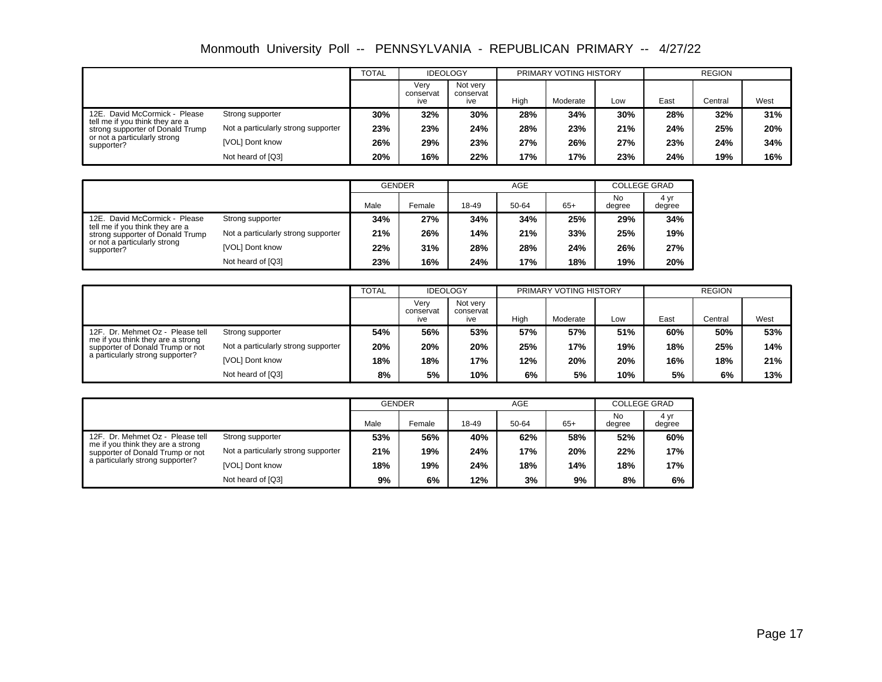|                                                                     |                                     | <b>TOTAL</b> | <b>IDEOLOGY</b>          |                              |      | PRIMARY VOTING HISTORY |     |      | <b>REGION</b> |      |
|---------------------------------------------------------------------|-------------------------------------|--------------|--------------------------|------------------------------|------|------------------------|-----|------|---------------|------|
|                                                                     |                                     |              | Verv<br>conservat<br>ive | Not very<br>conservat<br>ive | High | Moderate               | Low | East | Central       | West |
| 12E. David McCormick - Please                                       | Strong supporter                    | 30%          | 32%                      | 30%                          | 28%  | 34%                    | 30% | 28%  | 32%           | 31%  |
| tell me if you think they are a<br>strong supporter of Donald Trump | Not a particularly strong supporter | 23%          | 23%                      | 24%                          | 28%  | 23%                    | 21% | 24%  | 25%           | 20%  |
| or not a particularly strong<br>supporter?                          | [VOL] Dont know                     | 26%          | 29%                      | 23%                          | 27%  | 26%                    | 27% | 23%  | 24%           | 34%  |
|                                                                     | Not heard of [Q3]                   | 20%          | 16%                      | 22%                          | 17%  | 17%                    | 23% | 24%  | 19%           | 16%  |

|                                                                     |                                     | <b>GENDER</b> |        |       | AGE   |       | <b>COLLEGE GRAD</b> |                |
|---------------------------------------------------------------------|-------------------------------------|---------------|--------|-------|-------|-------|---------------------|----------------|
|                                                                     |                                     | Male          | Female | 18-49 | 50-64 | $65+$ | No<br>degree        | 4 yr<br>degree |
| 12E. David McCormick - Please                                       | Strong supporter                    | 34%           | 27%    | 34%   | 34%   | 25%   | 29%                 | 34%            |
| tell me if you think they are a<br>strong supporter of Donald Trump | Not a particularly strong supporter | 21%           | 26%    | 14%   | 21%   | 33%   | 25%                 | 19%            |
| or not a particularly strong<br>supporter?                          | [VOL] Dont know                     | 22%           | 31%    | 28%   | 28%   | 24%   | 26%                 | 27%            |
|                                                                     | Not heard of [Q3]                   | 23%           | 16%    | 24%   | 17%   | 18%   | 19%                 | 20%            |

|                                                                       |                                     | <b>TOTAL</b> | <b>IDEOLOGY</b>          |                              |      | PRIMARY VOTING HISTORY |     |      | <b>REGION</b> |      |
|-----------------------------------------------------------------------|-------------------------------------|--------------|--------------------------|------------------------------|------|------------------------|-----|------|---------------|------|
|                                                                       |                                     |              | Verv<br>conservat<br>ive | Not very<br>conservat<br>ive | High | Moderate               | Low | East | Central       | West |
| 12F. Dr. Mehmet Oz - Please tell                                      | Strong supporter                    | 54%          | 56%                      | 53%                          | 57%  | 57%                    | 51% | 60%  | 50%           | 53%  |
| me if you think they are a strong<br>supporter of Donald Trump or not | Not a particularly strong supporter | 20%          | 20%                      | 20%                          | 25%  | 17%                    | 19% | 18%  | 25%           | 14%  |
| a particularly strong supporter?                                      | [VOL] Dont know                     | 18%          | 18%                      | 17%                          | 12%  | 20%                    | 20% | 16%  | 18%           | 21%  |
|                                                                       | Not heard of [Q3]                   | 8%           | 5%                       | 10%                          | 6%   | 5%                     | 10% | 5%   | 6%            | 13%  |

|                                                                       |                                     | <b>GENDER</b> |        |       | AGE   |       | <b>COLLEGE GRAD</b> |                |
|-----------------------------------------------------------------------|-------------------------------------|---------------|--------|-------|-------|-------|---------------------|----------------|
|                                                                       |                                     | Male          | Female | 18-49 | 50-64 | $65+$ | No<br>degree        | 4 vr<br>degree |
| 12F. Dr. Mehmet Oz - Please tell                                      | Strong supporter                    | 53%           | 56%    | 40%   | 62%   | 58%   | 52%                 | 60%            |
| me if you think they are a strong<br>supporter of Donald Trump or not | Not a particularly strong supporter | 21%           | 19%    | 24%   | 17%   | 20%   | 22%                 | 17%            |
| a particularly strong supporter?                                      | [VOL] Dont know                     | 18%           | 19%    | 24%   | 18%   | 14%   | 18%                 | 17%            |
|                                                                       | Not heard of [Q3]                   | 9%            | 6%     | 12%   | 3%    | 9%    | 8%                  | 6%             |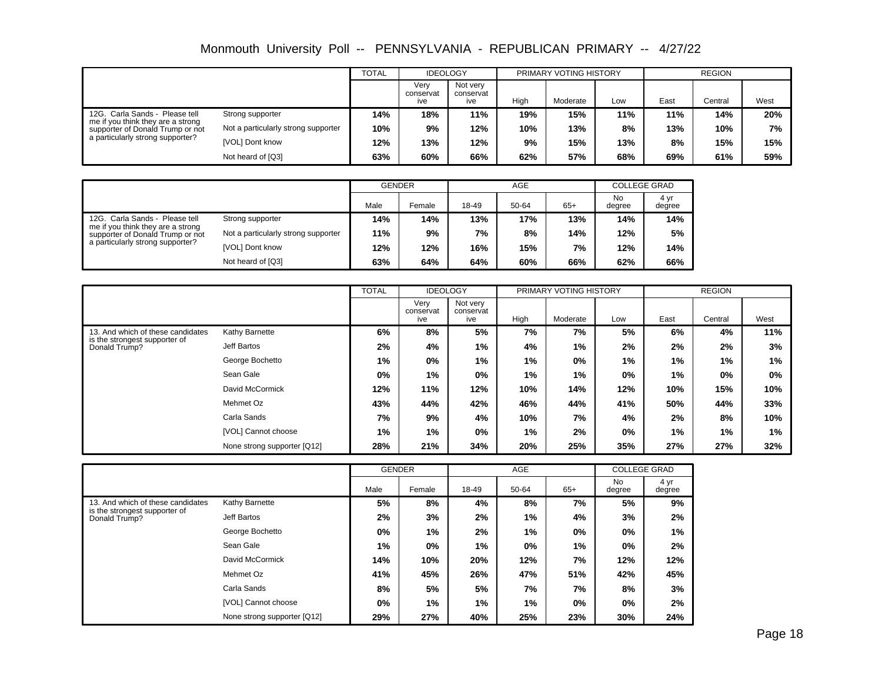|                                                                       |                                     | <b>TOTAL</b> | <b>IDEOLOGY</b>          |                              |      | PRIMARY VOTING HISTORY |     |      | <b>REGION</b> |      |
|-----------------------------------------------------------------------|-------------------------------------|--------------|--------------------------|------------------------------|------|------------------------|-----|------|---------------|------|
|                                                                       |                                     |              | Verv<br>conservat<br>ive | Not very<br>conservat<br>ive | High | Moderate               | Low | East | Central       | West |
| 12G. Carla Sands - Please tell                                        | Strong supporter                    | 14%          | 18%                      | 11%                          | 19%  | 15%                    | 11% | 11%  | 14%           | 20%  |
| me if you think they are a strong<br>supporter of Donald Trump or not | Not a particularly strong supporter | 10%          | 9%                       | 12%                          | 10%  | 13%                    | 8%  | 13%  | 10%           | 7%   |
| a particularly strong supporter?                                      | [VOL] Dont know                     | 12%          | 13%                      | 12%                          | 9%   | 15%                    | 13% | 8%   | 15%           | 15%  |
|                                                                       | Not heard of [Q3]                   | 63%          | 60%                      | 66%                          | 62%  | 57%                    | 68% | 69%  | 61%           | 59%  |

|                                                                       |                                     | <b>GENDER</b> |        |       | AGE   |       |              | <b>COLLEGE GRAD</b> |
|-----------------------------------------------------------------------|-------------------------------------|---------------|--------|-------|-------|-------|--------------|---------------------|
|                                                                       |                                     | Male          | Female | 18-49 | 50-64 | $65+$ | No<br>degree | 4 yr<br>degree      |
| 12G. Carla Sands - Please tell                                        | Strong supporter                    | 14%           | 14%    | 13%   | 17%   | 13%   | 14%          | 14%                 |
| me if you think they are a strong<br>supporter of Donald Trump or not | Not a particularly strong supporter | 11%           | 9%     | 7%    | 8%    | 14%   | 12%          | 5%                  |
| a particularly strong supporter?                                      | [VOL] Dont know                     | 12%           | 12%    | 16%   | 15%   | 7%    | 12%          | 14%                 |
|                                                                       | Not heard of [Q3]                   | 63%           | 64%    | 64%   | 60%   | 66%   | 62%          | 66%                 |

|                                                |                             | <b>TOTAL</b> | <b>IDEOLOGY</b>          |                              |       | PRIMARY VOTING HISTORY |     |       | <b>REGION</b> |       |
|------------------------------------------------|-----------------------------|--------------|--------------------------|------------------------------|-------|------------------------|-----|-------|---------------|-------|
|                                                |                             |              | Very<br>conservat<br>ive | Not very<br>conservat<br>ive | High  | Moderate               | Low | East  | Central       | West  |
| 13. And which of these candidates              | Kathy Barnette              | 6%           | 8%                       | 5%                           | 7%    | 7%                     | 5%  | 6%    | 4%            | 11%   |
| is the strongest supporter of<br>Donald Trump? | Jeff Bartos                 | 2%           | 4%                       | $1\%$                        | 4%    | 1%                     | 2%  | 2%    | 2%            | 3%    |
|                                                | George Bochetto             | 1%           | $0\%$                    | $1\%$                        | $1\%$ | 0%                     | 1%  | 1%    | 1%            | 1%    |
|                                                | Sean Gale                   | 0%           | 1%                       | $0\%$                        | 1%    | 1%                     | 0%  | 1%    | 0%            | $0\%$ |
|                                                | David McCormick             | 12%          | 11%                      | 12%                          | 10%   | 14%                    | 12% | 10%   | 15%           | 10%   |
|                                                | Mehmet Oz                   | 43%          | 44%                      | 42%                          | 46%   | 44%                    | 41% | 50%   | 44%           | 33%   |
|                                                | Carla Sands                 | 7%           | 9%                       | 4%                           | 10%   | 7%                     | 4%  | 2%    | 8%            | 10%   |
|                                                | [VOL] Cannot choose         | 1%           | 1%                       | 0%                           | 1%    | 2%                     | 0%  | $1\%$ | 1%            | 1%    |
|                                                | None strong supporter [Q12] | 28%          | 21%                      | 34%                          | 20%   | 25%                    | 35% | 27%   | 27%           | 32%   |

|                                                |                             | <b>GENDER</b> |        |       | <b>AGE</b> |       | <b>COLLEGE GRAD</b> |                |
|------------------------------------------------|-----------------------------|---------------|--------|-------|------------|-------|---------------------|----------------|
|                                                |                             | Male          | Female | 18-49 | 50-64      | $65+$ | <b>No</b><br>degree | 4 yr<br>degree |
| 13. And which of these candidates              | Kathy Barnette              | 5%            | 8%     | 4%    | 8%         | 7%    | 5%                  | 9%             |
| is the strongest supporter of<br>Donald Trump? | Jeff Bartos                 | 2%            | 3%     | 2%    | 1%         | 4%    | 3%                  | 2%             |
|                                                | George Bochetto             | $0\%$         | 1%     | 2%    | $1\%$      | $0\%$ | $0\%$               | 1%             |
|                                                | Sean Gale                   | 1%            | $0\%$  | $1\%$ | $0\%$      | 1%    | $0\%$               | 2%             |
|                                                | David McCormick             | 14%           | 10%    | 20%   | 12%        | 7%    | 12%                 | 12%            |
|                                                | Mehmet Oz                   | 41%           | 45%    | 26%   | 47%        | 51%   | 42%                 | 45%            |
|                                                | Carla Sands                 | 8%            | 5%     | 5%    | 7%         | 7%    | 8%                  | 3%             |
|                                                | [VOL] Cannot choose         | $0\%$         | 1%     | 1%    | 1%         | $0\%$ | $0\%$               | 2%             |
|                                                | None strong supporter [Q12] | 29%           | 27%    | 40%   | 25%        | 23%   | 30%                 | 24%            |

Page 18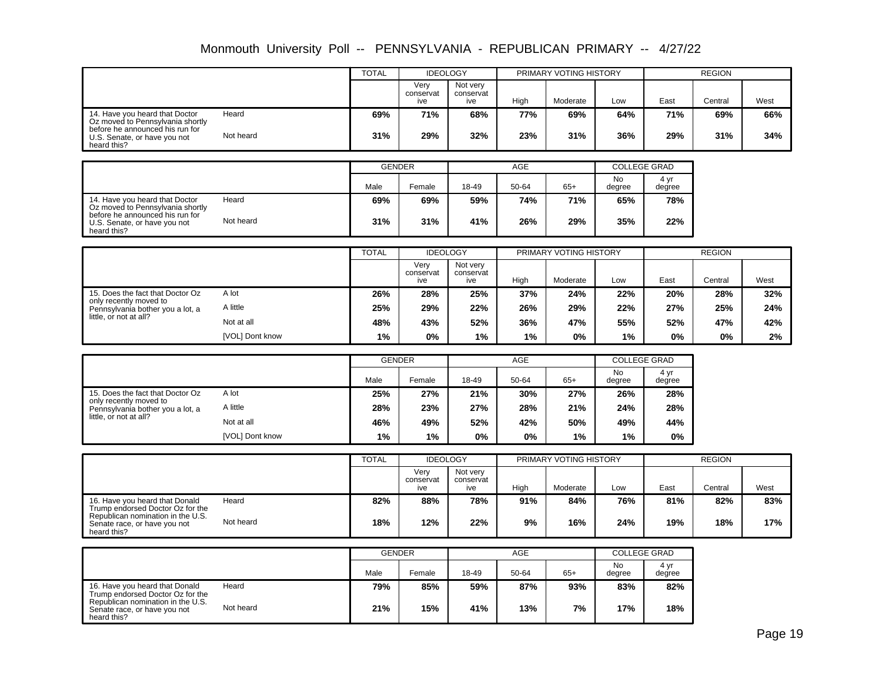|                                                                                |           | <b>TOTAL</b> | <b>IDEOLOGY</b>          |                              |      | PRIMARY VOTING HISTORY |     |      | <b>REGION</b> |      |
|--------------------------------------------------------------------------------|-----------|--------------|--------------------------|------------------------------|------|------------------------|-----|------|---------------|------|
|                                                                                |           |              | Verv<br>conservat<br>ive | Not verv<br>conservat<br>ive | High | Moderate               | Low | East | Central       | West |
| 14. Have you heard that Doctor<br>Oz moved to Pennsylvania shortly             | Heard     | 69%          | 71%                      | 68%                          | 77%  | 69%                    | 64% | 71%  | 69%           | 66%  |
| before he announced his run for<br>U.S. Senate, or have you not<br>heard this? | Not heard | 31%          | 29%                      | 32%                          | 23%  | 31%                    | 36% | 29%  | 31%           | 34%  |

|                                                                                |           | <b>GENDER</b> |        |       | <b>AGE</b> |       | <b>COLLEGE GRAD</b> |                |
|--------------------------------------------------------------------------------|-----------|---------------|--------|-------|------------|-------|---------------------|----------------|
|                                                                                |           | Male          | Female | 18-49 | 50-64      | $65+$ | No<br>degree        | 4 yr<br>degree |
| 14. Have you heard that Doctor<br>Oz moved to Pennsylvania shortly             | Heard     | 69%           | 69%    | 59%   | 74%        | 71%   | 65%                 | 78%            |
| before he announced his run for<br>U.S. Senate, or have you not<br>heard this? | Not heard | 31%           | 31%    | 41%   | 26%        | 29%   | 35%                 | 22%            |

|                                                            |                 | <b>TOTAL</b> | <b>IDEOLOGY</b>          |                              |       | PRIMARY VOTING HISTORY |     |      | <b>REGION</b> |      |
|------------------------------------------------------------|-----------------|--------------|--------------------------|------------------------------|-------|------------------------|-----|------|---------------|------|
|                                                            |                 |              | Verv<br>conservat<br>ive | Not very<br>conservat<br>ive | High  | Moderate               | Low | East | Central       | West |
| 15. Does the fact that Doctor Oz                           | A lot           | 26%          | 28%                      | 25%                          | 37%   | 24%                    | 22% | 20%  | 28%           | 32%  |
| only recently moved to<br>Pennsylvania bother you a lot, a | A little        | 25%          | 29%                      | 22%                          | 26%   | 29%                    | 22% | 27%  | 25%           | 24%  |
| little, or not at all?                                     | Not at all      | 48%          | 43%                      | 52%                          | 36%   | 47%                    | 55% | 52%  | 47%           | 42%  |
|                                                            | [VOL] Dont know | 1%           | 0%                       | 1%                           | $1\%$ | 0%                     | 1%  | 0%   | 0%            | 2%   |

|                                                            |                 | <b>GENDER</b> |        |       | AGE   |       | <b>COLLEGE GRAD</b> |                |  |
|------------------------------------------------------------|-----------------|---------------|--------|-------|-------|-------|---------------------|----------------|--|
|                                                            |                 | Male          | Female | 18-49 | 50-64 | $65+$ | No<br>degree        | 4 yr<br>degree |  |
| 15. Does the fact that Doctor Oz                           | A lot           | 25%           | 27%    | 21%   | 30%   | 27%   | 26%                 | 28%            |  |
| only recently moved to<br>Pennsylvania bother you a lot, a | A little        | 28%           | 23%    | 27%   | 28%   | 21%   | 24%                 | 28%            |  |
| little, or not at all?                                     | Not at all      | 46%           | 49%    | 52%   | 42%   | 50%   | 49%                 | 44%            |  |
|                                                            | [VOL] Dont know | $1\%$         | 1%     | $0\%$ | $0\%$ | 1%    | 1%                  | 0%             |  |

|                                                                                  |           | <b>TOTAL</b> | <b>IDEOLOGY</b>          |                              |      | PRIMARY VOTING HISTORY |     |      | <b>REGION</b> |      |
|----------------------------------------------------------------------------------|-----------|--------------|--------------------------|------------------------------|------|------------------------|-----|------|---------------|------|
|                                                                                  |           |              | Verv<br>conservat<br>ive | Not verv<br>conservat<br>ive | High | Moderate               | Low | East | Central       | West |
| 16. Have you heard that Donald<br>Trump endorsed Doctor Oz for the               | Heard     | 82%          | 88%                      | 78%                          | 91%  | 84%                    | 76% | 81%  | 82%           | 83%  |
| Republican nomination in the U.S.<br>Senate race, or have you not<br>heard this? | Not heard | 18%          | 12%                      | 22%                          | 9%   | 16%                    | 24% | 19%  | 18%           | 17%  |

|                                                                                  |           | <b>GENDER</b> |        |       | <b>AGE</b> |       | <b>COLLEGE GRAD</b> |                |  |
|----------------------------------------------------------------------------------|-----------|---------------|--------|-------|------------|-------|---------------------|----------------|--|
|                                                                                  |           | Male          | Female | 18-49 | 50-64      | $65+$ | No<br>degree        | 4 yr<br>degree |  |
| 16. Have you heard that Donald<br>Trump endorsed Doctor Oz for the               | Heard     | 79%           | 85%    | 59%   | 87%        | 93%   | 83%                 | 82%            |  |
| Republican nomination in the U.S.<br>Senate race, or have you not<br>heard this? | Not heard | 21%           | 15%    | 41%   | 13%        | 7%    | 17%                 | 18%            |  |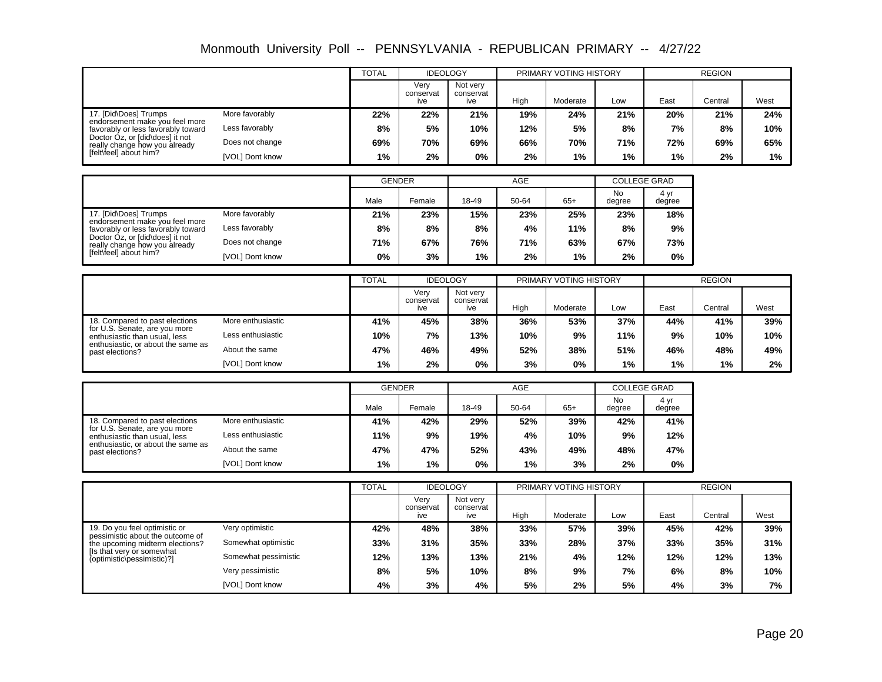|                                                                      |                 | <b>TOTAL</b> | <b>IDEOLOGY</b>          |                              |      | PRIMARY VOTING HISTORY |     |      | <b>REGION</b> |       |
|----------------------------------------------------------------------|-----------------|--------------|--------------------------|------------------------------|------|------------------------|-----|------|---------------|-------|
|                                                                      |                 |              | Very<br>conservat<br>ive | Not verv<br>conservat<br>ive | High | Moderate               | Low | East | Central       | West  |
| 17. [Did\Does] Trumps                                                | More favorably  | 22%          | 22%                      | 21%                          | 19%  | 24%                    | 21% | 20%  | 21%           | 24%   |
| endorsement make you feel more<br>favorably or less favorably toward | Less favorably  | 8%           | 5%                       | 10%                          | 12%  | 5%                     | 8%  | 7%   | 8%            | 10%   |
| Doctor Oz, or [did\does] it not<br>really change how you already     | Does not change | 69%          | 70%                      | 69%                          | 66%  | 70%                    | 71% | 72%  | 69%           | 65%   |
| [felt\feel] about him?                                               | [VOL] Dont know | 1%           | 2%                       | 0%                           | 2%   | $1\%$                  | 1%  | 1%   | 2%            | $1\%$ |

|                                                                      |                 | <b>GENDER</b> |        |       | AGE   |       | <b>COLLEGE GRAD</b> |                |  |
|----------------------------------------------------------------------|-----------------|---------------|--------|-------|-------|-------|---------------------|----------------|--|
|                                                                      |                 | Male          | Female | 18-49 | 50-64 | $65+$ | <b>No</b><br>degree | 4 yr<br>degree |  |
| 17. [Did\Does] Trumps                                                | More favorably  | 21%           | 23%    | 15%   | 23%   | 25%   | 23%                 | 18%            |  |
| endorsement make you feel more<br>favorably or less favorably toward | Less favorably  | 8%            | 8%     | 8%    | 4%    | 11%   | 8%                  | 9%             |  |
| Doctor Oz, or [did\does] it not<br>really change how you already     | Does not change | 71%           | 67%    | 76%   | 71%   | 63%   | 67%                 | 73%            |  |
| [felt\feel] about him?                                               | [VOL] Dont know | 0%            | 3%     | 1%    | 2%    | 1%    | 2%                  | 0%             |  |

|                                                                |                   | <b>TOTAL</b> | <b>IDEOLOGY</b>          |                              |      | PRIMARY VOTING HISTORY |     |      | <b>REGION</b> |      |
|----------------------------------------------------------------|-------------------|--------------|--------------------------|------------------------------|------|------------------------|-----|------|---------------|------|
|                                                                |                   |              | Verv<br>conservat<br>ive | Not very<br>conservat<br>ive | High | Moderate               | Low | East | Central       | West |
| 18. Compared to past elections                                 | More enthusiastic | 41%          | 45%                      | 38%                          | 36%  | 53%                    | 37% | 44%  | 41%           | 39%  |
| for U.S. Senate, are you more<br>enthusiastic than usual, less | Less enthusiastic | 10%          | 7%                       | 13%                          | 10%  | 9%                     | 11% | 9%   | 10%           | 10%  |
| enthusiastic, or about the same as<br>past elections?          | About the same    | 47%          | 46%                      | 49%                          | 52%  | 38%                    | 51% | 46%  | 48%           | 49%  |
|                                                                | [VOL] Dont know   | 1%           | 2%                       | $0\%$                        | 3%   | 0%                     | 1%  | 1%   | $1\%$         | 2%   |

|                                                                |                   | <b>GENDER</b> |        |       | AGE   |       | <b>COLLEGE GRAD</b> |                |
|----------------------------------------------------------------|-------------------|---------------|--------|-------|-------|-------|---------------------|----------------|
|                                                                |                   | Male          | Female | 18-49 | 50-64 | $65+$ | No<br>degree        | 4 yr<br>degree |
| 18. Compared to past elections                                 | More enthusiastic | 41%           | 42%    | 29%   | 52%   | 39%   | 42%                 | 41%            |
| for U.S. Senate, are you more<br>enthusiastic than usual, less | Less enthusiastic | 11%           | 9%     | 19%   | 4%    | 10%   | 9%                  | 12%            |
| enthusiastic, or about the same as<br>past elections?          | About the same    | 47%           | 47%    | 52%   | 43%   | 49%   | 48%                 | 47%            |
|                                                                | [VOL] Dont know   | $1\%$         | 1%     | 0%    | $1\%$ | 3%    | 2%                  | 0%             |

|                                                                     |                      | <b>TOTAL</b> | <b>IDEOLOGY</b>          |                              |      | PRIMARY VOTING HISTORY |     |      | <b>REGION</b> |      |
|---------------------------------------------------------------------|----------------------|--------------|--------------------------|------------------------------|------|------------------------|-----|------|---------------|------|
|                                                                     |                      |              | Verv<br>conservat<br>ive | Not very<br>conservat<br>ive | High | Moderate               | Low | East | Central       | West |
| 19. Do you feel optimistic or                                       | Very optimistic      | 42%          | 48%                      | 38%                          | 33%  | 57%                    | 39% | 45%  | 42%           | 39%  |
| pessimistic about the outcome of<br>the upcoming midterm elections? | Somewhat optimistic  | 33%          | 31%                      | 35%                          | 33%  | 28%                    | 37% | 33%  | 35%           | 31%  |
| Is that very or somewhat<br>(optimistic\pessimistic)?]              | Somewhat pessimistic | 12%          | 13%                      | 13%                          | 21%  | 4%                     | 12% | 12%  | 12%           | 13%  |
|                                                                     | Very pessimistic     | 8%           | 5%                       | 10%                          | 8%   | 9%                     | 7%  | 6%   | 8%            | 10%  |
|                                                                     | [VOL] Dont know      | 4%           | 3%                       | 4%                           | 5%   | 2%                     | 5%  | 4%   | 3%            | 7%   |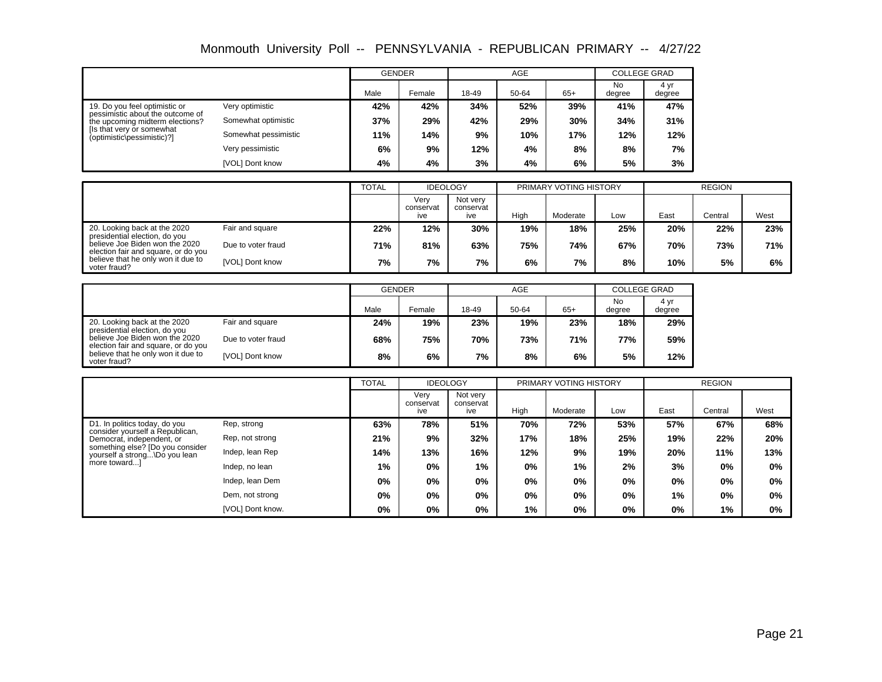|                                                                     |                      | <b>GENDER</b> |        |       | AGE   |       | <b>COLLEGE GRAD</b> |                |
|---------------------------------------------------------------------|----------------------|---------------|--------|-------|-------|-------|---------------------|----------------|
|                                                                     |                      | Male          | Female | 18-49 | 50-64 | $65+$ | No<br>degree        | 4 yr<br>degree |
| 19. Do you feel optimistic or                                       | Very optimistic      | 42%           | 42%    | 34%   | 52%   | 39%   | 41%                 | 47%            |
| pessimistic about the outcome of<br>the upcoming midterm elections? | Somewhat optimistic  | 37%           | 29%    | 42%   | 29%   | 30%   | 34%                 | 31%            |
| [Is that very or somewhat]<br>(optimistic\pessimistic)?]            | Somewhat pessimistic | 11%           | 14%    | 9%    | 10%   | 17%   | 12%                 | 12%            |
|                                                                     | Very pessimistic     | 6%            | 9%     | 12%   | 4%    | 8%    | 8%                  | 7%             |
|                                                                     | [VOL] Dont know      | 4%            | 4%     | 3%    | 4%    | 6%    | 5%                  | 3%             |

|                                                                       |                    | <b>TOTAL</b> | <b>IDEOLOGY</b>          |                              |      | PRIMARY VOTING HISTORY |     |      | <b>REGION</b> |      |
|-----------------------------------------------------------------------|--------------------|--------------|--------------------------|------------------------------|------|------------------------|-----|------|---------------|------|
|                                                                       |                    |              | Verv<br>conservat<br>ive | Not very<br>conservat<br>ive | High | Moderate               | Low | East | Central       | West |
| 20. Looking back at the 2020<br>presidential election, do you         | Fair and square    | 22%          | 12%                      | 30%                          | 19%  | 18%                    | 25% | 20%  | 22%           | 23%  |
| believe Joe Biden won the 2020<br>election fair and square, or do you | Due to voter fraud | 71%          | 81%                      | 63%                          | 75%  | 74%                    | 67% | 70%  | 73%           | 71%  |
| believe that he only won it due to<br>voter fraud?                    | [VOL] Dont know    | 7%           | 7%                       | 7%                           | 6%   | 7%                     | 8%  | 10%  | 5%            | 6%   |

|                                                                       |                    | <b>GENDER</b> |        |       | <b>AGE</b> |       | <b>COLLEGE GRAD</b> |                |
|-----------------------------------------------------------------------|--------------------|---------------|--------|-------|------------|-------|---------------------|----------------|
|                                                                       |                    | Male          | Female | 18-49 | 50-64      | $65+$ | No<br>degree        | 4 yr<br>degree |
| 20. Looking back at the 2020<br>presidential election, do you         | Fair and square    | 24%           | 19%    | 23%   | 19%        | 23%   | 18%                 | 29%            |
| believe Joe Biden won the 2020<br>election fair and square, or do you | Due to voter fraud | 68%           | 75%    | 70%   | 73%        | 71%   | 77%                 | 59%            |
| believe that he only won it due to<br>voter fraud?                    | [VOL] Dont know    | 8%            | 6%     | 7%    | 8%         | 6%    | 5%                  | 12%            |

|                                                                                                                                                                                   |                  | <b>TOTAL</b> | <b>IDEOLOGY</b>          |                              |       | PRIMARY VOTING HISTORY |     |       | <b>REGION</b> |      |  |
|-----------------------------------------------------------------------------------------------------------------------------------------------------------------------------------|------------------|--------------|--------------------------|------------------------------|-------|------------------------|-----|-------|---------------|------|--|
|                                                                                                                                                                                   |                  |              | Verv<br>conservat<br>ive | Not very<br>conservat<br>ive | High  | Moderate               | Low | East  | Central       | West |  |
| D1. In politics today, do you<br>consider yourself a Republican,<br>Democrat, independent, or<br>something else? [Do you consider<br>yourself a strong\Do you lean<br>more toward | Rep. strong      | 63%          | 78%                      | 51%                          | 70%   | 72%                    | 53% | 57%   | 67%           | 68%  |  |
|                                                                                                                                                                                   | Rep. not strong  | 21%          | 9%                       | 32%                          | 17%   | 18%                    | 25% | 19%   | 22%           | 20%  |  |
|                                                                                                                                                                                   | Indep, lean Rep  | 14%          | 13%                      | 16%                          | 12%   | 9%                     | 19% | 20%   | 11%           | 13%  |  |
|                                                                                                                                                                                   | Indep, no lean   | 1%           | 0%                       | 1%                           | $0\%$ | 1%                     | 2%  | 3%    | 0%            | 0%   |  |
|                                                                                                                                                                                   | Indep, lean Dem  | 0%           | 0%                       | $0\%$                        | $0\%$ | $0\%$                  | 0%  | 0%    | $0\%$         | 0%   |  |
|                                                                                                                                                                                   | Dem, not strong  | 0%           | 0%                       | $0\%$                        | $0\%$ | $0\%$                  | 0%  | $1\%$ | 0%            | 0%   |  |
|                                                                                                                                                                                   | [VOL] Dont know. | 0%           | 0%                       | 0%                           | 1%    | $0\%$                  | 0%  | 0%    | 1%            | 0%   |  |